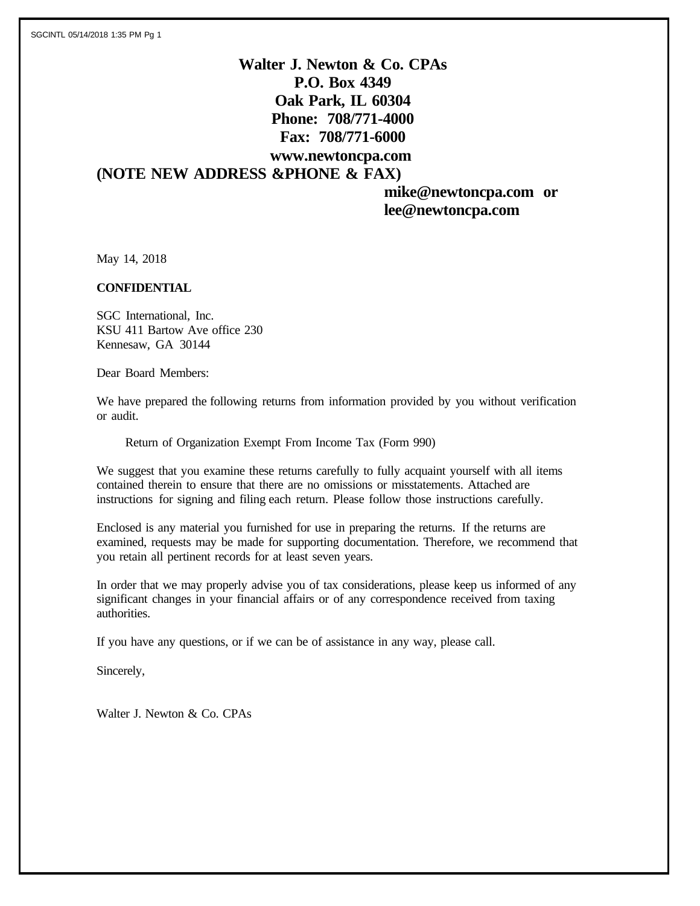# **Walter J. Newton & Co. CPAs P.O. Box 4349 Oak Park, IL 60304 Phone: 708/771-4000 Fax: 708/771-6000 www.newtoncpa.com (NOTE NEW ADDRESS &PHONE & FAX)**

 **mike@newtoncpa.com or lee@newtoncpa.com**

May 14, 2018

### **CONFIDENTIAL**

SGC International, Inc. KSU 411 Bartow Ave office 230 Kennesaw, GA 30144

Dear Board Members:

We have prepared the following returns from information provided by you without verification or audit.

Return of Organization Exempt From Income Tax (Form 990)

We suggest that you examine these returns carefully to fully acquaint yourself with all items contained therein to ensure that there are no omissions or misstatements. Attached are instructions for signing and filing each return. Please follow those instructions carefully.

Enclosed is any material you furnished for use in preparing the returns. If the returns are examined, requests may be made for supporting documentation. Therefore, we recommend that you retain all pertinent records for at least seven years.

In order that we may properly advise you of tax considerations, please keep us informed of any significant changes in your financial affairs or of any correspondence received from taxing authorities.

If you have any questions, or if we can be of assistance in any way, please call.

Sincerely,

Walter J. Newton & Co. CPAs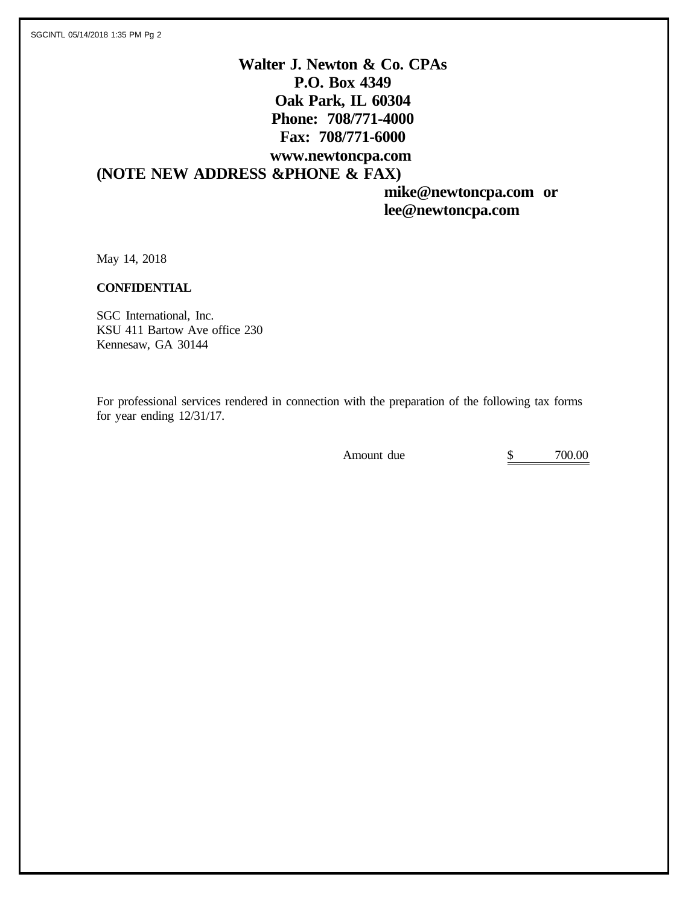# **Walter J. Newton & Co. CPAs P.O. Box 4349 Oak Park, IL 60304 Phone: 708/771-4000 Fax: 708/771-6000 www.newtoncpa.com (NOTE NEW ADDRESS &PHONE & FAX)**

 **mike@newtoncpa.com or lee@newtoncpa.com**

May 14, 2018

### **CONFIDENTIAL**

SGC International, Inc. KSU 411 Bartow Ave office 230 Kennesaw, GA 30144

For professional services rendered in connection with the preparation of the following tax forms for year ending 12/31/17.

Amount due  $\qquad \qquad$  \$ 700.00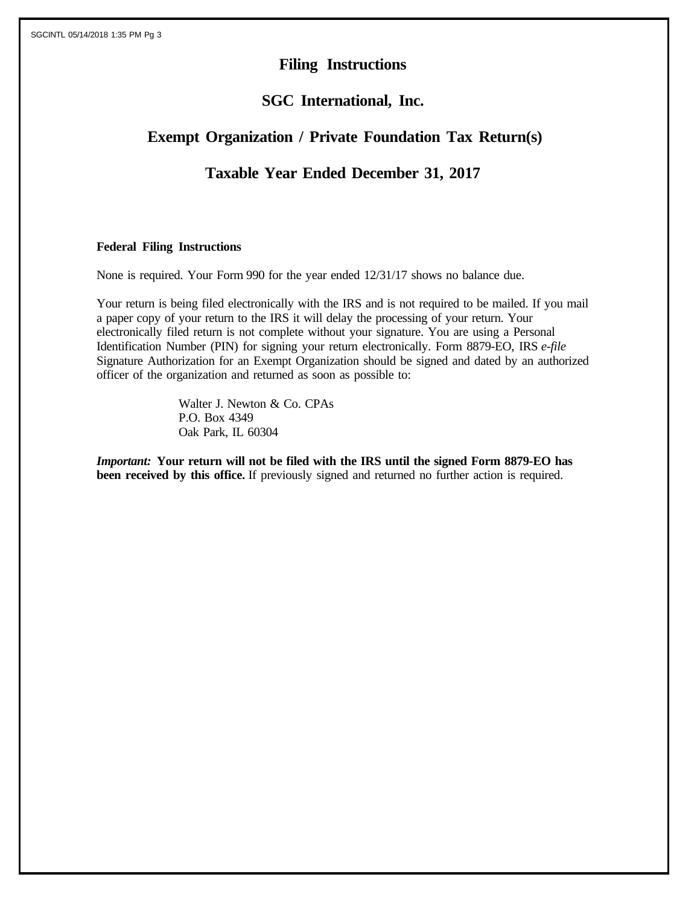# **Filing Instructions**

## **SGC International, Inc.**

# **Exempt Organization / Private Foundation Tax Return(s)**

## **Taxable Year Ended December 31, 2017**

### **Federal Filing Instructions**

None is required. Your Form 990 for the year ended 12/31/17 shows no balance due.

Your return is being filed electronically with the IRS and is not required to be mailed. If you mail a paper copy of your return to the IRS it will delay the processing of your return. Your electronically filed return is not complete without your signature. You are using a Personal Identification Number (PIN) for signing your return electronically. Form 8879-EO, IRS *e-file* Signature Authorization for an Exempt Organization should be signed and dated by an authorized officer of the organization and returned as soon as possible to:

> Walter J. Newton & Co. CPAs P.O. Box 4349 Oak Park, IL 60304

*Important:* **Your return will not be filed with the IRS until the signed Form 8879-EO has been received by this office.** If previously signed and returned no further action is required.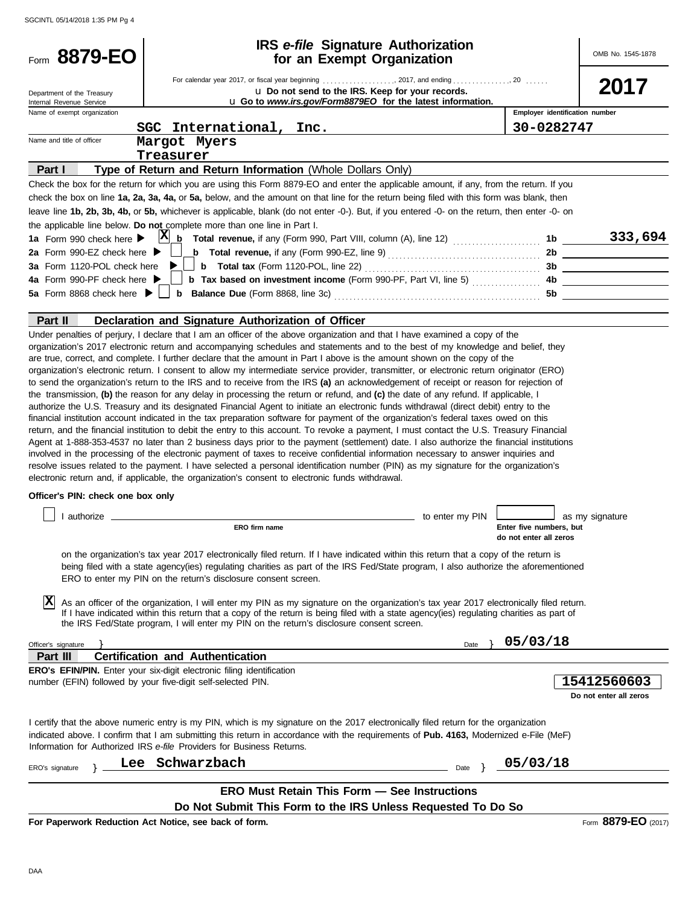|                                                 | <b>IRS</b> e-file Signature Authorization                                                                                                                                                                                                                                                                                                                                                                                                                                                                                                                                                                                                                                                                                                                                                                                                                                                                                                                                                                                                                                                                                                                                                                                                  |                 |                                                   |                        |
|-------------------------------------------------|--------------------------------------------------------------------------------------------------------------------------------------------------------------------------------------------------------------------------------------------------------------------------------------------------------------------------------------------------------------------------------------------------------------------------------------------------------------------------------------------------------------------------------------------------------------------------------------------------------------------------------------------------------------------------------------------------------------------------------------------------------------------------------------------------------------------------------------------------------------------------------------------------------------------------------------------------------------------------------------------------------------------------------------------------------------------------------------------------------------------------------------------------------------------------------------------------------------------------------------------|-----------------|---------------------------------------------------|------------------------|
| Form 8879-EO                                    | for an Exempt Organization                                                                                                                                                                                                                                                                                                                                                                                                                                                                                                                                                                                                                                                                                                                                                                                                                                                                                                                                                                                                                                                                                                                                                                                                                 |                 |                                                   | OMB No. 1545-1878      |
|                                                 | For calendar year 2017, or fiscal year beginning 2017, and ending 20                                                                                                                                                                                                                                                                                                                                                                                                                                                                                                                                                                                                                                                                                                                                                                                                                                                                                                                                                                                                                                                                                                                                                                       |                 |                                                   |                        |
| Department of the Treasury                      | u Do not send to the IRS. Keep for your records.                                                                                                                                                                                                                                                                                                                                                                                                                                                                                                                                                                                                                                                                                                                                                                                                                                                                                                                                                                                                                                                                                                                                                                                           |                 |                                                   | 2017                   |
| Internal Revenue Service                        | u Go to www.irs.gov/Form8879EO for the latest information.                                                                                                                                                                                                                                                                                                                                                                                                                                                                                                                                                                                                                                                                                                                                                                                                                                                                                                                                                                                                                                                                                                                                                                                 |                 |                                                   |                        |
| Name of exempt organization                     |                                                                                                                                                                                                                                                                                                                                                                                                                                                                                                                                                                                                                                                                                                                                                                                                                                                                                                                                                                                                                                                                                                                                                                                                                                            |                 | Employer identification number                    |                        |
|                                                 | SGC International, Inc.                                                                                                                                                                                                                                                                                                                                                                                                                                                                                                                                                                                                                                                                                                                                                                                                                                                                                                                                                                                                                                                                                                                                                                                                                    |                 | 30-0282747                                        |                        |
| Name and title of officer                       | Margot Myers                                                                                                                                                                                                                                                                                                                                                                                                                                                                                                                                                                                                                                                                                                                                                                                                                                                                                                                                                                                                                                                                                                                                                                                                                               |                 |                                                   |                        |
|                                                 | Treasurer                                                                                                                                                                                                                                                                                                                                                                                                                                                                                                                                                                                                                                                                                                                                                                                                                                                                                                                                                                                                                                                                                                                                                                                                                                  |                 |                                                   |                        |
| Part I                                          | Type of Return and Return Information (Whole Dollars Only)                                                                                                                                                                                                                                                                                                                                                                                                                                                                                                                                                                                                                                                                                                                                                                                                                                                                                                                                                                                                                                                                                                                                                                                 |                 |                                                   |                        |
|                                                 | Check the box for the return for which you are using this Form 8879-EO and enter the applicable amount, if any, from the return. If you<br>check the box on line 1a, 2a, 3a, 4a, or 5a, below, and the amount on that line for the return being filed with this form was blank, then                                                                                                                                                                                                                                                                                                                                                                                                                                                                                                                                                                                                                                                                                                                                                                                                                                                                                                                                                       |                 |                                                   |                        |
|                                                 | leave line 1b, 2b, 3b, 4b, or 5b, whichever is applicable, blank (do not enter -0-). But, if you entered -0- on the return, then enter -0- on                                                                                                                                                                                                                                                                                                                                                                                                                                                                                                                                                                                                                                                                                                                                                                                                                                                                                                                                                                                                                                                                                              |                 |                                                   |                        |
|                                                 | the applicable line below. Do not complete more than one line in Part I.                                                                                                                                                                                                                                                                                                                                                                                                                                                                                                                                                                                                                                                                                                                                                                                                                                                                                                                                                                                                                                                                                                                                                                   |                 |                                                   |                        |
| 1a Form 990 check here $\blacktriangleright$    | $X_0$ Total revenue, if any (Form 990, Part VIII, column (A), line 12) $\ldots$                                                                                                                                                                                                                                                                                                                                                                                                                                                                                                                                                                                                                                                                                                                                                                                                                                                                                                                                                                                                                                                                                                                                                            |                 | 1b                                                | 333,694                |
| 2a Form 990-EZ check here $\blacktriangleright$ | <b>b</b> Total revenue, if any (Form 990-EZ, line 9) $\ldots$ $\ldots$ $\ldots$ $\ldots$ $\ldots$ $\ldots$                                                                                                                                                                                                                                                                                                                                                                                                                                                                                                                                                                                                                                                                                                                                                                                                                                                                                                                                                                                                                                                                                                                                 |                 |                                                   | 2b                     |
| 3a Form 1120-POL check here                     |                                                                                                                                                                                                                                                                                                                                                                                                                                                                                                                                                                                                                                                                                                                                                                                                                                                                                                                                                                                                                                                                                                                                                                                                                                            |                 |                                                   |                        |
| 4a Form 990-PF check here ▶                     | <b>b</b> Tax based on investment income (Form 990-PF, Part VI, line 5)                                                                                                                                                                                                                                                                                                                                                                                                                                                                                                                                                                                                                                                                                                                                                                                                                                                                                                                                                                                                                                                                                                                                                                     |                 |                                                   | 4b                     |
| 5a Form 8868 check here $\blacktriangleright$   |                                                                                                                                                                                                                                                                                                                                                                                                                                                                                                                                                                                                                                                                                                                                                                                                                                                                                                                                                                                                                                                                                                                                                                                                                                            |                 |                                                   | 5b                     |
|                                                 |                                                                                                                                                                                                                                                                                                                                                                                                                                                                                                                                                                                                                                                                                                                                                                                                                                                                                                                                                                                                                                                                                                                                                                                                                                            |                 |                                                   |                        |
| Part II                                         | Declaration and Signature Authorization of Officer                                                                                                                                                                                                                                                                                                                                                                                                                                                                                                                                                                                                                                                                                                                                                                                                                                                                                                                                                                                                                                                                                                                                                                                         |                 |                                                   |                        |
| Officer's PIN: check one box only               | to send the organization's return to the IRS and to receive from the IRS (a) an acknowledgement of receipt or reason for rejection of<br>the transmission, (b) the reason for any delay in processing the return or refund, and (c) the date of any refund. If applicable, I<br>authorize the U.S. Treasury and its designated Financial Agent to initiate an electronic funds withdrawal (direct debit) entry to the<br>financial institution account indicated in the tax preparation software for payment of the organization's federal taxes owed on this<br>return, and the financial institution to debit the entry to this account. To revoke a payment, I must contact the U.S. Treasury Financial<br>Agent at 1-888-353-4537 no later than 2 business days prior to the payment (settlement) date. I also authorize the financial institutions<br>involved in the processing of the electronic payment of taxes to receive confidential information necessary to answer inquiries and<br>resolve issues related to the payment. I have selected a personal identification number (PIN) as my signature for the organization's<br>electronic return and, if applicable, the organization's consent to electronic funds withdrawal. |                 |                                                   |                        |
|                                                 |                                                                                                                                                                                                                                                                                                                                                                                                                                                                                                                                                                                                                                                                                                                                                                                                                                                                                                                                                                                                                                                                                                                                                                                                                                            | to enter my PIN |                                                   | as my signature        |
|                                                 | ERO firm name                                                                                                                                                                                                                                                                                                                                                                                                                                                                                                                                                                                                                                                                                                                                                                                                                                                                                                                                                                                                                                                                                                                                                                                                                              |                 | Enter five numbers, but<br>do not enter all zeros |                        |
| ΙX                                              | on the organization's tax year 2017 electronically filed return. If I have indicated within this return that a copy of the return is<br>being filed with a state agency(ies) regulating charities as part of the IRS Fed/State program, I also authorize the aforementioned<br>ERO to enter my PIN on the return's disclosure consent screen.<br>As an officer of the organization, I will enter my PIN as my signature on the organization's tax year 2017 electronically filed return.<br>If I have indicated within this return that a copy of the return is being filed with a state agency(ies) regulating charities as part of<br>the IRS Fed/State program, I will enter my PIN on the return's disclosure consent screen.                                                                                                                                                                                                                                                                                                                                                                                                                                                                                                          |                 |                                                   |                        |
|                                                 |                                                                                                                                                                                                                                                                                                                                                                                                                                                                                                                                                                                                                                                                                                                                                                                                                                                                                                                                                                                                                                                                                                                                                                                                                                            |                 | 05/03/18                                          |                        |
| Officer's signature<br>Part III                 | <b>Certification and Authentication</b>                                                                                                                                                                                                                                                                                                                                                                                                                                                                                                                                                                                                                                                                                                                                                                                                                                                                                                                                                                                                                                                                                                                                                                                                    | Date            |                                                   |                        |
|                                                 | ERO's EFIN/PIN. Enter your six-digit electronic filing identification                                                                                                                                                                                                                                                                                                                                                                                                                                                                                                                                                                                                                                                                                                                                                                                                                                                                                                                                                                                                                                                                                                                                                                      |                 |                                                   |                        |
|                                                 | number (EFIN) followed by your five-digit self-selected PIN.                                                                                                                                                                                                                                                                                                                                                                                                                                                                                                                                                                                                                                                                                                                                                                                                                                                                                                                                                                                                                                                                                                                                                                               |                 |                                                   | 15412560603            |
|                                                 |                                                                                                                                                                                                                                                                                                                                                                                                                                                                                                                                                                                                                                                                                                                                                                                                                                                                                                                                                                                                                                                                                                                                                                                                                                            |                 |                                                   | Do not enter all zeros |
|                                                 |                                                                                                                                                                                                                                                                                                                                                                                                                                                                                                                                                                                                                                                                                                                                                                                                                                                                                                                                                                                                                                                                                                                                                                                                                                            |                 |                                                   |                        |
|                                                 | I certify that the above numeric entry is my PIN, which is my signature on the 2017 electronically filed return for the organization<br>indicated above. I confirm that I am submitting this return in accordance with the requirements of Pub. 4163, Modernized e-File (MeF)<br>Information for Authorized IRS e-file Providers for Business Returns.                                                                                                                                                                                                                                                                                                                                                                                                                                                                                                                                                                                                                                                                                                                                                                                                                                                                                     |                 |                                                   |                        |
| Y<br>ERO's signature                            | Lee Schwarzbach                                                                                                                                                                                                                                                                                                                                                                                                                                                                                                                                                                                                                                                                                                                                                                                                                                                                                                                                                                                                                                                                                                                                                                                                                            | Date            | 05/03/18                                          |                        |
|                                                 |                                                                                                                                                                                                                                                                                                                                                                                                                                                                                                                                                                                                                                                                                                                                                                                                                                                                                                                                                                                                                                                                                                                                                                                                                                            |                 |                                                   |                        |
|                                                 | <b>ERO Must Retain This Form - See Instructions</b>                                                                                                                                                                                                                                                                                                                                                                                                                                                                                                                                                                                                                                                                                                                                                                                                                                                                                                                                                                                                                                                                                                                                                                                        |                 |                                                   |                        |
|                                                 | Do Not Submit This Form to the IRS Unless Requested To Do So                                                                                                                                                                                                                                                                                                                                                                                                                                                                                                                                                                                                                                                                                                                                                                                                                                                                                                                                                                                                                                                                                                                                                                               |                 |                                                   |                        |
|                                                 | For Paperwork Reduction Act Notice, see back of form.                                                                                                                                                                                                                                                                                                                                                                                                                                                                                                                                                                                                                                                                                                                                                                                                                                                                                                                                                                                                                                                                                                                                                                                      |                 |                                                   | Form 8879-EO (2017)    |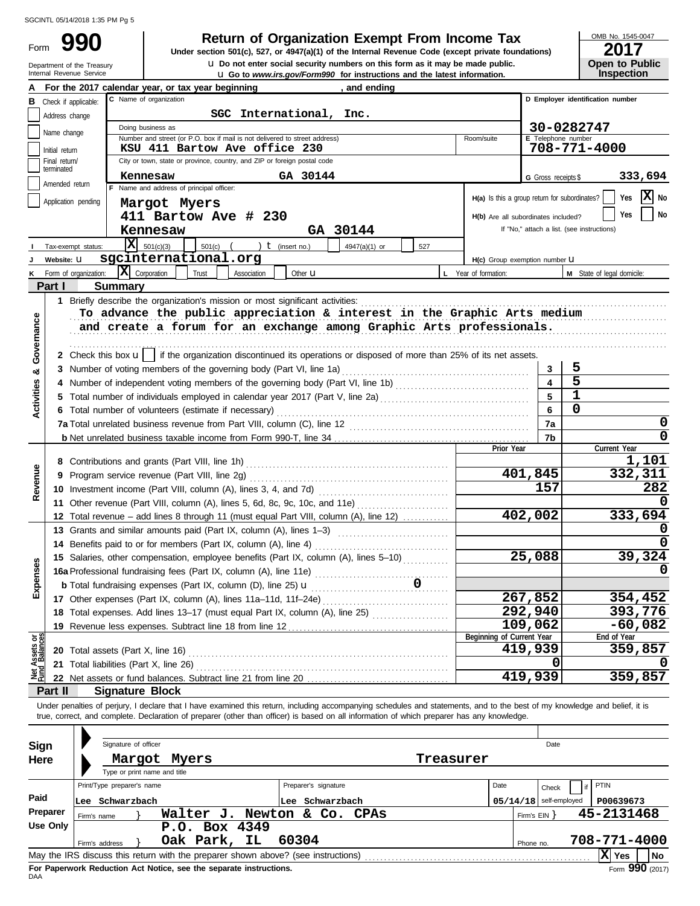Form

Department of the Treasury<br>Internal Revenue Service

**u** Go to *www.irs.gov/Form990* for instructions and the latest information. **u** Do not enter social security numbers on this form as it may be made public. **990 1990 2017 2018 Depend of Organization Exempt From Income Tax 1947(a)(1)** of the Internal Revenue Code (except private foundations)

OMB No. 1545-0047

| LU I I |                       |
|--------|-----------------------|
|        | <b>Open to Public</b> |
|        | <b>Inspection</b>     |

|                                                                                         |                                 | and ending<br>For the 2017 calendar year, or tax year beginning                                                                                                            |                                               |                          |                                            |  |  |  |  |  |  |
|-----------------------------------------------------------------------------------------|---------------------------------|----------------------------------------------------------------------------------------------------------------------------------------------------------------------------|-----------------------------------------------|--------------------------|--------------------------------------------|--|--|--|--|--|--|
| C Name of organization<br>D Employer identification number<br>Check if applicable:<br>в |                                 |                                                                                                                                                                            |                                               |                          |                                            |  |  |  |  |  |  |
| SGC International, Inc.<br>Address change                                               |                                 |                                                                                                                                                                            |                                               |                          |                                            |  |  |  |  |  |  |
|                                                                                         | Name change                     | Doing business as                                                                                                                                                          |                                               |                          | 30-0282747                                 |  |  |  |  |  |  |
|                                                                                         |                                 | Number and street (or P.O. box if mail is not delivered to street address)<br>KSU 411 Bartow Ave office 230                                                                | Room/suite                                    | E Telephone number       | 708-771-4000                               |  |  |  |  |  |  |
|                                                                                         | Initial return<br>Final return/ | City or town, state or province, country, and ZIP or foreign postal code                                                                                                   |                                               |                          |                                            |  |  |  |  |  |  |
|                                                                                         | terminated                      |                                                                                                                                                                            |                                               |                          |                                            |  |  |  |  |  |  |
|                                                                                         | Amended return                  | GA 30144<br>Kennesaw<br>F Name and address of principal officer:                                                                                                           |                                               | G Gross receipts \$      | 333,694                                    |  |  |  |  |  |  |
|                                                                                         | Application pending             |                                                                                                                                                                            | H(a) Is this a group return for subordinates? |                          | x <br>Yes<br>No                            |  |  |  |  |  |  |
|                                                                                         |                                 | Margot Myers                                                                                                                                                               |                                               |                          | No<br>Yes                                  |  |  |  |  |  |  |
|                                                                                         |                                 | 411 Bartow Ave # 230                                                                                                                                                       | H(b) Are all subordinates included?           |                          | If "No," attach a list. (see instructions) |  |  |  |  |  |  |
|                                                                                         |                                 | GA 30144<br>Kennesaw                                                                                                                                                       |                                               |                          |                                            |  |  |  |  |  |  |
|                                                                                         | Tax-exempt status:              | $ \mathbf{X} $ 501(c)(3)<br>) $t$ (insert no.)<br>$501(c)$ (<br>4947(a)(1) or<br>527                                                                                       |                                               |                          |                                            |  |  |  |  |  |  |
|                                                                                         | Website: U                      | sgcinternational.org                                                                                                                                                       | H(c) Group exemption number <b>U</b>          |                          |                                            |  |  |  |  |  |  |
|                                                                                         | Form of organization:           | IХ<br>Corporation<br>Trust<br>Other <b>u</b><br>Association                                                                                                                | L Year of formation:                          |                          | M State of legal domicile:                 |  |  |  |  |  |  |
|                                                                                         | Part I                          | <b>Summary</b>                                                                                                                                                             |                                               |                          |                                            |  |  |  |  |  |  |
|                                                                                         |                                 | 1 Briefly describe the organization's mission or most significant activities:                                                                                              |                                               |                          |                                            |  |  |  |  |  |  |
|                                                                                         |                                 | To advance the public appreciation & interest in the Graphic Arts medium                                                                                                   |                                               |                          |                                            |  |  |  |  |  |  |
|                                                                                         |                                 | and create a forum for an exchange among Graphic Arts professionals.                                                                                                       |                                               |                          |                                            |  |  |  |  |  |  |
| Governance                                                                              |                                 |                                                                                                                                                                            |                                               |                          |                                            |  |  |  |  |  |  |
|                                                                                         |                                 | 2 Check this box $\mathbf{u}$   if the organization discontinued its operations or disposed of more than 25% of its net assets.                                            |                                               |                          |                                            |  |  |  |  |  |  |
| ಯ                                                                                       |                                 | 3 Number of voting members of the governing body (Part VI, line 1a)                                                                                                        |                                               | 3                        | 5                                          |  |  |  |  |  |  |
|                                                                                         |                                 |                                                                                                                                                                            |                                               | $\overline{\mathbf{4}}$  | 5                                          |  |  |  |  |  |  |
| Activities                                                                              |                                 |                                                                                                                                                                            |                                               | 5                        | $\mathbf 1$                                |  |  |  |  |  |  |
|                                                                                         |                                 | 6 Total number of volunteers (estimate if necessary)                                                                                                                       |                                               | 6                        | 0                                          |  |  |  |  |  |  |
|                                                                                         |                                 |                                                                                                                                                                            |                                               | 7a                       | 0                                          |  |  |  |  |  |  |
|                                                                                         |                                 |                                                                                                                                                                            |                                               | 7b                       | $\Omega$                                   |  |  |  |  |  |  |
|                                                                                         |                                 |                                                                                                                                                                            | Prior Year                                    |                          | Current Year                               |  |  |  |  |  |  |
|                                                                                         |                                 |                                                                                                                                                                            |                                               | 401,845                  | 1,101<br>332,311                           |  |  |  |  |  |  |
| Revenue                                                                                 |                                 | 9 Program service revenue (Part VIII, line 2g)                                                                                                                             |                                               | 157                      | 282                                        |  |  |  |  |  |  |
|                                                                                         |                                 |                                                                                                                                                                            |                                               |                          |                                            |  |  |  |  |  |  |
|                                                                                         |                                 | 11 Other revenue (Part VIII, column (A), lines 5, 6d, 8c, 9c, 10c, and 11e)                                                                                                |                                               |                          | 333,694                                    |  |  |  |  |  |  |
|                                                                                         |                                 | 12 Total revenue – add lines 8 through 11 (must equal Part VIII, column (A), line 12)                                                                                      |                                               | 402,002                  |                                            |  |  |  |  |  |  |
|                                                                                         |                                 | 13 Grants and similar amounts paid (Part IX, column (A), lines 1-3)                                                                                                        |                                               |                          |                                            |  |  |  |  |  |  |
|                                                                                         |                                 | 14 Benefits paid to or for members (Part IX, column (A), line 4)                                                                                                           |                                               | 25,088                   |                                            |  |  |  |  |  |  |
|                                                                                         |                                 | 15 Salaries, other compensation, employee benefits (Part IX, column (A), lines 5-10)                                                                                       |                                               |                          | 39,324                                     |  |  |  |  |  |  |
| xpenses                                                                                 |                                 | 0                                                                                                                                                                          |                                               |                          |                                            |  |  |  |  |  |  |
| ш                                                                                       |                                 | <b>b</b> Total fundraising expenses (Part IX, column (D), line 25) $\mathbf{u}$                                                                                            |                                               |                          |                                            |  |  |  |  |  |  |
|                                                                                         |                                 | 17 Other expenses (Part IX, column (A), lines 11a-11d, 11f-24e)                                                                                                            |                                               | 267,852<br>292,940       | 354,452<br>393,776                         |  |  |  |  |  |  |
|                                                                                         |                                 | 18 Total expenses. Add lines 13-17 (must equal Part IX, column (A), line 25) [                                                                                             |                                               | 109,062                  |                                            |  |  |  |  |  |  |
|                                                                                         |                                 | 19 Revenue less expenses. Subtract line 18 from line 12                                                                                                                    | Beginning of Current Year                     |                          | $-60,082$<br>End of Year                   |  |  |  |  |  |  |
| Net Assets or<br>Fund Balances                                                          |                                 | 20 Total assets (Part X, line 16)                                                                                                                                          |                                               | 419,939                  | 359,857                                    |  |  |  |  |  |  |
|                                                                                         |                                 | 21 Total liabilities (Part X, line 26)                                                                                                                                     |                                               |                          |                                            |  |  |  |  |  |  |
|                                                                                         |                                 |                                                                                                                                                                            |                                               | 419,939                  | 359,857                                    |  |  |  |  |  |  |
|                                                                                         | Part II                         | <b>Signature Block</b>                                                                                                                                                     |                                               |                          |                                            |  |  |  |  |  |  |
|                                                                                         |                                 | Under penalties of perjury, I declare that I have examined this return, including accompanying schedules and statements, and to the best of my knowledge and belief, it is |                                               |                          |                                            |  |  |  |  |  |  |
|                                                                                         |                                 | true, correct, and complete. Declaration of preparer (other than officer) is based on all information of which preparer has any knowledge.                                 |                                               |                          |                                            |  |  |  |  |  |  |
|                                                                                         |                                 |                                                                                                                                                                            |                                               |                          |                                            |  |  |  |  |  |  |
| <b>Sign</b>                                                                             |                                 | Signature of officer                                                                                                                                                       |                                               | Date                     |                                            |  |  |  |  |  |  |
| Here                                                                                    |                                 | Treasurer<br>Margot<br>Myers                                                                                                                                               |                                               |                          |                                            |  |  |  |  |  |  |
|                                                                                         |                                 | Type or print name and title                                                                                                                                               |                                               |                          |                                            |  |  |  |  |  |  |
|                                                                                         |                                 | Preparer's signature<br>Print/Type preparer's name                                                                                                                         | Date                                          | Check                    | PTIN                                       |  |  |  |  |  |  |
| Paid                                                                                    |                                 | Lee Schwarzbach<br>Lee Schwarzbach                                                                                                                                         |                                               | $05/14/18$ self-employed | P00639673                                  |  |  |  |  |  |  |
|                                                                                         | Preparer                        | Walter J. Newton & Co. CPAs<br>Firm's name                                                                                                                                 |                                               | Firm's $EIN$ }           | 45-2131468                                 |  |  |  |  |  |  |
|                                                                                         | <b>Use Only</b>                 | P.O. Box 4349                                                                                                                                                              |                                               |                          |                                            |  |  |  |  |  |  |
|                                                                                         |                                 | Oak Park, IL<br>60304<br>Firm's address                                                                                                                                    |                                               | Phone no.                | 708-771-4000                               |  |  |  |  |  |  |
|                                                                                         |                                 | May the IRS discuss this return with the preparer shown above? (see instructions)                                                                                          |                                               |                          | $ \mathbf{X} $ Yes<br>No                   |  |  |  |  |  |  |

| Sign     |             | Signature of officer         |                                                                                   |       |                      |           |      |              | Date                     |              |     |
|----------|-------------|------------------------------|-----------------------------------------------------------------------------------|-------|----------------------|-----------|------|--------------|--------------------------|--------------|-----|
| Here     |             | Type or print name and title | Margot Myers                                                                      |       |                      | Treasurer |      |              |                          |              |     |
|          |             | Print/Type preparer's name   |                                                                                   |       | Preparer's signature |           | Date |              | Check                    | PTIN         |     |
| Paid     | Lee         | Schwarzbach                  |                                                                                   | Lee   | Schwarzbach          |           |      |              | $05/14/18$ self-employed | P00639673    |     |
| Preparer | Firm's name |                              | Walter J.                                                                         |       | Newton & Co. CPAs    |           |      | Firm's $EIN$ |                          | 45-2131468   |     |
| Use Only |             | Firm's address               | P.O. Box 4349<br>Oak Park, IL                                                     | 60304 |                      |           |      | Phone no.    |                          | 708-771-4000 |     |
|          |             |                              | May the IRS discuss this return with the preparer shown above? (see instructions) |       |                      |           |      |              |                          | X  Yes       | No  |
|          |             |                              | Fee Denomicals Deduction, Act Notice, and the concrete inctrustions               |       |                      |           |      |              |                          |              | 000 |

**FOI**<br>DAA **For Paperwork Reduction Act Notice, see the separate instructions.**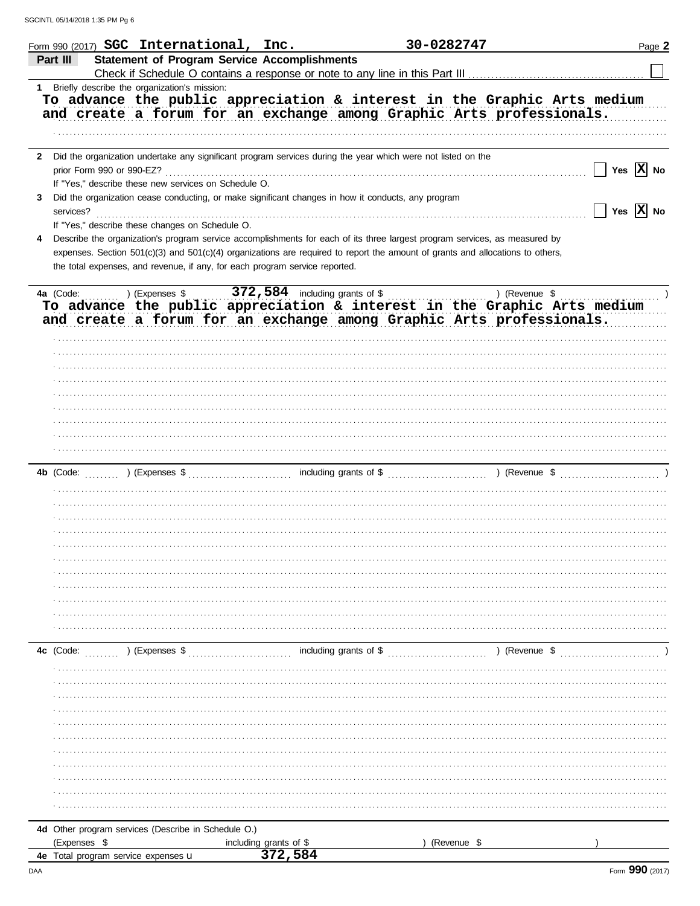|   |                                     | Form 990 (2017) SGC International, Inc.              |                                                                             |                                                                                                                                                                                                                                                              | 30-0282747                                                                                                                                                        | Page 2                              |
|---|-------------------------------------|------------------------------------------------------|-----------------------------------------------------------------------------|--------------------------------------------------------------------------------------------------------------------------------------------------------------------------------------------------------------------------------------------------------------|-------------------------------------------------------------------------------------------------------------------------------------------------------------------|-------------------------------------|
|   | Part III                            |                                                      | <b>Statement of Program Service Accomplishments</b>                         |                                                                                                                                                                                                                                                              | Check if Schedule O contains a response or note to any line in this Part III [11] [11] [11] [11] [11] [11] [1                                                     |                                     |
|   |                                     | 1 Briefly describe the organization's mission:       |                                                                             |                                                                                                                                                                                                                                                              | To advance the public appreciation & interest in the Graphic Arts medium<br>and create a forum for an exchange among Graphic Arts professionals.                  |                                     |
| 3 |                                     | If "Yes," describe these new services on Schedule O. |                                                                             | 2 Did the organization undertake any significant program services during the year which were not listed on the<br>Did the organization cease conducting, or make significant changes in how it conducts, any program                                         |                                                                                                                                                                   | Yes $\overline{X}$ No               |
|   | services?                           | If "Yes," describe these changes on Schedule O.      |                                                                             |                                                                                                                                                                                                                                                              |                                                                                                                                                                   | $\sqrt{}$ Yes $\boxed{\text{X}}$ No |
| 4 |                                     |                                                      | the total expenses, and revenue, if any, for each program service reported. | Describe the organization's program service accomplishments for each of its three largest program services, as measured by<br>expenses. Section 501(c)(3) and 501(c)(4) organizations are required to report the amount of grants and allocations to others, |                                                                                                                                                                   |                                     |
|   |                                     |                                                      |                                                                             |                                                                                                                                                                                                                                                              | ) (Revenue \$<br>To advance the public appreciation & interest in the Graphic Arts medium<br>and create a forum for an exchange among Graphic Arts professionals. |                                     |
|   |                                     |                                                      |                                                                             |                                                                                                                                                                                                                                                              |                                                                                                                                                                   |                                     |
|   |                                     |                                                      |                                                                             |                                                                                                                                                                                                                                                              |                                                                                                                                                                   |                                     |
|   |                                     |                                                      |                                                                             |                                                                                                                                                                                                                                                              |                                                                                                                                                                   |                                     |
|   |                                     |                                                      |                                                                             |                                                                                                                                                                                                                                                              |                                                                                                                                                                   |                                     |
|   |                                     |                                                      |                                                                             |                                                                                                                                                                                                                                                              |                                                                                                                                                                   |                                     |
|   |                                     |                                                      |                                                                             |                                                                                                                                                                                                                                                              |                                                                                                                                                                   |                                     |
|   |                                     |                                                      |                                                                             |                                                                                                                                                                                                                                                              |                                                                                                                                                                   |                                     |
|   |                                     |                                                      |                                                                             |                                                                                                                                                                                                                                                              |                                                                                                                                                                   |                                     |
|   |                                     |                                                      |                                                                             |                                                                                                                                                                                                                                                              |                                                                                                                                                                   |                                     |
|   |                                     |                                                      |                                                                             |                                                                                                                                                                                                                                                              |                                                                                                                                                                   |                                     |
|   | 4c (Code: ) (Expenses \$            |                                                      |                                                                             | including grants of \$                                                                                                                                                                                                                                       | ) (Revenue \$                                                                                                                                                     |                                     |
|   |                                     |                                                      |                                                                             |                                                                                                                                                                                                                                                              |                                                                                                                                                                   |                                     |
|   |                                     |                                                      |                                                                             |                                                                                                                                                                                                                                                              |                                                                                                                                                                   |                                     |
|   |                                     |                                                      |                                                                             |                                                                                                                                                                                                                                                              |                                                                                                                                                                   |                                     |
|   |                                     |                                                      |                                                                             |                                                                                                                                                                                                                                                              |                                                                                                                                                                   |                                     |
|   |                                     |                                                      |                                                                             |                                                                                                                                                                                                                                                              |                                                                                                                                                                   |                                     |
|   | (Expenses \$                        | 4d Other program services (Describe in Schedule O.)  | including grants of \$                                                      |                                                                                                                                                                                                                                                              | (Revenue \$                                                                                                                                                       |                                     |
|   | 4e Total program service expenses u |                                                      | 372,584                                                                     |                                                                                                                                                                                                                                                              |                                                                                                                                                                   |                                     |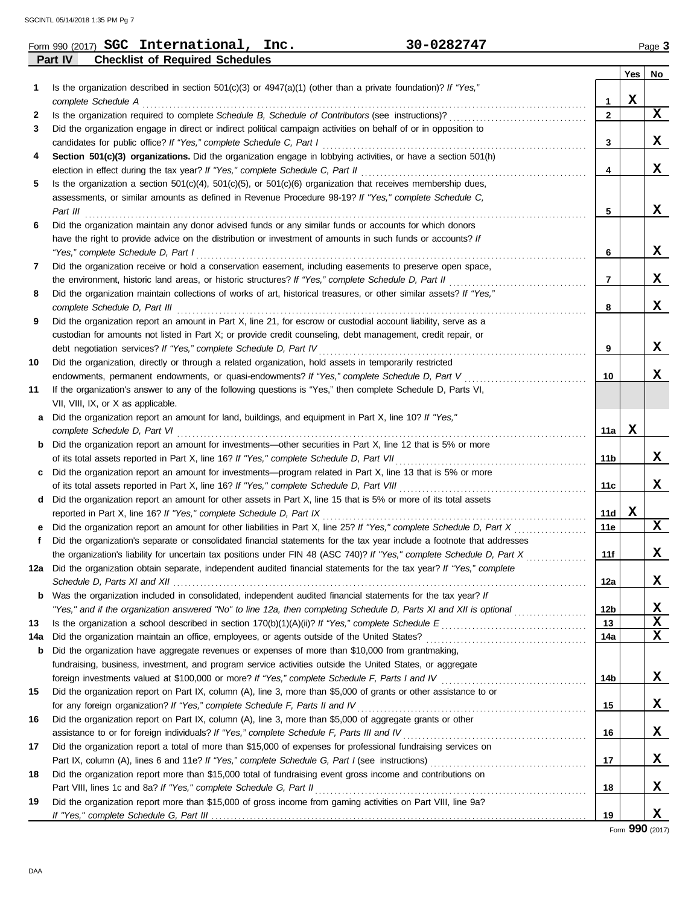| Form 990 (2017) SGC International, Inc.                  | 30-0282747 | Page 3 |
|----------------------------------------------------------|------------|--------|
| <b>Checklist of Required Schedules</b><br><b>Part IV</b> |            |        |

| 1   | Is the organization described in section $501(c)(3)$ or $4947(a)(1)$ (other than a private foundation)? If "Yes,"<br>complete Schedule A                                                   | 1               | Yes<br>X | No          |
|-----|--------------------------------------------------------------------------------------------------------------------------------------------------------------------------------------------|-----------------|----------|-------------|
| 2   | Is the organization required to complete Schedule B, Schedule of Contributors (see instructions)?                                                                                          | $\mathbf{2}$    |          | X           |
| 3   | Did the organization engage in direct or indirect political campaign activities on behalf of or in opposition to<br>candidates for public office? If "Yes," complete Schedule C, Part I    | 3               |          | x           |
| 4   | Section 501(c)(3) organizations. Did the organization engage in lobbying activities, or have a section 501(h)                                                                              |                 |          |             |
|     | election in effect during the tax year? If "Yes," complete Schedule C, Part II                                                                                                             | 4               |          | x           |
| 5   | Is the organization a section $501(c)(4)$ , $501(c)(5)$ , or $501(c)(6)$ organization that receives membership dues,                                                                       |                 |          |             |
|     | assessments, or similar amounts as defined in Revenue Procedure 98-19? If "Yes," complete Schedule C,                                                                                      |                 |          | x           |
| 6   | Part III<br>Did the organization maintain any donor advised funds or any similar funds or accounts for which donors                                                                        | 5               |          |             |
|     | have the right to provide advice on the distribution or investment of amounts in such funds or accounts? If                                                                                |                 |          |             |
|     | "Yes," complete Schedule D, Part I                                                                                                                                                         | 6               |          | x           |
| 7   | Did the organization receive or hold a conservation easement, including easements to preserve open space,                                                                                  |                 |          |             |
|     | the environment, historic land areas, or historic structures? If "Yes," complete Schedule D, Part II                                                                                       | 7               |          | x           |
| 8   | Did the organization maintain collections of works of art, historical treasures, or other similar assets? If "Yes,"                                                                        |                 |          |             |
|     | complete Schedule D, Part III                                                                                                                                                              | 8               |          | x           |
| 9   | Did the organization report an amount in Part X, line 21, for escrow or custodial account liability, serve as a                                                                            |                 |          |             |
|     | custodian for amounts not listed in Part X; or provide credit counseling, debt management, credit repair, or                                                                               |                 |          |             |
|     | debt negotiation services? If "Yes," complete Schedule D, Part IV                                                                                                                          | 9               |          | X.          |
| 10  | Did the organization, directly or through a related organization, hold assets in temporarily restricted                                                                                    |                 |          |             |
|     | endowments, permanent endowments, or quasi-endowments? If "Yes," complete Schedule D, Part V                                                                                               | 10              |          | x           |
| 11  | If the organization's answer to any of the following questions is "Yes," then complete Schedule D, Parts VI,                                                                               |                 |          |             |
|     | VII, VIII, IX, or X as applicable.                                                                                                                                                         |                 |          |             |
| a   | Did the organization report an amount for land, buildings, and equipment in Part X, line 10? If "Yes,"<br>complete Schedule D, Part VI                                                     | 11a             | x        |             |
| b   | Did the organization report an amount for investments—other securities in Part X, line 12 that is 5% or more                                                                               |                 |          |             |
|     | of its total assets reported in Part X, line 16? If "Yes," complete Schedule D, Part VII                                                                                                   | 11b             |          | X.          |
| c.  | Did the organization report an amount for investments—program related in Part X, line 13 that is 5% or more                                                                                |                 |          |             |
|     | of its total assets reported in Part X, line 16? If "Yes," complete Schedule D, Part VIII                                                                                                  | 11c             |          | x           |
| d   | Did the organization report an amount for other assets in Part X, line 15 that is 5% or more of its total assets                                                                           |                 |          |             |
|     | reported in Part X, line 16? If "Yes," complete Schedule D, Part IX                                                                                                                        | 11d             | X        |             |
| е   | Did the organization report an amount for other liabilities in Part X, line 25? If "Yes," complete Schedule D, Part X                                                                      | 11e             |          | X           |
| f   | Did the organization's separate or consolidated financial statements for the tax year include a footnote that addresses                                                                    |                 |          |             |
|     | the organization's liability for uncertain tax positions under FIN 48 (ASC 740)? If "Yes," complete Schedule D, Part X                                                                     | 11f             |          | X           |
|     | 12a Did the organization obtain separate, independent audited financial statements for the tax year? If "Yes," complete                                                                    |                 |          |             |
|     |                                                                                                                                                                                            | 12a             |          | x           |
| b   | Was the organization included in consolidated, independent audited financial statements for the tax year? If                                                                               |                 |          |             |
|     | "Yes," and if the organization answered "No" to line 12a, then completing Schedule D, Parts XI and XII is optional                                                                         | 12 <sub>b</sub> |          | X           |
| 13  |                                                                                                                                                                                            | 13              |          | $\mathbf x$ |
| 14a |                                                                                                                                                                                            | 14a             |          | X           |
| b   | Did the organization have aggregate revenues or expenses of more than \$10,000 from grantmaking,                                                                                           |                 |          |             |
|     | fundraising, business, investment, and program service activities outside the United States, or aggregate                                                                                  |                 |          |             |
|     |                                                                                                                                                                                            | 14b             |          | X           |
| 15  | Did the organization report on Part IX, column (A), line 3, more than \$5,000 of grants or other assistance to or                                                                          |                 |          | X           |
| 16  | for any foreign organization? If "Yes," complete Schedule F, Parts II and IV<br>Did the organization report on Part IX, column (A), line 3, more than \$5,000 of aggregate grants or other | 15              |          |             |
|     | assistance to or for foreign individuals? If "Yes," complete Schedule F, Parts III and IV                                                                                                  | 16              |          | X           |
| 17  | Did the organization report a total of more than \$15,000 of expenses for professional fundraising services on                                                                             |                 |          |             |
|     |                                                                                                                                                                                            | 17              |          | X           |
| 18  | Did the organization report more than \$15,000 total of fundraising event gross income and contributions on                                                                                |                 |          |             |
|     | Part VIII, lines 1c and 8a? If "Yes," complete Schedule G, Part II                                                                                                                         | 18              |          | X           |
| 19  | Did the organization report more than \$15,000 of gross income from gaming activities on Part VIII, line 9a?                                                                               |                 |          |             |
|     |                                                                                                                                                                                            | 19              |          | X.          |

Form **990** (2017)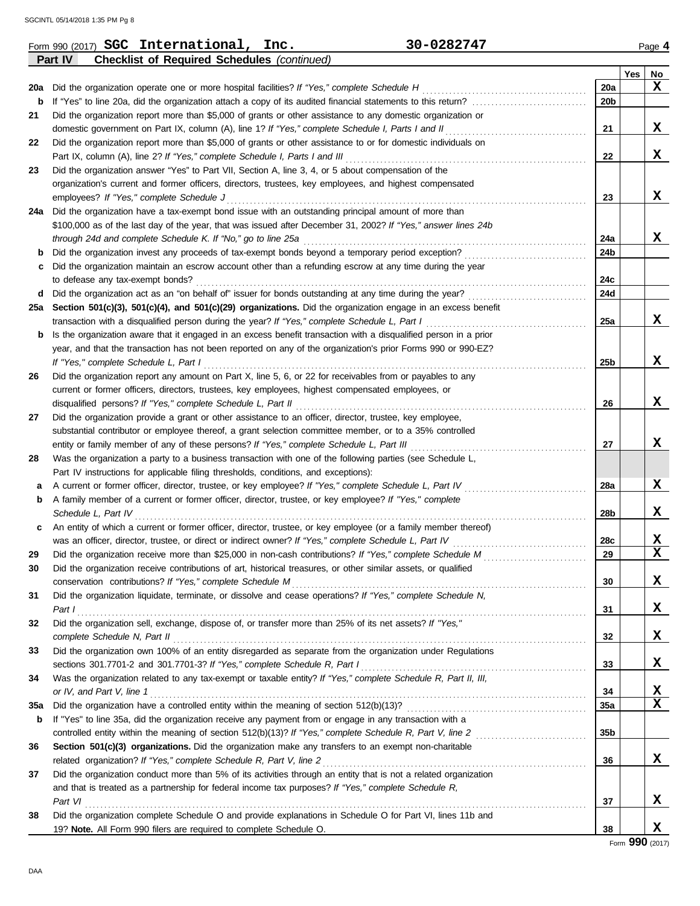|          | 30-0282747<br>Form 990 (2017) <b>SGC</b> International, Inc.                                                                           |                 |     | Page 4                  |
|----------|----------------------------------------------------------------------------------------------------------------------------------------|-----------------|-----|-------------------------|
|          | Part IV<br><b>Checklist of Required Schedules (continued)</b>                                                                          |                 |     |                         |
|          |                                                                                                                                        |                 | Yes | No                      |
| 20a      | Did the organization operate one or more hospital facilities? If "Yes," complete Schedule H                                            | 20a             |     | x                       |
| b        |                                                                                                                                        | 20b             |     |                         |
| 21       | Did the organization report more than \$5,000 of grants or other assistance to any domestic organization or                            |                 |     |                         |
|          | domestic government on Part IX, column (A), line 1? If "Yes," complete Schedule I, Parts I and II                                      | 21              |     | X                       |
| 22       | Did the organization report more than \$5,000 of grants or other assistance to or for domestic individuals on                          |                 |     |                         |
|          | Part IX, column (A), line 2? If "Yes," complete Schedule I, Parts I and III                                                            | 22              |     | X                       |
| 23       | Did the organization answer "Yes" to Part VII, Section A, line 3, 4, or 5 about compensation of the                                    |                 |     |                         |
|          | organization's current and former officers, directors, trustees, key employees, and highest compensated                                |                 |     |                         |
|          | employees? If "Yes," complete Schedule J                                                                                               | 23              |     | X                       |
|          | 24a Did the organization have a tax-exempt bond issue with an outstanding principal amount of more than                                |                 |     |                         |
|          | \$100,000 as of the last day of the year, that was issued after December 31, 2002? If "Yes," answer lines 24b                          |                 |     |                         |
|          | through 24d and complete Schedule K. If "No," go to line 25a                                                                           | 24a             |     | X                       |
| b        | Did the organization invest any proceeds of tax-exempt bonds beyond a temporary period exception?                                      | 24b             |     |                         |
| c        | Did the organization maintain an escrow account other than a refunding escrow at any time during the year                              |                 |     |                         |
|          | to defease any tax-exempt bonds?                                                                                                       | 24c             |     |                         |
|          | d Did the organization act as an "on behalf of" issuer for bonds outstanding at any time during the year?                              | 24d             |     |                         |
|          | 25a Section 501(c)(3), 501(c)(4), and 501(c)(29) organizations. Did the organization engage in an excess benefit                       |                 |     |                         |
|          | transaction with a disqualified person during the year? If "Yes," complete Schedule L, Part I                                          | 25a             |     | X                       |
| b        | Is the organization aware that it engaged in an excess benefit transaction with a disqualified person in a prior                       |                 |     |                         |
|          | year, and that the transaction has not been reported on any of the organization's prior Forms 990 or 990-EZ?                           |                 |     |                         |
|          | If "Yes," complete Schedule L, Part I                                                                                                  | 25b             |     | X                       |
| 26       | Did the organization report any amount on Part X, line 5, 6, or 22 for receivables from or payables to any                             |                 |     |                         |
|          | current or former officers, directors, trustees, key employees, highest compensated employees, or                                      |                 |     | X                       |
|          | disqualified persons? If "Yes," complete Schedule L, Part II                                                                           | 26              |     |                         |
| 27       | Did the organization provide a grant or other assistance to an officer, director, trustee, key employee,                               |                 |     |                         |
|          | substantial contributor or employee thereof, a grant selection committee member, or to a 35% controlled                                |                 |     | X                       |
|          | entity or family member of any of these persons? If "Yes," complete Schedule L, Part III                                               | 27              |     |                         |
| 28       | Was the organization a party to a business transaction with one of the following parties (see Schedule L,                              |                 |     |                         |
|          | Part IV instructions for applicable filing thresholds, conditions, and exceptions):                                                    |                 |     | X                       |
| а        | A current or former officer, director, trustee, or key employee? If "Yes," complete Schedule L, Part IV                                | 28a             |     |                         |
| b        | A family member of a current or former officer, director, trustee, or key employee? If "Yes," complete                                 |                 |     | x                       |
|          | Schedule L, Part IV<br>An entity of which a current or former officer, director, trustee, or key employee (or a family member thereof) | 28b             |     |                         |
| c        |                                                                                                                                        |                 |     | X                       |
|          | was an officer, director, trustee, or direct or indirect owner? If "Yes," complete Schedule L, Part IV                                 | 28c<br>29       |     | $\overline{\mathbf{X}}$ |
| 29<br>30 | Did the organization receive contributions of art, historical treasures, or other similar assets, or qualified                         |                 |     |                         |
|          | conservation contributions? If "Yes," complete Schedule M                                                                              | 30              |     | X                       |
| 31       | Did the organization liquidate, terminate, or dissolve and cease operations? If "Yes," complete Schedule N,                            |                 |     |                         |
|          | Part I                                                                                                                                 | 31              |     | X                       |
| 32       | Did the organization sell, exchange, dispose of, or transfer more than 25% of its net assets? If "Yes,"                                |                 |     |                         |
|          | complete Schedule N, Part II                                                                                                           | 32              |     | X                       |
| 33       | Did the organization own 100% of an entity disregarded as separate from the organization under Regulations                             |                 |     |                         |
|          | sections 301.7701-2 and 301.7701-3? If "Yes," complete Schedule R, Part I                                                              | 33              |     | X                       |
| 34       | Was the organization related to any tax-exempt or taxable entity? If "Yes," complete Schedule R, Part II, III,                         |                 |     |                         |
|          | or IV, and Part V, line 1                                                                                                              | 34              |     | х                       |
| 35a      |                                                                                                                                        | 35a             |     | $\mathbf x$             |
| b        | If "Yes" to line 35a, did the organization receive any payment from or engage in any transaction with a                                |                 |     |                         |
|          |                                                                                                                                        | 35 <sub>b</sub> |     |                         |
| 36       | Section 501(c)(3) organizations. Did the organization make any transfers to an exempt non-charitable                                   |                 |     |                         |
|          | related organization? If "Yes," complete Schedule R, Part V, line 2                                                                    | 36              |     | X                       |
| 37       | Did the organization conduct more than 5% of its activities through an entity that is not a related organization                       |                 |     |                         |
|          | and that is treated as a partnership for federal income tax purposes? If "Yes," complete Schedule R,                                   |                 |     |                         |
|          | Part VI                                                                                                                                | 37              |     | X                       |
| 38       | Did the organization complete Schedule O and provide explanations in Schedule O for Part VI, lines 11b and                             |                 |     |                         |
|          | 19? Note. All Form 990 filers are required to complete Schedule O.                                                                     | 38              |     | X                       |
|          |                                                                                                                                        |                 |     |                         |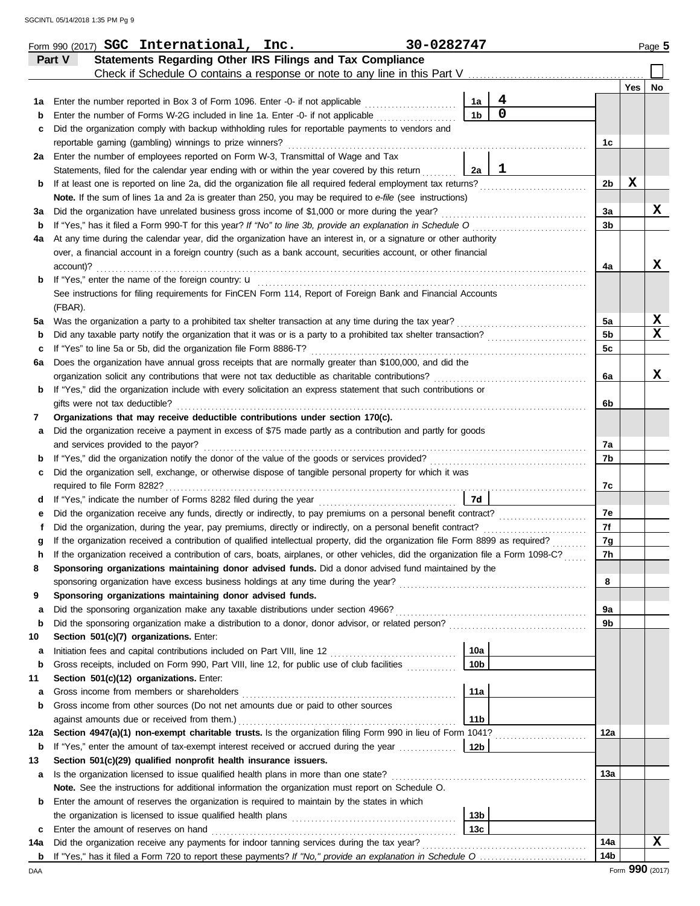|     | Form 990 (2017) SGC International, Inc.                                                                                                                                                                                                    | 30-0282747      |                     |                |     | Page 5 |
|-----|--------------------------------------------------------------------------------------------------------------------------------------------------------------------------------------------------------------------------------------------|-----------------|---------------------|----------------|-----|--------|
|     | Statements Regarding Other IRS Filings and Tax Compliance<br>Part V                                                                                                                                                                        |                 |                     |                |     |        |
|     | Check if Schedule O contains a response or note to any line in this Part V                                                                                                                                                                 |                 |                     |                |     |        |
|     |                                                                                                                                                                                                                                            |                 |                     |                | Yes | No     |
| 1а  | Enter the number reported in Box 3 of Form 1096. Enter -0- if not applicable                                                                                                                                                               | 1a              | 4<br>$\overline{0}$ |                |     |        |
| b   | Enter the number of Forms W-2G included in line 1a. Enter -0- if not applicable                                                                                                                                                            | 1 <sub>b</sub>  |                     |                |     |        |
| c   | Did the organization comply with backup withholding rules for reportable payments to vendors and                                                                                                                                           |                 |                     |                |     |        |
|     | reportable gaming (gambling) winnings to prize winners?                                                                                                                                                                                    |                 |                     | 1c             |     |        |
| 2a  | Enter the number of employees reported on Form W-3, Transmittal of Wage and Tax                                                                                                                                                            |                 | 1                   |                |     |        |
|     | Statements, filed for the calendar year ending with or within the year covered by this return                                                                                                                                              | 2a              |                     | 2b             | X   |        |
| b   | If at least one is reported on line 2a, did the organization file all required federal employment tax returns?<br>Note. If the sum of lines 1a and 2a is greater than 250, you may be required to e-file (see instructions)                |                 |                     |                |     |        |
| За  | Did the organization have unrelated business gross income of \$1,000 or more during the year?                                                                                                                                              |                 |                     | 3a             |     | x      |
| b   | If "Yes," has it filed a Form 990-T for this year? If "No" to line 3b, provide an explanation in Schedule O                                                                                                                                |                 |                     | 3b             |     |        |
| 4a  | At any time during the calendar year, did the organization have an interest in, or a signature or other authority                                                                                                                          |                 |                     |                |     |        |
|     | over, a financial account in a foreign country (such as a bank account, securities account, or other financial                                                                                                                             |                 |                     |                |     |        |
|     | account)?                                                                                                                                                                                                                                  |                 |                     | 4a             |     | X      |
| b   | If "Yes," enter the name of the foreign country: <b>u</b>                                                                                                                                                                                  |                 |                     |                |     |        |
|     | See instructions for filing requirements for FinCEN Form 114, Report of Foreign Bank and Financial Accounts                                                                                                                                |                 |                     |                |     |        |
|     | (FBAR).                                                                                                                                                                                                                                    |                 |                     |                |     |        |
| 5a  | Was the organization a party to a prohibited tax shelter transaction at any time during the tax year?                                                                                                                                      |                 |                     | 5a             |     | X      |
| b   | Did any taxable party notify the organization that it was or is a party to a prohibited tax shelter transaction?                                                                                                                           |                 |                     | 5 <sub>b</sub> |     | X      |
| c   | If "Yes" to line 5a or 5b, did the organization file Form 8886-T?                                                                                                                                                                          |                 |                     | 5c             |     |        |
| 6a  | Does the organization have annual gross receipts that are normally greater than \$100,000, and did the                                                                                                                                     |                 |                     |                |     |        |
|     | organization solicit any contributions that were not tax deductible as charitable contributions?                                                                                                                                           |                 |                     | 6a             |     | x      |
| b   | If "Yes," did the organization include with every solicitation an express statement that such contributions or                                                                                                                             |                 |                     |                |     |        |
|     | gifts were not tax deductible?                                                                                                                                                                                                             |                 |                     | 6b             |     |        |
| 7   | Organizations that may receive deductible contributions under section 170(c).                                                                                                                                                              |                 |                     |                |     |        |
| a   | Did the organization receive a payment in excess of \$75 made partly as a contribution and partly for goods                                                                                                                                |                 |                     |                |     |        |
|     | and services provided to the payor?                                                                                                                                                                                                        |                 |                     | 7a             |     |        |
| b   | If "Yes," did the organization notify the donor of the value of the goods or services provided?                                                                                                                                            |                 |                     | 7b             |     |        |
| c   | Did the organization sell, exchange, or otherwise dispose of tangible personal property for which it was                                                                                                                                   |                 |                     |                |     |        |
|     | required to file Form 8282?                                                                                                                                                                                                                |                 |                     | 7c             |     |        |
| d   | If "Yes," indicate the number of Forms 8282 filed during the year                                                                                                                                                                          | <b>7d</b>       |                     |                |     |        |
| е   | Did the organization receive any funds, directly or indirectly, to pay premiums on a personal benefit contract?                                                                                                                            |                 |                     | 7e             |     |        |
| f   | Did the organization, during the year, pay premiums, directly or indirectly, on a personal benefit contract?                                                                                                                               |                 |                     | 7f             |     |        |
|     | If the organization received a contribution of qualified intellectual property, did the organization file Form 8899 as required?                                                                                                           |                 |                     | 7g<br>7h       |     |        |
|     | If the organization received a contribution of cars, boats, airplanes, or other vehicles, did the organization file a Form 1098-C?<br>Sponsoring organizations maintaining donor advised funds. Did a donor advised fund maintained by the |                 |                     |                |     |        |
| 8   | sponsoring organization have excess business holdings at any time during the year?                                                                                                                                                         |                 |                     | 8              |     |        |
| 9   | Sponsoring organizations maintaining donor advised funds.                                                                                                                                                                                  |                 |                     |                |     |        |
| a   | Did the sponsoring organization make any taxable distributions under section 4966?                                                                                                                                                         |                 |                     | 9a             |     |        |
| b   | Did the sponsoring organization make a distribution to a donor, donor advisor, or related person?                                                                                                                                          |                 |                     | 9b             |     |        |
| 10  | Section 501(c)(7) organizations. Enter:                                                                                                                                                                                                    |                 |                     |                |     |        |
| а   | Initiation fees and capital contributions included on Part VIII, line 12                                                                                                                                                                   | 10a             |                     |                |     |        |
| b   | Gross receipts, included on Form 990, Part VIII, line 12, for public use of club facilities                                                                                                                                                | 10 <sub>b</sub> |                     |                |     |        |
| 11  | Section 501(c)(12) organizations. Enter:                                                                                                                                                                                                   |                 |                     |                |     |        |
| а   | Gross income from members or shareholders                                                                                                                                                                                                  | 11a             |                     |                |     |        |
| b   | Gross income from other sources (Do not net amounts due or paid to other sources                                                                                                                                                           |                 |                     |                |     |        |
|     | against amounts due or received from them.)                                                                                                                                                                                                | 11 <sub>b</sub> |                     |                |     |        |
| 12a | Section 4947(a)(1) non-exempt charitable trusts. Is the organization filing Form 990 in lieu of Form 1041?                                                                                                                                 |                 |                     | 12a            |     |        |
| b   | If "Yes," enter the amount of tax-exempt interest received or accrued during the year                                                                                                                                                      | 12b             |                     |                |     |        |
| 13  | Section 501(c)(29) qualified nonprofit health insurance issuers.                                                                                                                                                                           |                 |                     |                |     |        |
| a   | Is the organization licensed to issue qualified health plans in more than one state?                                                                                                                                                       |                 |                     | 13a            |     |        |
|     | Note. See the instructions for additional information the organization must report on Schedule O.                                                                                                                                          |                 |                     |                |     |        |
| b   | Enter the amount of reserves the organization is required to maintain by the states in which                                                                                                                                               |                 |                     |                |     |        |
|     |                                                                                                                                                                                                                                            | 13b             |                     |                |     |        |
| c   | Enter the amount of reserves on hand                                                                                                                                                                                                       | 13 <sub>c</sub> |                     |                |     |        |
| 14a | Did the organization receive any payments for indoor tanning services during the tax year?                                                                                                                                                 |                 |                     | 14a            |     | x      |
|     |                                                                                                                                                                                                                                            |                 |                     | 14b            |     |        |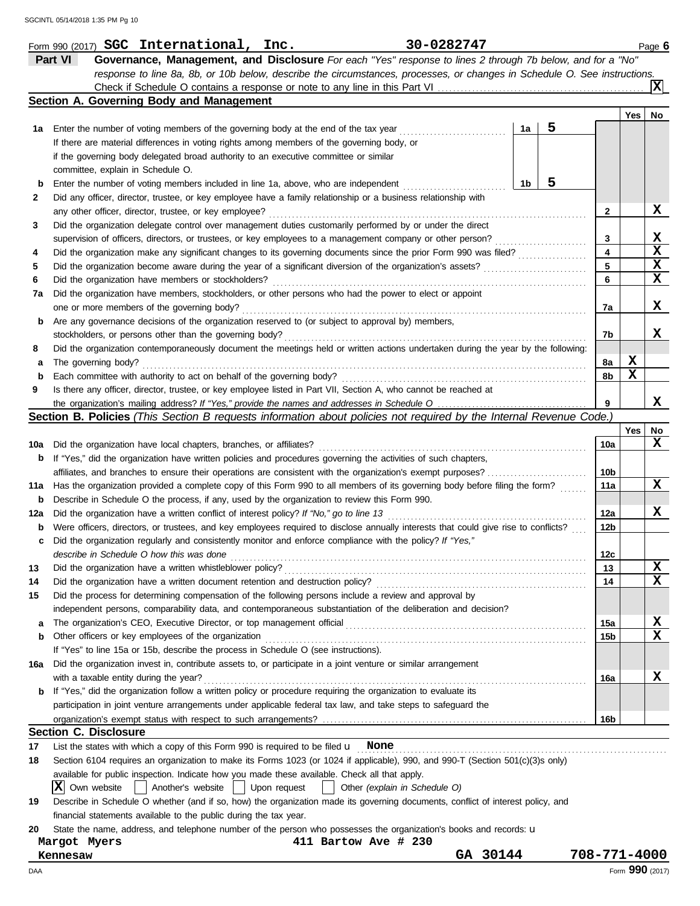|     | 30-0282747<br>Form 990 (2017) SGC International, Inc.                                                                               |    |   |                 |     | Page 6      |
|-----|-------------------------------------------------------------------------------------------------------------------------------------|----|---|-----------------|-----|-------------|
|     | Part VI<br>Governance, Management, and Disclosure For each "Yes" response to lines 2 through 7b below, and for a "No"               |    |   |                 |     |             |
|     | response to line 8a, 8b, or 10b below, describe the circumstances, processes, or changes in Schedule O. See instructions.           |    |   |                 |     |             |
|     |                                                                                                                                     |    |   |                 |     | ΙXΙ         |
|     | Section A. Governing Body and Management                                                                                            |    |   |                 |     |             |
|     |                                                                                                                                     |    |   |                 | Yes | No          |
| 1а  | Enter the number of voting members of the governing body at the end of the tax year                                                 | 1a | 5 |                 |     |             |
|     | If there are material differences in voting rights among members of the governing body, or                                          |    |   |                 |     |             |
|     | if the governing body delegated broad authority to an executive committee or similar                                                |    |   |                 |     |             |
|     | committee, explain in Schedule O.                                                                                                   |    |   |                 |     |             |
| b   | Enter the number of voting members included in line 1a, above, who are independent                                                  | 1b | 5 |                 |     |             |
| 2   | Did any officer, director, trustee, or key employee have a family relationship or a business relationship with                      |    |   |                 |     |             |
|     | any other officer, director, trustee, or key employee?                                                                              |    |   | 2               |     | X           |
| 3   | Did the organization delegate control over management duties customarily performed by or under the direct                           |    |   |                 |     |             |
|     | supervision of officers, directors, or trustees, or key employees to a management company or other person?                          |    |   | 3               |     | X           |
| 4   | Did the organization make any significant changes to its governing documents since the prior Form 990 was filed?                    |    |   | 4               |     | $\mathbf x$ |
| 5   | Did the organization become aware during the year of a significant diversion of the organization's assets?                          |    |   | 5               |     | X           |
| 6   | Did the organization have members or stockholders?                                                                                  |    |   | 6               |     | $\mathbf x$ |
| 7a  | Did the organization have members, stockholders, or other persons who had the power to elect or appoint                             |    |   |                 |     |             |
|     | one or more members of the governing body?                                                                                          |    |   | 7a              |     | X           |
| b   | Are any governance decisions of the organization reserved to (or subject to approval by) members,                                   |    |   |                 |     |             |
|     | stockholders, or persons other than the governing body?                                                                             |    |   | 7b              |     | x           |
| 8   | Did the organization contemporaneously document the meetings held or written actions undertaken during the year by the following:   |    |   |                 |     |             |
|     |                                                                                                                                     |    |   |                 | X   |             |
| а   | The governing body?                                                                                                                 |    |   | 8а              | X   |             |
| b   | Each committee with authority to act on behalf of the governing body?                                                               |    |   | 8b              |     |             |
| 9   | Is there any officer, director, trustee, or key employee listed in Part VII, Section A, who cannot be reached at                    |    |   |                 |     |             |
|     |                                                                                                                                     |    |   | 9               |     | x           |
|     | <b>Section B. Policies</b> (This Section B requests information about policies not required by the Internal Revenue Code.)          |    |   |                 |     |             |
|     |                                                                                                                                     |    |   |                 | Yes | No          |
| 10a | Did the organization have local chapters, branches, or affiliates?                                                                  |    |   | 10a             |     | X           |
| b   | If "Yes," did the organization have written policies and procedures governing the activities of such chapters,                      |    |   |                 |     |             |
|     | affiliates, and branches to ensure their operations are consistent with the organization's exempt purposes?                         |    |   | 10b             |     |             |
| 11a | Has the organization provided a complete copy of this Form 990 to all members of its governing body before filing the form?         |    |   | 11a             |     | x           |
| b   | Describe in Schedule O the process, if any, used by the organization to review this Form 990.                                       |    |   |                 |     |             |
| 12a | Did the organization have a written conflict of interest policy? If "No," go to line 13                                             |    |   | 12a             |     | x           |
| b   | Were officers, directors, or trustees, and key employees required to disclose annually interests that could give rise to conflicts? |    |   | 12b             |     |             |
| c   | Did the organization regularly and consistently monitor and enforce compliance with the policy? If "Yes,"                           |    |   |                 |     |             |
|     | describe in Schedule O how this was done                                                                                            |    |   | 12 <sub>c</sub> |     |             |
| 13  | Did the organization have a written whistleblower policy?                                                                           |    |   | 13              |     | X           |
| 14  | Did the organization have a written document retention and destruction policy?                                                      |    |   | 14              |     | X           |
| 15  | Did the process for determining compensation of the following persons include a review and approval by                              |    |   |                 |     |             |
|     | independent persons, comparability data, and contemporaneous substantiation of the deliberation and decision?                       |    |   |                 |     |             |
| a   | The organization's CEO, Executive Director, or top management official                                                              |    |   | 15a             |     | X           |
| b   | Other officers or key employees of the organization                                                                                 |    |   | 15b             |     | X           |
|     | If "Yes" to line 15a or 15b, describe the process in Schedule O (see instructions).                                                 |    |   |                 |     |             |
| 16a | Did the organization invest in, contribute assets to, or participate in a joint venture or similar arrangement                      |    |   |                 |     |             |
|     | with a taxable entity during the year?                                                                                              |    |   | 16a             |     | X           |
|     | If "Yes," did the organization follow a written policy or procedure requiring the organization to evaluate its                      |    |   |                 |     |             |
|     | participation in joint venture arrangements under applicable federal tax law, and take steps to safeguard the                       |    |   |                 |     |             |
|     |                                                                                                                                     |    |   | 16b             |     |             |
|     | <b>Section C. Disclosure</b>                                                                                                        |    |   |                 |     |             |
| 17  | List the states with which a copy of this Form 990 is required to be filed $\mathbf u$ None                                         |    |   |                 |     |             |
| 18  | Section 6104 requires an organization to make its Forms 1023 (or 1024 if applicable), 990, and 990-T (Section 501(c)(3)s only)      |    |   |                 |     |             |
|     | available for public inspection. Indicate how you made these available. Check all that apply.                                       |    |   |                 |     |             |
|     | IXI<br>Another's website     Upon request<br>Own website<br>Other (explain in Schedule O)                                           |    |   |                 |     |             |
|     |                                                                                                                                     |    |   |                 |     |             |
| 19  | Describe in Schedule O whether (and if so, how) the organization made its governing documents, conflict of interest policy, and     |    |   |                 |     |             |
|     | financial statements available to the public during the tax year.                                                                   |    |   |                 |     |             |
| 20  | State the name, address, and telephone number of the person who possesses the organization's books and records: u                   |    |   |                 |     |             |
|     | 411 Bartow Ave # 230<br>Margot Myers<br>GA 30144                                                                                    |    |   |                 |     |             |
|     | Kennesaw                                                                                                                            |    |   | 708-771-4000    |     |             |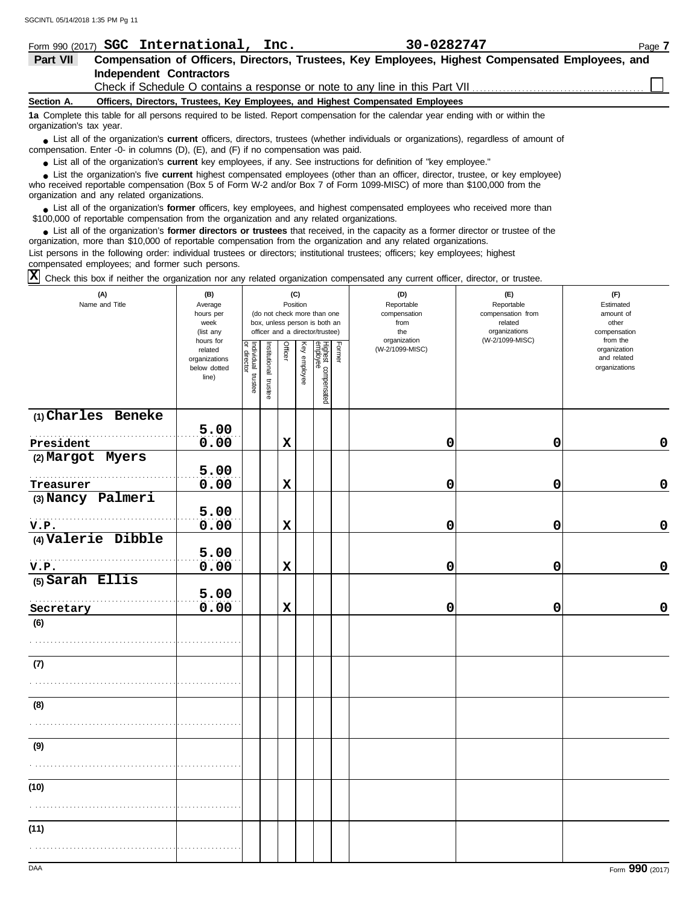| Form 990 (2017)          | SGC International, Inc.                                                                                            | 30-0282747                                                                                                                             | Page 7 |
|--------------------------|--------------------------------------------------------------------------------------------------------------------|----------------------------------------------------------------------------------------------------------------------------------------|--------|
| Part VII                 |                                                                                                                    | Compensation of Officers, Directors, Trustees, Key Employees, Highest Compensated Employees, and                                       |        |
|                          | <b>Independent Contractors</b>                                                                                     |                                                                                                                                        |        |
|                          |                                                                                                                    |                                                                                                                                        |        |
| Section A.               | Officers, Directors, Trustees, Key Employees, and Highest Compensated Employees                                    |                                                                                                                                        |        |
| organization's tax year. |                                                                                                                    | 1a Complete this table for all persons required to be listed. Report compensation for the calendar year ending with or within the      |        |
|                          | compensation. Enter -0- in columns $(D)$ , $(E)$ , and $(F)$ if no compensation was paid.                          | • List all of the organization's current officers, directors, trustees (whether individuals or organizations), regardless of amount of |        |
|                          | • List all of the organization's current key employees, if any. See instructions for definition of "key employee." |                                                                                                                                        |        |
|                          |                                                                                                                    | • List the organization's five current highest compensated employees (other than an officer, director, trustee, or key employee)       |        |

who received reportable compensation (Box 5 of Form W-2 and/or Box 7 of Form 1099-MISC) of more than \$100,000 from the organization and any related organizations. **•**

■ List all of the organization's **former** officers, key employees, and highest compensated employees who received more than<br> **•** 00.000 of reportable compensation from the ergonization and any related ergonizations \$100,000 of reportable compensation from the organization and any related organizations.

■ List all of the organization's **former directors or trustees** that received, in the capacity as a former director or trustee of the<br>paization, more than \$10,000 of reportable compensation from the organization and any r organization, more than \$10,000 of reportable compensation from the organization and any related organizations. List persons in the following order: individual trustees or directors; institutional trustees; officers; key employees; highest compensated employees; and former such persons.

 $\overline{X}$  Check this box if neither the organization nor any related organization compensated any current officer, director, or trustee.

| (A)<br>Name and Title | (B)<br>Average<br>hours per<br>week<br>(list any               |                                   |                       | Position    | (C)          | (do not check more than one<br>box, unless person is both an<br>officer and a director/trustee) |        | (D)<br>Reportable<br>compensation<br>from<br>the | (E)<br>Reportable<br>compensation from<br>related<br>organizations | (F)<br>Estimated<br>amount of<br>other<br>compensation   |
|-----------------------|----------------------------------------------------------------|-----------------------------------|-----------------------|-------------|--------------|-------------------------------------------------------------------------------------------------|--------|--------------------------------------------------|--------------------------------------------------------------------|----------------------------------------------------------|
|                       | hours for<br>related<br>organizations<br>below dotted<br>line) | Individual trustee<br>or director | Institutional trustee | Officer     | Key employee | Highest compensated<br>employee                                                                 | Former | organization<br>(W-2/1099-MISC)                  | (W-2/1099-MISC)                                                    | from the<br>organization<br>and related<br>organizations |
| (1) Charles Beneke    | 5.00                                                           |                                   |                       |             |              |                                                                                                 |        |                                                  |                                                                    |                                                          |
| President             | 0.00                                                           |                                   |                       | $\mathbf x$ |              |                                                                                                 |        | 0                                                | 0                                                                  | $\mathbf 0$                                              |
| (2) Margot Myers      | 5.00                                                           |                                   |                       |             |              |                                                                                                 |        |                                                  |                                                                    |                                                          |
| Treasurer             | 0.00                                                           |                                   |                       | $\mathbf x$ |              |                                                                                                 |        | 0                                                | 0                                                                  | $\pmb{0}$                                                |
| (3) Nancy Palmeri     |                                                                |                                   |                       |             |              |                                                                                                 |        |                                                  |                                                                    |                                                          |
| V.P.                  | 5.00<br>0.00                                                   |                                   |                       | $\mathbf x$ |              |                                                                                                 |        | 0                                                | 0                                                                  | $\pmb{0}$                                                |
| (4) Valerie Dibble    |                                                                |                                   |                       |             |              |                                                                                                 |        |                                                  |                                                                    |                                                          |
|                       | 5.00                                                           |                                   |                       |             |              |                                                                                                 |        |                                                  |                                                                    |                                                          |
| V.P.                  | 0.00                                                           |                                   |                       | $\mathbf x$ |              |                                                                                                 |        | 0                                                | 0                                                                  | $\mathbf 0$                                              |
| (5) Sarah Ellis       | 5.00                                                           |                                   |                       |             |              |                                                                                                 |        |                                                  |                                                                    |                                                          |
| Secretary             | 0.00                                                           |                                   |                       | $\mathbf x$ |              |                                                                                                 |        | 0                                                | 0                                                                  | $\mathbf 0$                                              |
| (6)                   |                                                                |                                   |                       |             |              |                                                                                                 |        |                                                  |                                                                    |                                                          |
| (7)                   |                                                                |                                   |                       |             |              |                                                                                                 |        |                                                  |                                                                    |                                                          |
|                       |                                                                |                                   |                       |             |              |                                                                                                 |        |                                                  |                                                                    |                                                          |
| (8)                   |                                                                |                                   |                       |             |              |                                                                                                 |        |                                                  |                                                                    |                                                          |
|                       |                                                                |                                   |                       |             |              |                                                                                                 |        |                                                  |                                                                    |                                                          |
| (9)                   |                                                                |                                   |                       |             |              |                                                                                                 |        |                                                  |                                                                    |                                                          |
|                       |                                                                |                                   |                       |             |              |                                                                                                 |        |                                                  |                                                                    |                                                          |
| (10)                  |                                                                |                                   |                       |             |              |                                                                                                 |        |                                                  |                                                                    |                                                          |
|                       |                                                                |                                   |                       |             |              |                                                                                                 |        |                                                  |                                                                    |                                                          |
| (11)                  |                                                                |                                   |                       |             |              |                                                                                                 |        |                                                  |                                                                    |                                                          |
|                       |                                                                |                                   |                       |             |              |                                                                                                 |        |                                                  |                                                                    |                                                          |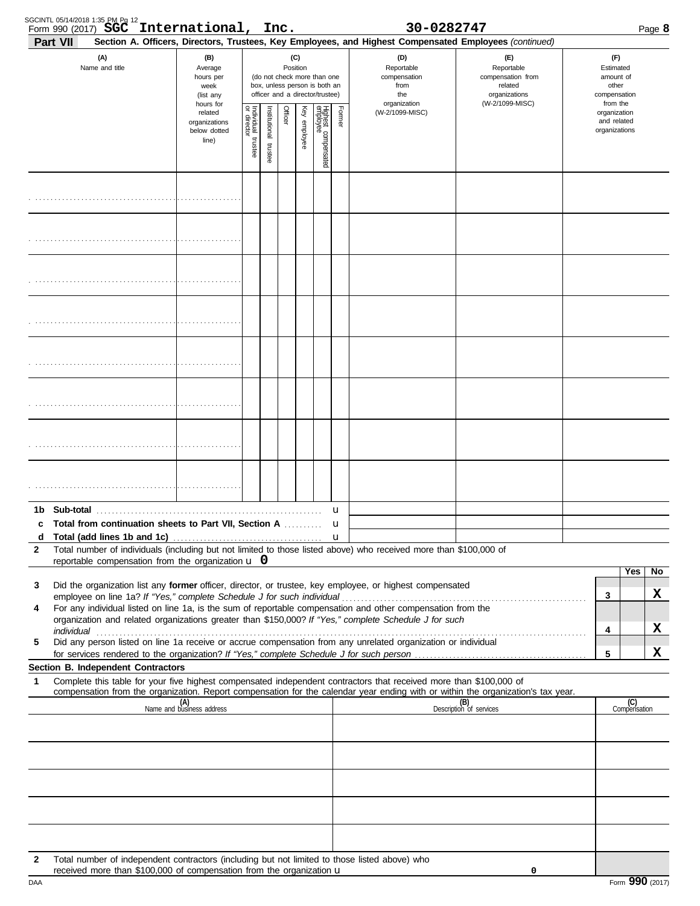| SGCINTL 05/14/2018 1:35 PM Pg 12<br>Form 990 (2017) <b>SGC</b><br>Part VII |                                                                                                                                                                       | International, Inc.                        |                         |                          |                 |                                                                                                 |                                 |                                                                                                                                                            | 30-0282747                                                                                                         |                                                                                                                                                                                                                                |                                                        |                                                          | Page 8              |
|----------------------------------------------------------------------------|-----------------------------------------------------------------------------------------------------------------------------------------------------------------------|--------------------------------------------|-------------------------|--------------------------|-----------------|-------------------------------------------------------------------------------------------------|---------------------------------|------------------------------------------------------------------------------------------------------------------------------------------------------------|--------------------------------------------------------------------------------------------------------------------|--------------------------------------------------------------------------------------------------------------------------------------------------------------------------------------------------------------------------------|--------------------------------------------------------|----------------------------------------------------------|---------------------|
| (A)<br>(B)<br>Name and title<br>Average<br>hours per<br>week<br>(list any  |                                                                                                                                                                       |                                            |                         |                          | (C)<br>Position | (do not check more than one<br>box, unless person is both an<br>officer and a director/trustee) |                                 | Section A. Officers, Directors, Trustees, Key Employees, and Highest Compensated Employees (continued)<br>(D)<br>Reportable<br>compensation<br>from<br>the | (F)<br>Reportable<br>compensation from<br>related<br>organizations                                                 |                                                                                                                                                                                                                                | (F)<br>Estimated<br>amount of<br>other<br>compensation |                                                          |                     |
| related<br>line)                                                           |                                                                                                                                                                       | hours for<br>organizations<br>below dotted | Individual 1<br>trustee | Institutional<br>trustee | Officer         | Key employee                                                                                    | Highest compensated<br>employee | Former                                                                                                                                                     | organization<br>(W-2/1099-MISC)                                                                                    | (W-2/1099-MISC)                                                                                                                                                                                                                |                                                        | from the<br>organization<br>and related<br>organizations |                     |
|                                                                            |                                                                                                                                                                       |                                            |                         |                          |                 |                                                                                                 |                                 |                                                                                                                                                            |                                                                                                                    |                                                                                                                                                                                                                                |                                                        |                                                          |                     |
|                                                                            |                                                                                                                                                                       |                                            |                         |                          |                 |                                                                                                 |                                 |                                                                                                                                                            |                                                                                                                    |                                                                                                                                                                                                                                |                                                        |                                                          |                     |
|                                                                            |                                                                                                                                                                       |                                            |                         |                          |                 |                                                                                                 |                                 |                                                                                                                                                            |                                                                                                                    |                                                                                                                                                                                                                                |                                                        |                                                          |                     |
|                                                                            |                                                                                                                                                                       |                                            |                         |                          |                 |                                                                                                 |                                 |                                                                                                                                                            |                                                                                                                    |                                                                                                                                                                                                                                |                                                        |                                                          |                     |
|                                                                            |                                                                                                                                                                       |                                            |                         |                          |                 |                                                                                                 |                                 |                                                                                                                                                            |                                                                                                                    |                                                                                                                                                                                                                                |                                                        |                                                          |                     |
|                                                                            |                                                                                                                                                                       |                                            |                         |                          |                 |                                                                                                 |                                 |                                                                                                                                                            |                                                                                                                    |                                                                                                                                                                                                                                |                                                        |                                                          |                     |
|                                                                            |                                                                                                                                                                       |                                            |                         |                          |                 |                                                                                                 |                                 |                                                                                                                                                            |                                                                                                                    |                                                                                                                                                                                                                                |                                                        |                                                          |                     |
|                                                                            |                                                                                                                                                                       |                                            |                         |                          |                 |                                                                                                 |                                 |                                                                                                                                                            |                                                                                                                    |                                                                                                                                                                                                                                |                                                        |                                                          |                     |
|                                                                            | Total from continuation sheets to Part VII, Section A                                                                                                                 |                                            |                         |                          |                 |                                                                                                 |                                 | u                                                                                                                                                          |                                                                                                                    |                                                                                                                                                                                                                                |                                                        |                                                          |                     |
| d                                                                          |                                                                                                                                                                       |                                            |                         |                          |                 |                                                                                                 |                                 |                                                                                                                                                            |                                                                                                                    |                                                                                                                                                                                                                                |                                                        |                                                          |                     |
| $\mathbf{2}$                                                               | reportable compensation from the organization $\bf{u}$ 0                                                                                                              |                                            |                         |                          |                 |                                                                                                 |                                 |                                                                                                                                                            | Total number of individuals (including but not limited to those listed above) who received more than \$100,000 of  |                                                                                                                                                                                                                                |                                                        |                                                          |                     |
|                                                                            |                                                                                                                                                                       |                                            |                         |                          |                 |                                                                                                 |                                 |                                                                                                                                                            |                                                                                                                    |                                                                                                                                                                                                                                |                                                        |                                                          | Yes<br>No           |
| 3                                                                          |                                                                                                                                                                       |                                            |                         |                          |                 |                                                                                                 |                                 |                                                                                                                                                            | Did the organization list any former officer, director, or trustee, key employee, or highest compensated           |                                                                                                                                                                                                                                |                                                        | 3                                                        | X                   |
| 4                                                                          |                                                                                                                                                                       |                                            |                         |                          |                 |                                                                                                 |                                 |                                                                                                                                                            | For any individual listed on line 1a, is the sum of reportable compensation and other compensation from the        |                                                                                                                                                                                                                                |                                                        |                                                          |                     |
|                                                                            |                                                                                                                                                                       |                                            |                         |                          |                 |                                                                                                 |                                 |                                                                                                                                                            | organization and related organizations greater than \$150,000? If "Yes," complete Schedule J for such              | individual construction of the construction of the construction of the construction of the construction of the construction of the construction of the construction of the construction of the construction of the constructio |                                                        | 4                                                        | x                   |
| 5                                                                          |                                                                                                                                                                       |                                            |                         |                          |                 |                                                                                                 |                                 |                                                                                                                                                            | Did any person listed on line 1a receive or accrue compensation from any unrelated organization or individual      |                                                                                                                                                                                                                                |                                                        | 5                                                        | x                   |
|                                                                            | Section B. Independent Contractors                                                                                                                                    |                                            |                         |                          |                 |                                                                                                 |                                 |                                                                                                                                                            |                                                                                                                    |                                                                                                                                                                                                                                |                                                        |                                                          |                     |
| 1                                                                          |                                                                                                                                                                       |                                            |                         |                          |                 |                                                                                                 |                                 |                                                                                                                                                            | Complete this table for your five highest compensated independent contractors that received more than \$100,000 of | compensation from the organization. Report compensation for the calendar year ending with or within the organization's tax year.                                                                                               |                                                        |                                                          |                     |
|                                                                            |                                                                                                                                                                       | (A)<br>Name and business address           |                         |                          |                 |                                                                                                 |                                 |                                                                                                                                                            |                                                                                                                    | (B)<br>Description of services                                                                                                                                                                                                 |                                                        |                                                          | (C)<br>Compensation |
|                                                                            |                                                                                                                                                                       |                                            |                         |                          |                 |                                                                                                 |                                 |                                                                                                                                                            |                                                                                                                    |                                                                                                                                                                                                                                |                                                        |                                                          |                     |
|                                                                            |                                                                                                                                                                       |                                            |                         |                          |                 |                                                                                                 |                                 |                                                                                                                                                            |                                                                                                                    |                                                                                                                                                                                                                                |                                                        |                                                          |                     |
|                                                                            |                                                                                                                                                                       |                                            |                         |                          |                 |                                                                                                 |                                 |                                                                                                                                                            |                                                                                                                    |                                                                                                                                                                                                                                |                                                        |                                                          |                     |
|                                                                            |                                                                                                                                                                       |                                            |                         |                          |                 |                                                                                                 |                                 |                                                                                                                                                            |                                                                                                                    |                                                                                                                                                                                                                                |                                                        |                                                          |                     |
|                                                                            |                                                                                                                                                                       |                                            |                         |                          |                 |                                                                                                 |                                 |                                                                                                                                                            |                                                                                                                    |                                                                                                                                                                                                                                |                                                        |                                                          |                     |
| 2                                                                          | Total number of independent contractors (including but not limited to those listed above) who<br>received more than \$100,000 of compensation from the organization u |                                            |                         |                          |                 |                                                                                                 |                                 |                                                                                                                                                            |                                                                                                                    | 0                                                                                                                                                                                                                              |                                                        |                                                          |                     |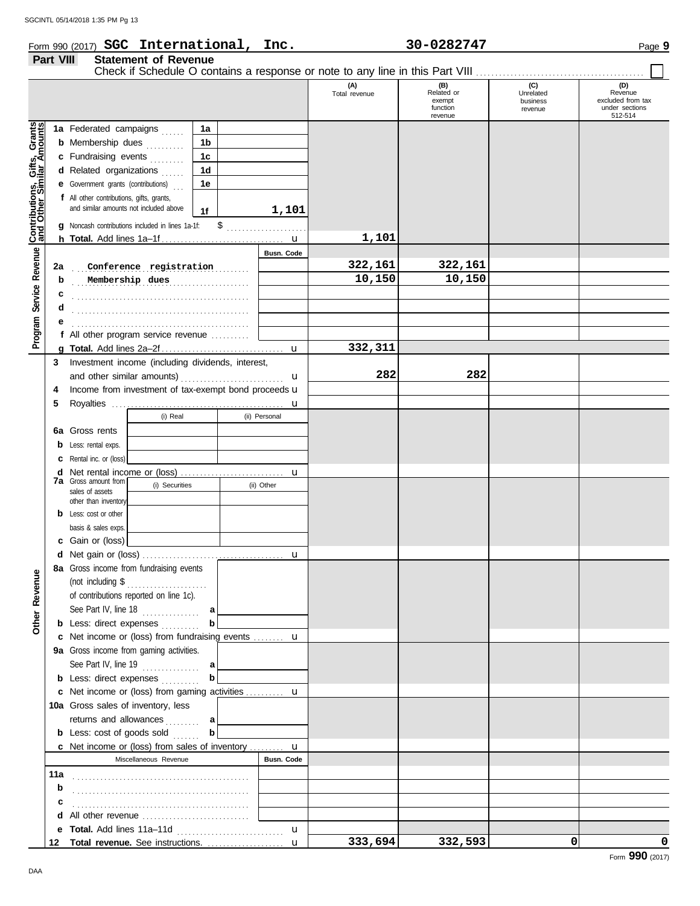## Form 990 (2017) Page **9 SGC International, Inc. 30-0282747**

| (C)<br>(D)<br>(A)<br>$(B)$<br>Related or<br>Revenue<br>Total revenue<br>Unrelated<br>excluded from tax<br>exempt<br>business<br>under sections<br>function<br>revenue<br>revenue<br>512-514<br>Service Revenue Contributions, Gifts, Grants<br>1a Federated campaigns<br>1a<br><b>b</b> Membership dues<br>1b<br>1 <sub>c</sub><br>c Fundraising events<br>1 <sub>d</sub><br>d Related organizations<br><b>e</b> Government grants (contributions)<br>1e<br>f All other contributions, gifts, grants,<br>and similar amounts not included above<br>1,101<br>1f<br>g Noncash contributions included in lines 1a-1f:<br>1,101<br>Busn. Code<br>322,161<br>322,161<br>Conference registration<br>2a<br>10,150<br>10,150<br>Membership dues<br>b<br>c<br>d<br>Program !<br>f All other program service revenue<br>332,311<br>$\mathbf{u}$<br>Investment income (including dividends, interest,<br>3<br>282<br>282<br>u<br>Income from investment of tax-exempt bond proceeds u<br>4<br>5<br>u<br>(i) Real<br>(ii) Personal<br>Gross rents<br>6a<br>Less: rental exps.<br>Rental inc. or (loss)<br>d<br>u<br><b>7a</b> Gross amount from<br>(i) Securities<br>(ii) Other<br>sales of assets<br>other than inventory<br><b>b</b> Less: cost or other<br>basis & sales exps.<br>c Gain or (loss)<br>u<br>8a Gross income from fundraising events<br><b>Other Revenue</b><br>(not including \$<br>.<br>of contributions reported on line 1c).<br>See Part IV, line $18$<br>a<br>b<br><b>b</b> Less: direct expenses<br>c Net income or (loss) from fundraising events  u<br>9a Gross income from gaming activities.<br>See Part IV, line $19$<br>al<br>b<br><b>b</b> Less: direct expenses<br>c Net income or (loss) from gaming activities  u<br>10a Gross sales of inventory, less<br>returns and allowances<br>al<br>b<br><b>b</b> Less: $cost$ of goods $sol$<br><b>c</b> Net income or (loss) from sales of inventory $\mathbf{u}$<br><b>Busn. Code</b><br>Miscellaneous Revenue<br>11a<br>b<br>с<br>d All other revenue<br>$\mathbf{u}$<br>12 Total revenue. See instructions. | Part VIII | <b>Statement of Revenue</b> |              |         |         |   |   |
|------------------------------------------------------------------------------------------------------------------------------------------------------------------------------------------------------------------------------------------------------------------------------------------------------------------------------------------------------------------------------------------------------------------------------------------------------------------------------------------------------------------------------------------------------------------------------------------------------------------------------------------------------------------------------------------------------------------------------------------------------------------------------------------------------------------------------------------------------------------------------------------------------------------------------------------------------------------------------------------------------------------------------------------------------------------------------------------------------------------------------------------------------------------------------------------------------------------------------------------------------------------------------------------------------------------------------------------------------------------------------------------------------------------------------------------------------------------------------------------------------------------------------------------------------------------------------------------------------------------------------------------------------------------------------------------------------------------------------------------------------------------------------------------------------------------------------------------------------------------------------------------------------------------------------------------------------------------------------------------------------------------------------------------------------------------------------|-----------|-----------------------------|--------------|---------|---------|---|---|
|                                                                                                                                                                                                                                                                                                                                                                                                                                                                                                                                                                                                                                                                                                                                                                                                                                                                                                                                                                                                                                                                                                                                                                                                                                                                                                                                                                                                                                                                                                                                                                                                                                                                                                                                                                                                                                                                                                                                                                                                                                                                              |           |                             |              |         |         |   |   |
|                                                                                                                                                                                                                                                                                                                                                                                                                                                                                                                                                                                                                                                                                                                                                                                                                                                                                                                                                                                                                                                                                                                                                                                                                                                                                                                                                                                                                                                                                                                                                                                                                                                                                                                                                                                                                                                                                                                                                                                                                                                                              |           |                             |              |         |         |   |   |
|                                                                                                                                                                                                                                                                                                                                                                                                                                                                                                                                                                                                                                                                                                                                                                                                                                                                                                                                                                                                                                                                                                                                                                                                                                                                                                                                                                                                                                                                                                                                                                                                                                                                                                                                                                                                                                                                                                                                                                                                                                                                              |           |                             |              |         |         |   |   |
|                                                                                                                                                                                                                                                                                                                                                                                                                                                                                                                                                                                                                                                                                                                                                                                                                                                                                                                                                                                                                                                                                                                                                                                                                                                                                                                                                                                                                                                                                                                                                                                                                                                                                                                                                                                                                                                                                                                                                                                                                                                                              |           |                             |              |         |         |   |   |
|                                                                                                                                                                                                                                                                                                                                                                                                                                                                                                                                                                                                                                                                                                                                                                                                                                                                                                                                                                                                                                                                                                                                                                                                                                                                                                                                                                                                                                                                                                                                                                                                                                                                                                                                                                                                                                                                                                                                                                                                                                                                              |           |                             |              |         |         |   |   |
|                                                                                                                                                                                                                                                                                                                                                                                                                                                                                                                                                                                                                                                                                                                                                                                                                                                                                                                                                                                                                                                                                                                                                                                                                                                                                                                                                                                                                                                                                                                                                                                                                                                                                                                                                                                                                                                                                                                                                                                                                                                                              |           |                             |              |         |         |   |   |
|                                                                                                                                                                                                                                                                                                                                                                                                                                                                                                                                                                                                                                                                                                                                                                                                                                                                                                                                                                                                                                                                                                                                                                                                                                                                                                                                                                                                                                                                                                                                                                                                                                                                                                                                                                                                                                                                                                                                                                                                                                                                              |           |                             |              |         |         |   |   |
|                                                                                                                                                                                                                                                                                                                                                                                                                                                                                                                                                                                                                                                                                                                                                                                                                                                                                                                                                                                                                                                                                                                                                                                                                                                                                                                                                                                                                                                                                                                                                                                                                                                                                                                                                                                                                                                                                                                                                                                                                                                                              |           |                             |              |         |         |   |   |
|                                                                                                                                                                                                                                                                                                                                                                                                                                                                                                                                                                                                                                                                                                                                                                                                                                                                                                                                                                                                                                                                                                                                                                                                                                                                                                                                                                                                                                                                                                                                                                                                                                                                                                                                                                                                                                                                                                                                                                                                                                                                              |           |                             |              |         |         |   |   |
|                                                                                                                                                                                                                                                                                                                                                                                                                                                                                                                                                                                                                                                                                                                                                                                                                                                                                                                                                                                                                                                                                                                                                                                                                                                                                                                                                                                                                                                                                                                                                                                                                                                                                                                                                                                                                                                                                                                                                                                                                                                                              |           |                             |              |         |         |   |   |
|                                                                                                                                                                                                                                                                                                                                                                                                                                                                                                                                                                                                                                                                                                                                                                                                                                                                                                                                                                                                                                                                                                                                                                                                                                                                                                                                                                                                                                                                                                                                                                                                                                                                                                                                                                                                                                                                                                                                                                                                                                                                              |           |                             |              |         |         |   |   |
|                                                                                                                                                                                                                                                                                                                                                                                                                                                                                                                                                                                                                                                                                                                                                                                                                                                                                                                                                                                                                                                                                                                                                                                                                                                                                                                                                                                                                                                                                                                                                                                                                                                                                                                                                                                                                                                                                                                                                                                                                                                                              |           |                             |              |         |         |   |   |
|                                                                                                                                                                                                                                                                                                                                                                                                                                                                                                                                                                                                                                                                                                                                                                                                                                                                                                                                                                                                                                                                                                                                                                                                                                                                                                                                                                                                                                                                                                                                                                                                                                                                                                                                                                                                                                                                                                                                                                                                                                                                              |           |                             |              |         |         |   |   |
|                                                                                                                                                                                                                                                                                                                                                                                                                                                                                                                                                                                                                                                                                                                                                                                                                                                                                                                                                                                                                                                                                                                                                                                                                                                                                                                                                                                                                                                                                                                                                                                                                                                                                                                                                                                                                                                                                                                                                                                                                                                                              |           |                             |              |         |         |   |   |
|                                                                                                                                                                                                                                                                                                                                                                                                                                                                                                                                                                                                                                                                                                                                                                                                                                                                                                                                                                                                                                                                                                                                                                                                                                                                                                                                                                                                                                                                                                                                                                                                                                                                                                                                                                                                                                                                                                                                                                                                                                                                              |           |                             |              |         |         |   |   |
|                                                                                                                                                                                                                                                                                                                                                                                                                                                                                                                                                                                                                                                                                                                                                                                                                                                                                                                                                                                                                                                                                                                                                                                                                                                                                                                                                                                                                                                                                                                                                                                                                                                                                                                                                                                                                                                                                                                                                                                                                                                                              |           |                             |              |         |         |   |   |
|                                                                                                                                                                                                                                                                                                                                                                                                                                                                                                                                                                                                                                                                                                                                                                                                                                                                                                                                                                                                                                                                                                                                                                                                                                                                                                                                                                                                                                                                                                                                                                                                                                                                                                                                                                                                                                                                                                                                                                                                                                                                              |           |                             |              |         |         |   |   |
|                                                                                                                                                                                                                                                                                                                                                                                                                                                                                                                                                                                                                                                                                                                                                                                                                                                                                                                                                                                                                                                                                                                                                                                                                                                                                                                                                                                                                                                                                                                                                                                                                                                                                                                                                                                                                                                                                                                                                                                                                                                                              |           |                             |              |         |         |   |   |
|                                                                                                                                                                                                                                                                                                                                                                                                                                                                                                                                                                                                                                                                                                                                                                                                                                                                                                                                                                                                                                                                                                                                                                                                                                                                                                                                                                                                                                                                                                                                                                                                                                                                                                                                                                                                                                                                                                                                                                                                                                                                              |           |                             |              |         |         |   |   |
|                                                                                                                                                                                                                                                                                                                                                                                                                                                                                                                                                                                                                                                                                                                                                                                                                                                                                                                                                                                                                                                                                                                                                                                                                                                                                                                                                                                                                                                                                                                                                                                                                                                                                                                                                                                                                                                                                                                                                                                                                                                                              |           |                             |              |         |         |   |   |
|                                                                                                                                                                                                                                                                                                                                                                                                                                                                                                                                                                                                                                                                                                                                                                                                                                                                                                                                                                                                                                                                                                                                                                                                                                                                                                                                                                                                                                                                                                                                                                                                                                                                                                                                                                                                                                                                                                                                                                                                                                                                              |           |                             |              |         |         |   |   |
|                                                                                                                                                                                                                                                                                                                                                                                                                                                                                                                                                                                                                                                                                                                                                                                                                                                                                                                                                                                                                                                                                                                                                                                                                                                                                                                                                                                                                                                                                                                                                                                                                                                                                                                                                                                                                                                                                                                                                                                                                                                                              |           |                             |              |         |         |   |   |
|                                                                                                                                                                                                                                                                                                                                                                                                                                                                                                                                                                                                                                                                                                                                                                                                                                                                                                                                                                                                                                                                                                                                                                                                                                                                                                                                                                                                                                                                                                                                                                                                                                                                                                                                                                                                                                                                                                                                                                                                                                                                              |           |                             |              |         |         |   |   |
|                                                                                                                                                                                                                                                                                                                                                                                                                                                                                                                                                                                                                                                                                                                                                                                                                                                                                                                                                                                                                                                                                                                                                                                                                                                                                                                                                                                                                                                                                                                                                                                                                                                                                                                                                                                                                                                                                                                                                                                                                                                                              |           |                             |              |         |         |   |   |
|                                                                                                                                                                                                                                                                                                                                                                                                                                                                                                                                                                                                                                                                                                                                                                                                                                                                                                                                                                                                                                                                                                                                                                                                                                                                                                                                                                                                                                                                                                                                                                                                                                                                                                                                                                                                                                                                                                                                                                                                                                                                              |           |                             |              |         |         |   |   |
|                                                                                                                                                                                                                                                                                                                                                                                                                                                                                                                                                                                                                                                                                                                                                                                                                                                                                                                                                                                                                                                                                                                                                                                                                                                                                                                                                                                                                                                                                                                                                                                                                                                                                                                                                                                                                                                                                                                                                                                                                                                                              |           |                             |              |         |         |   |   |
|                                                                                                                                                                                                                                                                                                                                                                                                                                                                                                                                                                                                                                                                                                                                                                                                                                                                                                                                                                                                                                                                                                                                                                                                                                                                                                                                                                                                                                                                                                                                                                                                                                                                                                                                                                                                                                                                                                                                                                                                                                                                              |           |                             |              |         |         |   |   |
|                                                                                                                                                                                                                                                                                                                                                                                                                                                                                                                                                                                                                                                                                                                                                                                                                                                                                                                                                                                                                                                                                                                                                                                                                                                                                                                                                                                                                                                                                                                                                                                                                                                                                                                                                                                                                                                                                                                                                                                                                                                                              |           |                             |              |         |         |   |   |
|                                                                                                                                                                                                                                                                                                                                                                                                                                                                                                                                                                                                                                                                                                                                                                                                                                                                                                                                                                                                                                                                                                                                                                                                                                                                                                                                                                                                                                                                                                                                                                                                                                                                                                                                                                                                                                                                                                                                                                                                                                                                              |           |                             |              |         |         |   |   |
|                                                                                                                                                                                                                                                                                                                                                                                                                                                                                                                                                                                                                                                                                                                                                                                                                                                                                                                                                                                                                                                                                                                                                                                                                                                                                                                                                                                                                                                                                                                                                                                                                                                                                                                                                                                                                                                                                                                                                                                                                                                                              |           |                             |              |         |         |   |   |
|                                                                                                                                                                                                                                                                                                                                                                                                                                                                                                                                                                                                                                                                                                                                                                                                                                                                                                                                                                                                                                                                                                                                                                                                                                                                                                                                                                                                                                                                                                                                                                                                                                                                                                                                                                                                                                                                                                                                                                                                                                                                              |           |                             |              |         |         |   |   |
|                                                                                                                                                                                                                                                                                                                                                                                                                                                                                                                                                                                                                                                                                                                                                                                                                                                                                                                                                                                                                                                                                                                                                                                                                                                                                                                                                                                                                                                                                                                                                                                                                                                                                                                                                                                                                                                                                                                                                                                                                                                                              |           |                             |              |         |         |   |   |
|                                                                                                                                                                                                                                                                                                                                                                                                                                                                                                                                                                                                                                                                                                                                                                                                                                                                                                                                                                                                                                                                                                                                                                                                                                                                                                                                                                                                                                                                                                                                                                                                                                                                                                                                                                                                                                                                                                                                                                                                                                                                              |           |                             |              |         |         |   |   |
|                                                                                                                                                                                                                                                                                                                                                                                                                                                                                                                                                                                                                                                                                                                                                                                                                                                                                                                                                                                                                                                                                                                                                                                                                                                                                                                                                                                                                                                                                                                                                                                                                                                                                                                                                                                                                                                                                                                                                                                                                                                                              |           |                             |              |         |         |   |   |
|                                                                                                                                                                                                                                                                                                                                                                                                                                                                                                                                                                                                                                                                                                                                                                                                                                                                                                                                                                                                                                                                                                                                                                                                                                                                                                                                                                                                                                                                                                                                                                                                                                                                                                                                                                                                                                                                                                                                                                                                                                                                              |           |                             |              |         |         |   |   |
|                                                                                                                                                                                                                                                                                                                                                                                                                                                                                                                                                                                                                                                                                                                                                                                                                                                                                                                                                                                                                                                                                                                                                                                                                                                                                                                                                                                                                                                                                                                                                                                                                                                                                                                                                                                                                                                                                                                                                                                                                                                                              |           |                             |              |         |         |   |   |
|                                                                                                                                                                                                                                                                                                                                                                                                                                                                                                                                                                                                                                                                                                                                                                                                                                                                                                                                                                                                                                                                                                                                                                                                                                                                                                                                                                                                                                                                                                                                                                                                                                                                                                                                                                                                                                                                                                                                                                                                                                                                              |           |                             |              |         |         |   |   |
|                                                                                                                                                                                                                                                                                                                                                                                                                                                                                                                                                                                                                                                                                                                                                                                                                                                                                                                                                                                                                                                                                                                                                                                                                                                                                                                                                                                                                                                                                                                                                                                                                                                                                                                                                                                                                                                                                                                                                                                                                                                                              |           |                             | $\mathbf{u}$ | 333,694 | 332,593 | 0 | 0 |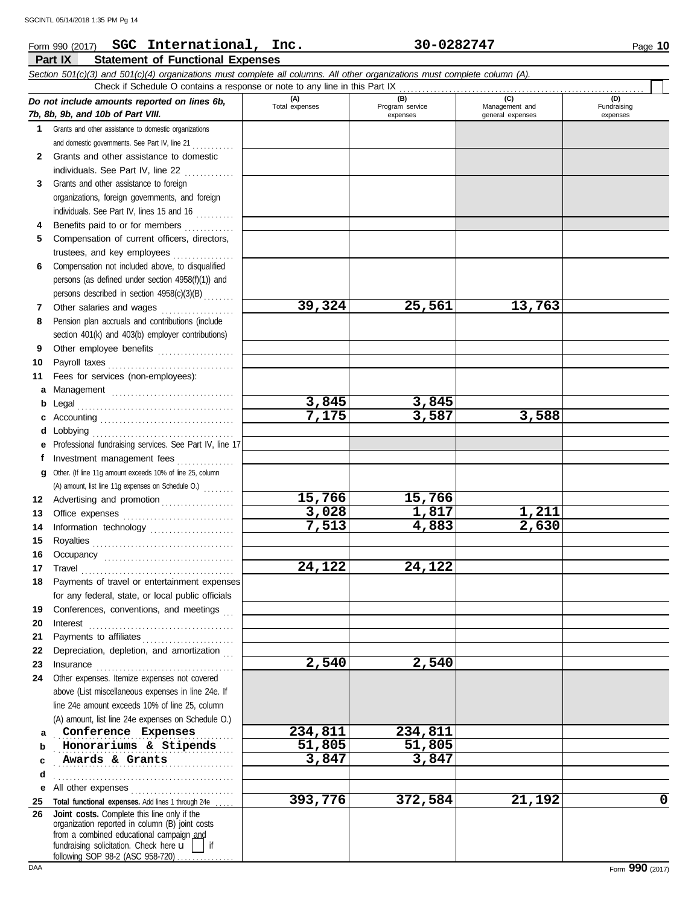### **Part IX Statement of Functional Expenses** Form 990 (2017) Page **10 SGC International, Inc. 30-0282747** *Section 501(c)(3) and 501(c)(4) organizations must complete all columns. All other organizations must complete column (A). Do not include amounts reported on lines 6b, 7b, 8b, 9b, and 10b of Part VIII.* **1 2 3 4 5 6 7 8 9 10 11 a** Management ................................ **b** Legal . . . . . . . . . . . . . . . . . . . . . . . . . . . . . . . . . . . . . . . . . **c** Accounting . . . . . . . . . . . . . . . . . . . . . . . . . . . . . . . . . . . **d** Lobbying . . . . . . . . . . . . . . . . . . . . . . . . . . . . . . . . . . . . . **e** Professional fundraising services. See Part IV, line 17 **f g** Other. (If line 11g amount exceeds 10% of line 25, column **12** Advertising and promotion . . . . . . . . . . . . . . . . . . **13 14 15 16 17** Grants and other assistance to domestic organizations and domestic governments. See Part IV, line 21 . . . . . . . . . . Grants and other assistance to domestic individuals. See Part IV, line 22 .............. Grants and other assistance to foreign organizations, foreign governments, and foreign individuals. See Part IV, lines 15 and 16 Benefits paid to or for members ............. Compensation of current officers, directors, trustees, and key employees . . . . . . . . . . . . . . . . Compensation not included above, to disqualified persons (as defined under section 4958(f)(1)) and persons described in section 4958(c)(3)(B) . . . . . . . . Other salaries and wages ................... Pension plan accruals and contributions (include section 401(k) and 403(b) employer contributions) Other employee benefits .................... Payroll taxes . . . . . . . . . . . . . . . . . . . . . . . . . . . . . . . . . Fees for services (non-employees): Investment management fees ................ Office expenses .............................. Information technology ...................... Royalties . . . . . . . . . . . . . . . . . . . . . . . . . . . . . . . . . . . . . Occupancy . . . . . . . . . . . . . . . . . . . . . . . . . . . . . . . . . . Travel . . . . . . . . . . . . . . . . . . . . . . . . . . . . . . . . . . . . . . . . **(A) (B) (C) (D)** Total expenses<br>
expenses Program service<br>  $\begin{array}{ccc}\n\bullet & \bullet & \bullet \\
\bullet & \bullet & \bullet \\
\bullet & \bullet & \bullet\n\end{array}$  Management and expenses general expenses (D)<br>Fundraising expenses Check if Schedule O contains a response or note to any line in this Part IX (A) amount, list line 11g expenses on Schedule O.) . . . . . . . . **39,324 25,561 13,763 3,845 3,845 7,175 3,587 3,588 15,766 15,766 3,028 1,817 1,211 7,513 4,883 2,630 24,122 24,122** SGCINTL 05/14/2018 1:35 PM Pg 14

| 20 | Interest                                                                                                                                                                                                   |         |         |        |   |
|----|------------------------------------------------------------------------------------------------------------------------------------------------------------------------------------------------------------|---------|---------|--------|---|
| 21 | Payments to affiliates                                                                                                                                                                                     |         |         |        |   |
| 22 | Depreciation, depletion, and amortization                                                                                                                                                                  |         |         |        |   |
| 23 | Insurance                                                                                                                                                                                                  | 2,540   | 2,540   |        |   |
| 24 | Other expenses. Itemize expenses not covered<br>above (List miscellaneous expenses in line 24e. If<br>line 24e amount exceeds 10% of line 25, column<br>(A) amount, list line 24e expenses on Schedule O.) |         |         |        |   |
| a  | Conference Expenses                                                                                                                                                                                        | 234,811 | 234,811 |        |   |
| b  | Honorariums & Stipends                                                                                                                                                                                     | 51,805  | 51,805  |        |   |
|    | Awards & Grants                                                                                                                                                                                            | 3,847   | 3,847   |        |   |
| d  |                                                                                                                                                                                                            |         |         |        |   |
| е  |                                                                                                                                                                                                            |         |         |        |   |
| 25 | Total functional expenses. Add lines 1 through 24e                                                                                                                                                         | 393,776 | 372,584 | 21,192 | 0 |
| 26 | Joint costs. Complete this line only if the<br>organization reported in column (B) joint costs<br>from a combined educational campaign and<br>fundraising solicitation. Check here $\mathbf{u}$            |         |         |        |   |

following SOP 98-2 (ASC 958-720)

**18**

Payments of travel or entertainment expenses for any federal, state, or local public officials Conferences, conventions, and meetings

**19**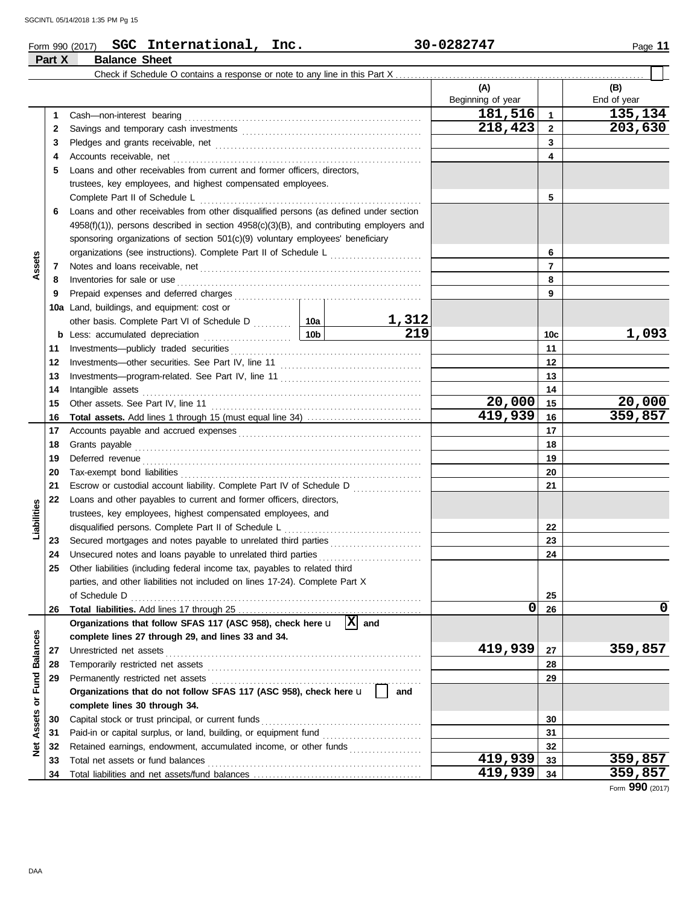**Part X Balance Sheet**

|  | Form 990 (2017) | <b>SGC</b> | International, | Inc. | 30-0282747 | Page |
|--|-----------------|------------|----------------|------|------------|------|
|--|-----------------|------------|----------------|------|------------|------|

### Check if Schedule O contains a response or note to any line in this Part X. **(A) (B)** Beginning of year | | End of year **181,516 1 135,134**<br>**218,423 2 203,630** Cash—non-interest bearing . . . . . . . . . . . . . . . . . . . . . . . . . . . . . . . . . . . . . . . . . . . . . . . . . . . . . . . . . . . . . . **1 1 218,423 203,630 2** 2 Savings and temporary cash investments **contain the container and the set of the set of the set of the set of the set of the set of the set of the set of the set of the set of the set of the set of the set of the set of 3 3** Pledges and grants receivable, net . . . . . . . . . . . . . . . . . . . . . . . . . . . . . . . . . . . . . . . . . . . . . . . . . . . . . . **4 4** Accounts receivable, net . . . . . . . . . . . . . . . . . . . . . . . . . . . . . . . . . . . . . . . . . . . . . . . . . . . . . . . . . . . . . . . . . **5** Loans and other receivables from current and former officers, directors, trustees, key employees, and highest compensated employees. Complete Part II of Schedule L . . . . . . . . . . . . . . . . . . . . . . . . . . . . . . . . . . . . . . . . . . . . . . . . . . . . . . . . . . **5 6** Loans and other receivables from other disqualified persons (as defined under section 4958(f)(1)), persons described in section 4958(c)(3)(B), and contributing employers and sponsoring organizations of section 501(c)(9) voluntary employees' beneficiary **6** organizations (see instructions). Complete Part II of Schedule L **Assets 7 7** Notes and loans receivable, net . . . . . . . . . . . . . . . . . . . . . . . . . . . . . . . . . . . . . . . . . . . . . . . . . . . . . . . . . . **8 8** Inventories for sale or use . . . . . . . . . . . . . . . . . . . . . . . . . . . . . . . . . . . . . . . . . . . . . . . . . . . . . . . . . . . . . . . . **9 9** Prepaid expenses and deferred charges . . . . . . . . . . . . . . . . . . . . . . . . . . . . . . . . . . . . . . . . . . . . . . . . . **10a** Land, buildings, and equipment: cost or **1,312** other basis. Complete Part VI of Schedule D . . . . . . . . 10a **219 1,093 10c b** Less: accumulated depreciation . . . . . . . . . . . . . . . . . . . . . . . **10b** Investments—publicly traded securities . . . . . . . . . . . . . . . . . . . . . . . . . . . . . . . . . . . . . . . . . . . . . . . . . . **11 11 12 12** Investments—other securities. See Part IV, line 11 . . . . . . . . . . . . . . . . . . . . . . . . . . . . . . . . . . . . . **13 13** Investments—program-related. See Part IV, line 11 . . . . . . . . . . . . . . . . . . . . . . . . . . . . . . . . . . . . . **14 14** Intangible assets . . . . . . . . . . . . . . . . . . . . . . . . . . . . . . . . . . . . . . . . . . . . . . . . . . . . . . . . . . . . . . . . . . . . . . . . . **20,000 20,000 15 15** Other assets. See Part IV, line 11 . . . . . . . . . . . . . . . . . . . . . . . . . . . . . . . . . . . . . . . . . . . . . . . . . . . . . . . **419,939 359,857 16 Total assets.** Add lines 1 through 15 (must equal line 34) . . . . . . . . . . . . . . . . . . . . . . . . . . . . . . **16** Accounts payable and accrued expenses . . . . . . . . . . . . . . . . . . . . . . . . . . . . . . . . . . . . . . . . . . . . . . . . **17 17 18 18** Grants payable . . . . . . . . . . . . . . . . . . . . . . . . . . . . . . . . . . . . . . . . . . . . . . . . . . . . . . . . . . . . . . . . . . . . . . . . . . . **19 19** Deferred revenue . . . . . . . . . . . . . . . . . . . . . . . . . . . . . . . . . . . . . . . . . . . . . . . . . . . . . . . . . . . . . . . . . . . . . . . . . **20 20** Tax-exempt bond liabilities . . . . . . . . . . . . . . . . . . . . . . . . . . . . . . . . . . . . . . . . . . . . . . . . . . . . . . . . . . . . . . . **21 21** Escrow or custodial account liability. Complete Part IV of Schedule D . . . . . . . . . . . . . . . . . . **22** Loans and other payables to current and former officers, directors, **Liabilities** trustees, key employees, highest compensated employees, and disqualified persons. Complete Part II of Schedule L . . . . . . . . . . . . . . . . . . . . . . . . . . . . . . . . . . . . **22 23 23** Secured mortgages and notes payable to unrelated third parties . . . . . . . . . . . . . . . . . . . . . . . . **24 24** Unsecured notes and loans payable to unrelated third parties . . . . . . . . . . . . . . . . . . . . . . . . . . . **25** Other liabilities (including federal income tax, payables to related third parties, and other liabilities not included on lines 17-24). Complete Part X of Schedule D . . . . . . . . . . . . . . . . . . . . . . . . . . . . . . . . . . . . . . . . . . . . . . . . . . . . . . . . . . . . . . . . . . . . . . . . . . . . **25 0 0 26** Total liabilities. Add lines 17 through 25 **26** Organizations that follow SFAS 117 (ASC 958), check here  $\mathbf{u} \left[ \mathbf{X} \right]$  and Net Assets or Fund Balances **Net Assets or Fund Balances complete lines 27 through 29, and lines 33 and 34.** Unrestricted net assets . . . . . . . . . . . . . . . . . . . . . . . . . . . . . . . . . . . . . . . . . . . . . . . . . . . . . . . . . . . . . . . . . . . **419,939 359,857 27 27** Temporarily restricted net assets . . . . . . . . . . . . . . . . . . . . . . . . . . . . . . . . . . . . . . . . . . . . . . . . . . . . . . . . **28 28 29 29** Permanently restricted net assets . . . . . . . . . . . . . . . . . . . . . . . . . . . . . . . . . . . . . . . . . . . . . . . . . . . . . . . **Organizations that do not follow SFAS 117 (ASC 958), check here** u **and complete lines 30 through 34.** Capital stock or trust principal, or current funds . . . . . . . . . . . . . . . . . . . . . . . . . . . . . . . . . . . . . . . . . . **30 30** Paid-in or capital surplus, or land, building, or equipment fund . . . . . . . . . . . . . . . . . . . . . . . . . . **31 31 32 32** Retained earnings, endowment, accumulated income, or other funds ................. Total net assets or fund balances . . . . . . . . . . . . . . . . . . . . . . . . . . . . . . . . . . . . . . . . . . . . . . . . . . . . . . . . **419,939 359,857 33 33** Total liabilities and net assets/fund balances .................................. **419,939 359,857 34 34**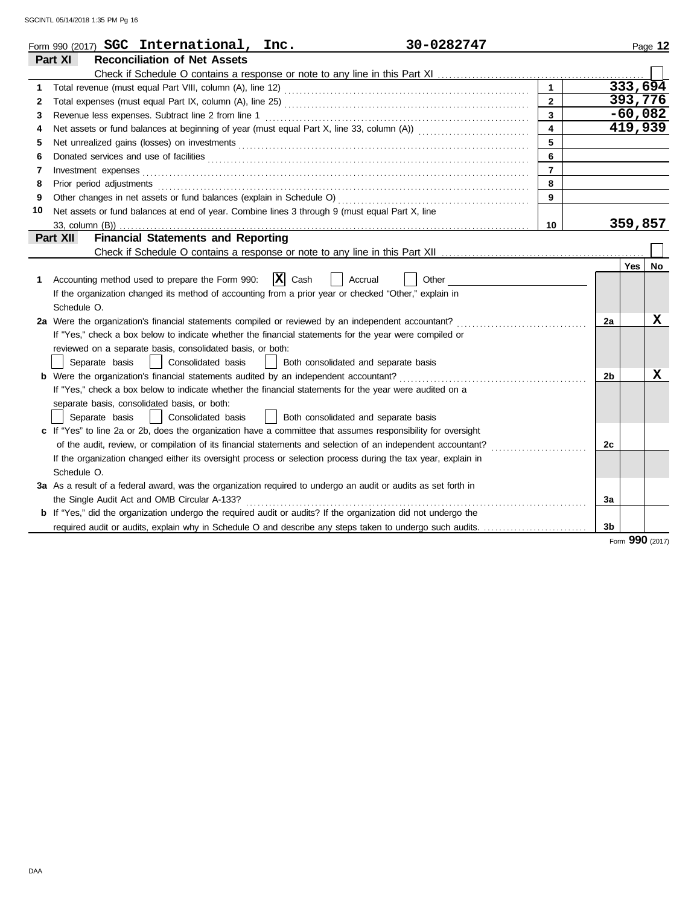|    | 30-0282747<br>Form 990 (2017) <b>SGC</b> International, Inc.                                                                                                                                                                   |                         |                |            | Page 12         |
|----|--------------------------------------------------------------------------------------------------------------------------------------------------------------------------------------------------------------------------------|-------------------------|----------------|------------|-----------------|
|    | <b>Reconciliation of Net Assets</b><br>Part XI                                                                                                                                                                                 |                         |                |            |                 |
|    |                                                                                                                                                                                                                                |                         |                |            |                 |
| 1  |                                                                                                                                                                                                                                |                         |                |            | 333,694         |
| 2  |                                                                                                                                                                                                                                | $\overline{2}$          |                |            | 393,776         |
| 3  |                                                                                                                                                                                                                                | 3                       |                |            | $-60,082$       |
| 4  |                                                                                                                                                                                                                                | $\overline{\mathbf{4}}$ |                |            | 419,939         |
| 5  |                                                                                                                                                                                                                                | 5                       |                |            |                 |
| 6  |                                                                                                                                                                                                                                | 6                       |                |            |                 |
| 7  | Investment expenses                                                                                                                                                                                                            | $\overline{7}$          |                |            |                 |
| 8  | Prior period adjustments entertainments and a series of the series of the series of the series of the series of the series of the series of the series of the series of the series of the series of the series of the series o | 8                       |                |            |                 |
| 9  |                                                                                                                                                                                                                                | 9                       |                |            |                 |
| 10 | Net assets or fund balances at end of year. Combine lines 3 through 9 (must equal Part X, line                                                                                                                                 |                         |                |            |                 |
|    |                                                                                                                                                                                                                                | 10                      |                |            | 359,857         |
|    | <b>Part XII</b><br><b>Financial Statements and Reporting</b>                                                                                                                                                                   |                         |                |            |                 |
|    |                                                                                                                                                                                                                                |                         |                |            |                 |
|    |                                                                                                                                                                                                                                |                         |                | <b>Yes</b> | No              |
| 1  | $ \mathbf{X} $ Cash<br>Accounting method used to prepare the Form 990:<br>Accrual<br>Other                                                                                                                                     |                         |                |            |                 |
|    | If the organization changed its method of accounting from a prior year or checked "Other," explain in                                                                                                                          |                         |                |            |                 |
|    | Schedule O.                                                                                                                                                                                                                    |                         |                |            |                 |
|    | 2a Were the organization's financial statements compiled or reviewed by an independent accountant?                                                                                                                             |                         | 2a             |            | х               |
|    | If "Yes," check a box below to indicate whether the financial statements for the year were compiled or                                                                                                                         |                         |                |            |                 |
|    | reviewed on a separate basis, consolidated basis, or both:                                                                                                                                                                     |                         |                |            |                 |
|    | Consolidated basis<br>Separate basis<br>Both consolidated and separate basis                                                                                                                                                   |                         |                |            |                 |
|    |                                                                                                                                                                                                                                |                         | 2 <sub>b</sub> |            | X               |
|    | If "Yes," check a box below to indicate whether the financial statements for the year were audited on a                                                                                                                        |                         |                |            |                 |
|    | separate basis, consolidated basis, or both:                                                                                                                                                                                   |                         |                |            |                 |
|    | Consolidated basis<br>Both consolidated and separate basis<br>Separate basis                                                                                                                                                   |                         |                |            |                 |
|    | c If "Yes" to line 2a or 2b, does the organization have a committee that assumes responsibility for oversight                                                                                                                  |                         |                |            |                 |
|    | of the audit, review, or compilation of its financial statements and selection of an independent accountant?                                                                                                                   |                         | 2c             |            |                 |
|    | If the organization changed either its oversight process or selection process during the tax year, explain in                                                                                                                  |                         |                |            |                 |
|    | Schedule O.                                                                                                                                                                                                                    |                         |                |            |                 |
|    | 3a As a result of a federal award, was the organization required to undergo an audit or audits as set forth in                                                                                                                 |                         |                |            |                 |
|    | the Single Audit Act and OMB Circular A-133?                                                                                                                                                                                   |                         | За             |            |                 |
|    | <b>b</b> If "Yes," did the organization undergo the required audit or audits? If the organization did not undergo the                                                                                                          |                         |                |            |                 |
|    |                                                                                                                                                                                                                                |                         | 3 <sub>b</sub> |            |                 |
|    |                                                                                                                                                                                                                                |                         |                |            | Form 990 (2017) |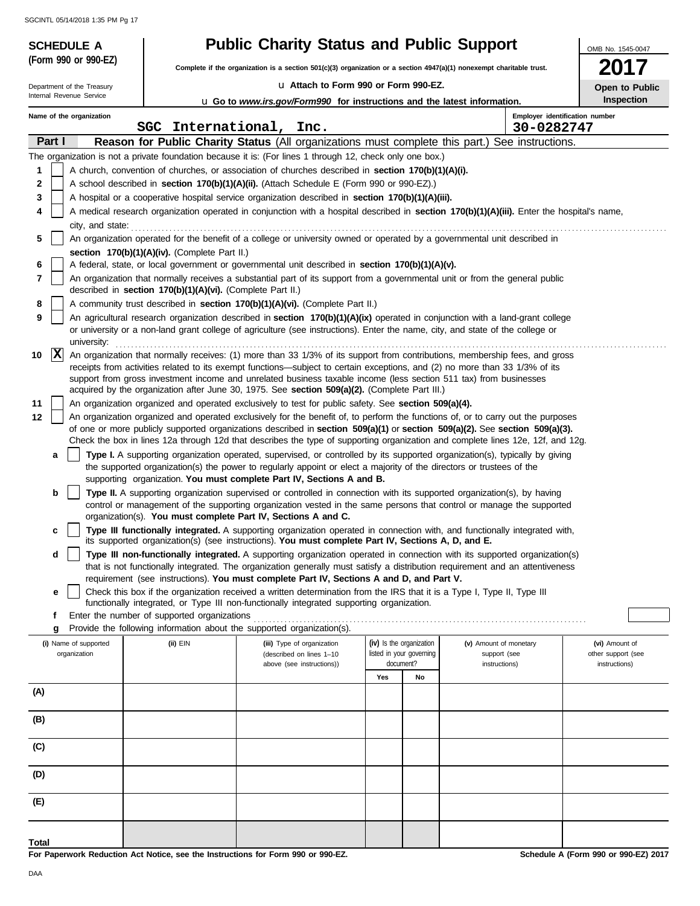**(Form 990 or 990-EZ)**

# **SCHEDULE A Public Charity Status and Public Support**

**Complete if the organization is a section 501(c)(3) organization or a section 4947(a)(1) nonexempt charitable trust.**

u **Attach to Form 990 or Form 990-EZ.**

OMB No. 1545-0047

|  | Open to Public |
|--|----------------|
|  | Inspection     |

| Department of the Treasury<br>U Attach to Form 990 or Form 990-EZ.<br>Internal Revenue Service |             |                                                                                                                                                                                                |  |                                                            |                                                                                                                                                                                                                                                                 |     | Open to Public           |                        |                                              |                    |
|------------------------------------------------------------------------------------------------|-------------|------------------------------------------------------------------------------------------------------------------------------------------------------------------------------------------------|--|------------------------------------------------------------|-----------------------------------------------------------------------------------------------------------------------------------------------------------------------------------------------------------------------------------------------------------------|-----|--------------------------|------------------------|----------------------------------------------|--------------------|
|                                                                                                |             |                                                                                                                                                                                                |  |                                                            | <b>u</b> Go to <i>www.irs.gov/Form990</i> for instructions and the latest information.                                                                                                                                                                          |     |                          |                        |                                              | Inspection         |
|                                                                                                |             | Name of the organization                                                                                                                                                                       |  | <b>SGC</b>                                                 | International, Inc.                                                                                                                                                                                                                                             |     |                          |                        | Employer identification number<br>30-0282747 |                    |
|                                                                                                | Part I      |                                                                                                                                                                                                |  |                                                            | <b>Reason for Public Charity Status (All organizations must complete this part.) See instructions.</b>                                                                                                                                                          |     |                          |                        |                                              |                    |
|                                                                                                |             |                                                                                                                                                                                                |  |                                                            | The organization is not a private foundation because it is: (For lines 1 through 12, check only one box.)                                                                                                                                                       |     |                          |                        |                                              |                    |
| 1                                                                                              |             |                                                                                                                                                                                                |  |                                                            | A church, convention of churches, or association of churches described in <b>section 170(b)(1)(A)(i).</b>                                                                                                                                                       |     |                          |                        |                                              |                    |
|                                                                                                |             |                                                                                                                                                                                                |  |                                                            |                                                                                                                                                                                                                                                                 |     |                          |                        |                                              |                    |
| 2                                                                                              |             | A school described in section 170(b)(1)(A)(ii). (Attach Schedule E (Form 990 or 990-EZ).)<br>A hospital or a cooperative hospital service organization described in section 170(b)(1)(A)(iii). |  |                                                            |                                                                                                                                                                                                                                                                 |     |                          |                        |                                              |                    |
| 3                                                                                              |             |                                                                                                                                                                                                |  |                                                            |                                                                                                                                                                                                                                                                 |     |                          |                        |                                              |                    |
| 4                                                                                              |             | A medical research organization operated in conjunction with a hospital described in section 170(b)(1)(A)(iii). Enter the hospital's name,                                                     |  |                                                            |                                                                                                                                                                                                                                                                 |     |                          |                        |                                              |                    |
|                                                                                                |             | city, and state:                                                                                                                                                                               |  |                                                            |                                                                                                                                                                                                                                                                 |     |                          |                        |                                              |                    |
| 5                                                                                              |             | An organization operated for the benefit of a college or university owned or operated by a governmental unit described in                                                                      |  |                                                            |                                                                                                                                                                                                                                                                 |     |                          |                        |                                              |                    |
|                                                                                                |             |                                                                                                                                                                                                |  | section 170(b)(1)(A)(iv). (Complete Part II.)              |                                                                                                                                                                                                                                                                 |     |                          |                        |                                              |                    |
| 6                                                                                              |             |                                                                                                                                                                                                |  |                                                            | A federal, state, or local government or governmental unit described in section 170(b)(1)(A)(v).                                                                                                                                                                |     |                          |                        |                                              |                    |
| 7                                                                                              |             |                                                                                                                                                                                                |  |                                                            | An organization that normally receives a substantial part of its support from a governmental unit or from the general public                                                                                                                                    |     |                          |                        |                                              |                    |
|                                                                                                |             |                                                                                                                                                                                                |  | described in section 170(b)(1)(A)(vi). (Complete Part II.) |                                                                                                                                                                                                                                                                 |     |                          |                        |                                              |                    |
| 8                                                                                              |             |                                                                                                                                                                                                |  |                                                            | A community trust described in section 170(b)(1)(A)(vi). (Complete Part II.)                                                                                                                                                                                    |     |                          |                        |                                              |                    |
| 9                                                                                              |             |                                                                                                                                                                                                |  |                                                            | An agricultural research organization described in section 170(b)(1)(A)(ix) operated in conjunction with a land-grant college<br>or university or a non-land grant college of agriculture (see instructions). Enter the name, city, and state of the college or |     |                          |                        |                                              |                    |
|                                                                                                |             | university:                                                                                                                                                                                    |  |                                                            |                                                                                                                                                                                                                                                                 |     |                          |                        |                                              |                    |
| 10                                                                                             | $ {\bf x} $ |                                                                                                                                                                                                |  |                                                            | An organization that normally receives: (1) more than 33 1/3% of its support from contributions, membership fees, and gross                                                                                                                                     |     |                          |                        |                                              |                    |
|                                                                                                |             |                                                                                                                                                                                                |  |                                                            | receipts from activities related to its exempt functions—subject to certain exceptions, and (2) no more than 33 1/3% of its                                                                                                                                     |     |                          |                        |                                              |                    |
|                                                                                                |             |                                                                                                                                                                                                |  |                                                            | support from gross investment income and unrelated business taxable income (less section 511 tax) from businesses                                                                                                                                               |     |                          |                        |                                              |                    |
|                                                                                                |             |                                                                                                                                                                                                |  |                                                            | acquired by the organization after June 30, 1975. See section 509(a)(2). (Complete Part III.)                                                                                                                                                                   |     |                          |                        |                                              |                    |
| 11                                                                                             |             |                                                                                                                                                                                                |  |                                                            | An organization organized and operated exclusively to test for public safety. See section 509(a)(4).                                                                                                                                                            |     |                          |                        |                                              |                    |
| 12                                                                                             |             |                                                                                                                                                                                                |  |                                                            | An organization organized and operated exclusively for the benefit of, to perform the functions of, or to carry out the purposes                                                                                                                                |     |                          |                        |                                              |                    |
|                                                                                                |             |                                                                                                                                                                                                |  |                                                            | of one or more publicly supported organizations described in section 509(a)(1) or section 509(a)(2). See section 509(a)(3).                                                                                                                                     |     |                          |                        |                                              |                    |
|                                                                                                |             |                                                                                                                                                                                                |  |                                                            | Check the box in lines 12a through 12d that describes the type of supporting organization and complete lines 12e, 12f, and 12g.                                                                                                                                 |     |                          |                        |                                              |                    |
|                                                                                                | a           |                                                                                                                                                                                                |  |                                                            | Type I. A supporting organization operated, supervised, or controlled by its supported organization(s), typically by giving                                                                                                                                     |     |                          |                        |                                              |                    |
|                                                                                                |             |                                                                                                                                                                                                |  |                                                            | the supported organization(s) the power to regularly appoint or elect a majority of the directors or trustees of the<br>supporting organization. You must complete Part IV, Sections A and B.                                                                   |     |                          |                        |                                              |                    |
|                                                                                                | b           |                                                                                                                                                                                                |  |                                                            | Type II. A supporting organization supervised or controlled in connection with its supported organization(s), by having                                                                                                                                         |     |                          |                        |                                              |                    |
|                                                                                                |             |                                                                                                                                                                                                |  |                                                            | control or management of the supporting organization vested in the same persons that control or manage the supported                                                                                                                                            |     |                          |                        |                                              |                    |
|                                                                                                |             |                                                                                                                                                                                                |  |                                                            | organization(s). You must complete Part IV, Sections A and C.                                                                                                                                                                                                   |     |                          |                        |                                              |                    |
|                                                                                                | c           |                                                                                                                                                                                                |  |                                                            | Type III functionally integrated. A supporting organization operated in connection with, and functionally integrated with,                                                                                                                                      |     |                          |                        |                                              |                    |
|                                                                                                |             |                                                                                                                                                                                                |  |                                                            | its supported organization(s) (see instructions). You must complete Part IV, Sections A, D, and E.                                                                                                                                                              |     |                          |                        |                                              |                    |
|                                                                                                | d           |                                                                                                                                                                                                |  |                                                            | Type III non-functionally integrated. A supporting organization operated in connection with its supported organization(s)                                                                                                                                       |     |                          |                        |                                              |                    |
|                                                                                                |             |                                                                                                                                                                                                |  |                                                            | that is not functionally integrated. The organization generally must satisfy a distribution requirement and an attentiveness                                                                                                                                    |     |                          |                        |                                              |                    |
|                                                                                                |             |                                                                                                                                                                                                |  |                                                            | requirement (see instructions). You must complete Part IV, Sections A and D, and Part V.                                                                                                                                                                        |     |                          |                        |                                              |                    |
|                                                                                                | е           |                                                                                                                                                                                                |  |                                                            | Check this box if the organization received a written determination from the IRS that it is a Type I, Type II, Type III<br>functionally integrated, or Type III non-functionally integrated supporting organization.                                            |     |                          |                        |                                              |                    |
|                                                                                                |             |                                                                                                                                                                                                |  | Enter the number of supported organizations                |                                                                                                                                                                                                                                                                 |     |                          |                        |                                              |                    |
|                                                                                                | g           |                                                                                                                                                                                                |  |                                                            | Provide the following information about the supported organization(s).                                                                                                                                                                                          |     |                          |                        |                                              |                    |
|                                                                                                |             | (i) Name of supported                                                                                                                                                                          |  | (ii) EIN                                                   | (iii) Type of organization                                                                                                                                                                                                                                      |     | (iv) Is the organization | (v) Amount of monetary |                                              | (vi) Amount of     |
|                                                                                                |             | organization                                                                                                                                                                                   |  |                                                            | (described on lines 1-10                                                                                                                                                                                                                                        |     | listed in your governing | support (see           |                                              | other support (see |
|                                                                                                |             |                                                                                                                                                                                                |  |                                                            | above (see instructions))                                                                                                                                                                                                                                       |     | document?                | instructions)          |                                              | instructions)      |
|                                                                                                |             |                                                                                                                                                                                                |  |                                                            |                                                                                                                                                                                                                                                                 | Yes | No                       |                        |                                              |                    |
| (A)                                                                                            |             |                                                                                                                                                                                                |  |                                                            |                                                                                                                                                                                                                                                                 |     |                          |                        |                                              |                    |
|                                                                                                |             |                                                                                                                                                                                                |  |                                                            |                                                                                                                                                                                                                                                                 |     |                          |                        |                                              |                    |
| (B)                                                                                            |             |                                                                                                                                                                                                |  |                                                            |                                                                                                                                                                                                                                                                 |     |                          |                        |                                              |                    |
|                                                                                                |             |                                                                                                                                                                                                |  |                                                            |                                                                                                                                                                                                                                                                 |     |                          |                        |                                              |                    |
| (C)                                                                                            |             |                                                                                                                                                                                                |  |                                                            |                                                                                                                                                                                                                                                                 |     |                          |                        |                                              |                    |
| (D)                                                                                            |             |                                                                                                                                                                                                |  |                                                            |                                                                                                                                                                                                                                                                 |     |                          |                        |                                              |                    |
|                                                                                                |             |                                                                                                                                                                                                |  |                                                            |                                                                                                                                                                                                                                                                 |     |                          |                        |                                              |                    |
| (E)                                                                                            |             |                                                                                                                                                                                                |  |                                                            |                                                                                                                                                                                                                                                                 |     |                          |                        |                                              |                    |
|                                                                                                |             |                                                                                                                                                                                                |  |                                                            |                                                                                                                                                                                                                                                                 |     |                          |                        |                                              |                    |
| Total                                                                                          |             |                                                                                                                                                                                                |  |                                                            |                                                                                                                                                                                                                                                                 |     |                          |                        |                                              |                    |

**For Paperwork Reduction Act Notice, see the Instructions for Form 990 or 990-EZ.**

**Schedule A (Form 990 or 990-EZ) 2017**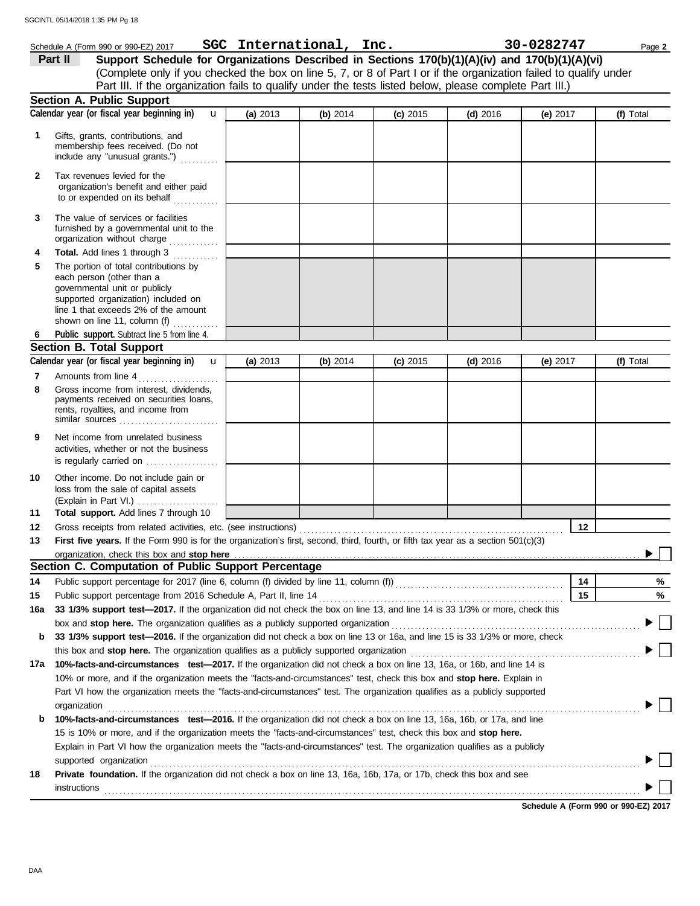### (Explain in Part VI.) . . . . . . . . . . . . . . . . . . . . . governmental unit or publicly **Section A. Public Support Total support.** Add lines 7 through 10 loss from the sale of capital assets Other income. Do not include gain or is regularly carried on ................... activities, whether or not the business Net income from unrelated business rents, royalties, and income from payments received on securities loans, Gross income from interest, dividends, line 1 that exceeds 2% of the amount supported organization) included on each person (other than a The portion of total contributions by **Total.** Add lines 1 through 3 The value of services or facilities to or expended on its behalf ............ organization's benefit and either paid Tax revenues levied for the First five years. If the Form 990 is for the organization's first, second, third, fourth, or fifth tax year as a section 501(c)(3) Gross receipts from related activities, etc. (see instructions) . . . . . . . . . . . . . . . . . . . . . . . . . . . . . . . . . . . . . . . . . . . . . . . . . . . . . . . . . . . . . . . . . . . . . Amounts from line 4 **Public support.** Subtract line 5 from line 4. include any "unusual grants.") . . . . . . . . . . membership fees received. (Do not Gifts, grants, contributions, and Schedule A (Form 990 or 990-EZ) 2017 Page **2 SGC International, Inc. 30-0282747 13 12 11 9 8 6 4 3 2 1 (a)** 2013 **(b)** 2014 **(c)** 2015 **(d)** 2016 **(e)** 2017 (Complete only if you checked the box on line 5, 7, or 8 of Part I or if the organization failed to qualify under **Part II Support Schedule for Organizations Described in Sections 170(b)(1)(A)(iv) and 170(b)(1)(A)(vi) Calendar year (or fiscal year beginning in) (f)** Total furnished by a governmental unit to the organization without charge .............. **5 Section B. Total Support 7** similar sources . . . . . . . . . . . . . . . . . . . . . . . . . . **10** organization, check this box and stop here **Section C. Computation of Public Support Percentage 12 14** Public support percentage for 2017 (line 6, column (f) divided by line 11, column (f)) . . . . . . . . . . . . . . . . . . . . . . . . . . . . . . . . . . . . . . . . . . . . Public support percentage from 2016 Schedule A, Part II, line 14 . . . . . . . . . . . . . . . . . . . . . . . . . . . . . . . . . . . . . . . . . . . . . . . . . . . . . . . . . . . . . . . . **15 16a 33 1/3% support test—2017.** If the organization did not check the box on line 13, and line 14 is 33 1/3% or more, check this box and **stop here.** The organization qualifies as a publicly supported organization . . . . . . . . . . . . . . . . . . . . . . . . . . . . . . . . . . . . . . . . . . . . . . . . . . . . . . . . . . . . . . . . . **b 33 1/3% support test—2016.** If the organization did not check a box on line 13 or 16a, and line 15 is 33 1/3% or more, check this box and **stop here.** The organization qualifies as a publicly supported organization . . . . . . . . . . . . . . . . . . . . . . . . . . . . . . . . . . . . . . . . . . . . . . . . . . . . . . . . . . . . **17a 10%-facts-and-circumstances test—2017.** If the organization did not check a box on line 13, 16a, or 16b, and line 14 is 10% or more, and if the organization meets the "facts-and-circumstances" test, check this box and **stop here.** Explain in Part VI how the organization meets the "facts-and-circumstances" test. The organization qualifies as a publicly supported **b 10%-facts-and-circumstances test—2016.** If the organization did not check a box on line 13, 16a, 16b, or 17a, and line Explain in Part VI how the organization meets the "facts-and-circumstances" test. The organization qualifies as a publicly 15 is 10% or more, and if the organization meets the "facts-and-circumstances" test, check this box and **stop here. 18 Private foundation.** If the organization did not check a box on line 13, 16a, 16b, 17a, or 17b, check this box and see **14 15 % %** Calendar year (or fiscal year beginning in)  $\bf{u}$  (a) 2013  $\bf{(b)}$  2014  $\bf{(c)}$  2015  $\bf{(d)}$  2016  $\bf{(e)}$  2017  $\bf{(f)}$  Total Part III. If the organization fails to qualify under the tests listed below, please complete Part III.) **(a)** 2013 shown on line 11, column (f)  $\ldots$ organization . . . . . . . . . . . . . . . . . . . . . . . . . . . . . . . . . . . . . . . . . . . . . . . . . . . . . . . . . . . . . . . . . . . . . . . . . . . . . . . . . . . . . . . . . . . . . . . . . . . . . . . . . . . . . . . . . . . . . . . . . . . . . . . . . . . . . . . . . . . supported organization with the contract of the contract or contract or contract or contract or contract or contract or contract or contract or contract or contract or contract or contract or contract or contract or contra **instructions** u **(b)** 2014 **(c)** 2015 **(d)** 2016 **(e)** 2017 u

**Schedule A (Form 990 or 990-EZ) 2017**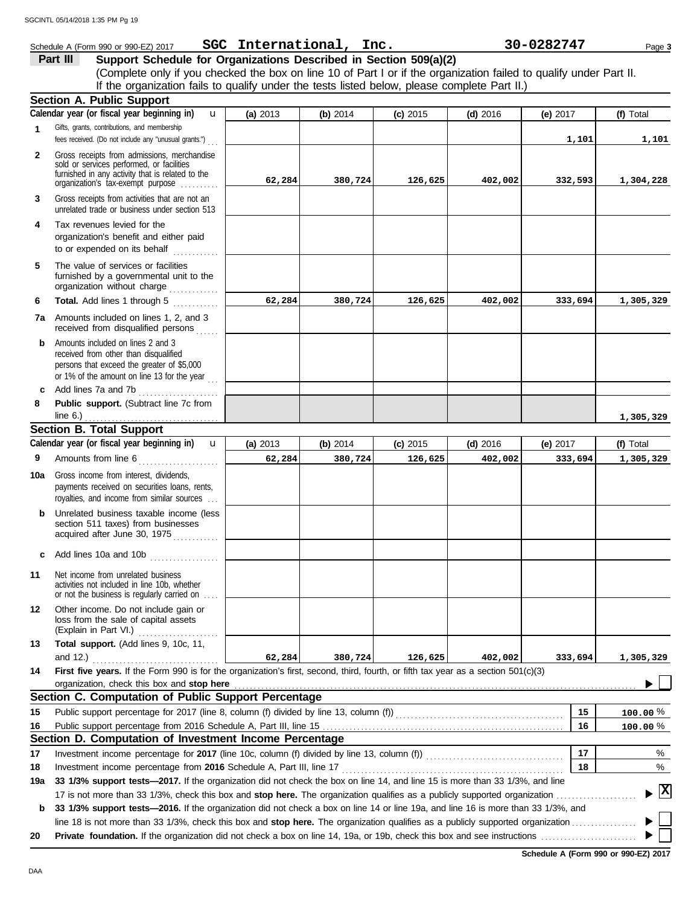**1**

**2**

**3**

**1,305,329**

unrelated trade or business under section 513 **Part III Support Schedule for Organizations Described in Section 509(a)(2)** (Complete only if you checked the box on line 10 of Part I or if the organization failed to qualify under Part II. Schedule A (Form 990 or 990-EZ) 2017 Page **3 SGC International, Inc. 30-0282747** Gifts, grants, contributions, and membership fees received. (Do not include any "unusual grants.") . . . Gross receipts from admissions, merchandise sold or services performed, or facilities furnished in any activity that is related to the Gross receipts from activities that are not an **Section A. Public Support** organization's tax-exempt purpose ......... **4** Tax revenues levied for the organization's benefit and either paid **(a)** 2013 **(b)** 2014 **(c)** 2015 **(d)** 2016 **(e)** 2017 **(f)** Total **Calendar year (or fiscal year beginning in)**  If the organization fails to qualify under the tests listed below, please complete Part II.) u **1,101 1,101 62,284 380,724 126,625 402,002 332,593 1,304,228**

organization without charge .............. furnished by a governmental unit to the **5** The value of services or facilities

to or expended on its behalf  $\ldots$ 

- **6 Total.** Add lines 1 through 5 **7a** Amounts included on lines 1, 2, and 3 received from disqualified persons **b** Amounts included on lines 2 and 3 **62,284 380,724 126,625 402,002 333,694 1,305,329**
- received from other than disqualified persons that exceed the greater of \$5,000 or 1% of the amount on line 13 for the year  $\ldots$ **c** Add lines 7a and 7b . . . . . . . . . . . . . . . . . . . . .
- **8 Public support.** (Subtract line 7c from line 6.) . . . . . . . . . . . . . . . . . . . . . . . . . . . . . . . . . . .

### **Section B. Total Support**

|     | Calendar year (or fiscal year beginning in)<br>$\mathbf{u}$                                                                                                                                                                                                                                                                                                          | (a) 2013 | (b) 2014 | (c) 2015 | $(d)$ 2016 | (e) $2017$ | (f) Total                                |
|-----|----------------------------------------------------------------------------------------------------------------------------------------------------------------------------------------------------------------------------------------------------------------------------------------------------------------------------------------------------------------------|----------|----------|----------|------------|------------|------------------------------------------|
| 9   | Amounts from line 6<br>.                                                                                                                                                                                                                                                                                                                                             | 62,284   | 380,724  | 126,625  | 402,002    | 333,694    | 1,305,329                                |
| 10a | Gross income from interest, dividends,<br>payments received on securities loans, rents,<br>royalties, and income from similar sources                                                                                                                                                                                                                                |          |          |          |            |            |                                          |
| b   | Unrelated business taxable income (less<br>section 511 taxes) from businesses<br>acquired after June 30, 1975                                                                                                                                                                                                                                                        |          |          |          |            |            |                                          |
| C   | Add lines 10a and 10b<br>in a change and a change of the same of                                                                                                                                                                                                                                                                                                     |          |          |          |            |            |                                          |
| 11  | Net income from unrelated business<br>activities not included in line 10b, whether<br>or not the business is regularly carried on                                                                                                                                                                                                                                    |          |          |          |            |            |                                          |
| 12  | Other income. Do not include gain or<br>loss from the sale of capital assets<br>(Explain in Part VI.)<br>.                                                                                                                                                                                                                                                           |          |          |          |            |            |                                          |
| 13  | Total support. (Add lines 9, 10c, 11,                                                                                                                                                                                                                                                                                                                                |          |          |          |            |            |                                          |
|     | and 12.)                                                                                                                                                                                                                                                                                                                                                             | 62, 284  | 380,724  | 126,625  | 402,002    | 333,694    | 1,305,329                                |
| 14  | First five years. If the Form 990 is for the organization's first, second, third, fourth, or fifth tax year as a section 501(c)(3)<br>organization, check this box and stop here manufactured and content of the state of the state of the state of the state of the state of the state of the state of the state of the state of the state of the state of the stat |          |          |          |            |            |                                          |
|     | Section C. Computation of Public Support Percentage                                                                                                                                                                                                                                                                                                                  |          |          |          |            |            |                                          |
| 15  | Public support percentage for 2017 (line 8, column (f) divided by line 13, column (f) [[[[[[[[[[[[[[[[[[[[[[[                                                                                                                                                                                                                                                        |          |          |          |            | 15         | $100.00\,\%$                             |
| 16  |                                                                                                                                                                                                                                                                                                                                                                      |          |          |          |            | 16         | 100.00%                                  |
|     | Section D. Computation of Investment Income Percentage                                                                                                                                                                                                                                                                                                               |          |          |          |            |            |                                          |
| 17  |                                                                                                                                                                                                                                                                                                                                                                      |          |          |          |            | 17         | %                                        |
| 18  | Investment income percentage from 2016 Schedule A, Part III, line 17                                                                                                                                                                                                                                                                                                 |          |          |          |            | 18         | %                                        |
| 19a | 33 1/3% support tests—2017. If the organization did not check the box on line 14, and line 15 is more than 33 1/3%, and line                                                                                                                                                                                                                                         |          |          |          |            |            |                                          |
|     |                                                                                                                                                                                                                                                                                                                                                                      |          |          |          |            |            | $\blacktriangleright$ $\boxed{\text{X}}$ |
|     | <b>b</b> 33 1/3% support tests—2016. If the organization did not check a box on line 14 or line 19a, and line 16 is more than 33 1/3%, and                                                                                                                                                                                                                           |          |          |          |            |            |                                          |

line 18 is not more than 33 1/3%, check this box and stop here. The organization qualifies as a publicly supported organization ..............

**20 Private foundation.** If the organization did not check a box on line 14, 19a, or 19b, check this box and see instructions . . . . . . . . . . . . . . . . . . . . . . . . .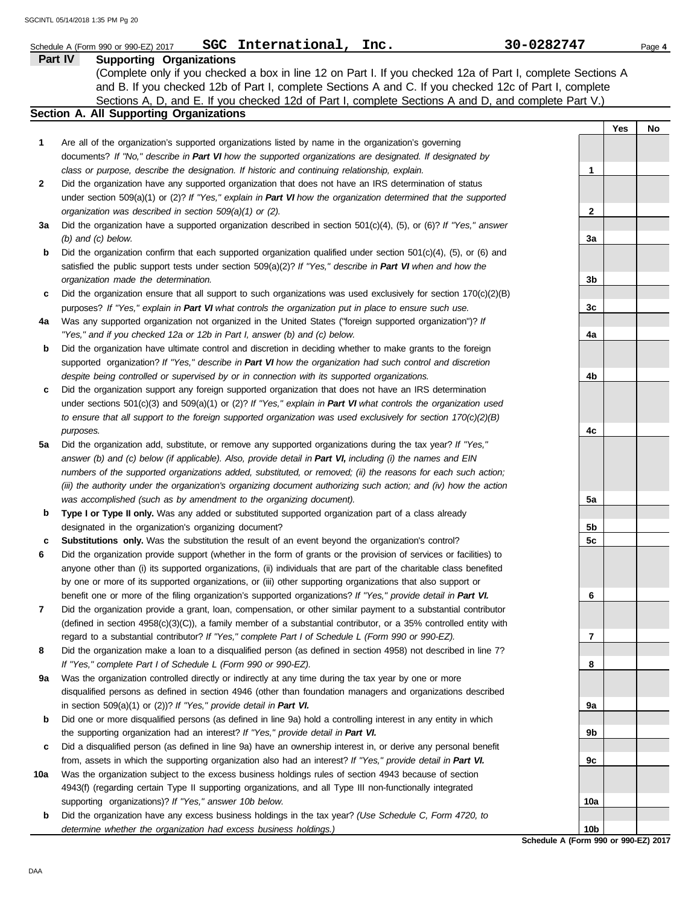|     | SGC International, Inc.<br>Schedule A (Form 990 or 990-EZ) 2017                                                                                                                                                                   | 30-0282747  |     | Page 4 |
|-----|-----------------------------------------------------------------------------------------------------------------------------------------------------------------------------------------------------------------------------------|-------------|-----|--------|
|     | Part IV<br><b>Supporting Organizations</b>                                                                                                                                                                                        |             |     |        |
|     | (Complete only if you checked a box in line 12 on Part I. If you checked 12a of Part I, complete Sections A                                                                                                                       |             |     |        |
|     | and B. If you checked 12b of Part I, complete Sections A and C. If you checked 12c of Part I, complete                                                                                                                            |             |     |        |
|     | Sections A, D, and E. If you checked 12d of Part I, complete Sections A and D, and complete Part V.)                                                                                                                              |             |     |        |
|     | Section A. All Supporting Organizations                                                                                                                                                                                           |             |     |        |
|     |                                                                                                                                                                                                                                   |             | Yes | No     |
| 1   | Are all of the organization's supported organizations listed by name in the organization's governing                                                                                                                              |             |     |        |
|     | documents? If "No," describe in Part VI how the supported organizations are designated. If designated by                                                                                                                          |             |     |        |
|     | class or purpose, describe the designation. If historic and continuing relationship, explain.                                                                                                                                     | 1           |     |        |
| 2   | Did the organization have any supported organization that does not have an IRS determination of status                                                                                                                            |             |     |        |
|     | under section 509(a)(1) or (2)? If "Yes," explain in Part VI how the organization determined that the supported                                                                                                                   |             |     |        |
|     | organization was described in section $509(a)(1)$ or (2).                                                                                                                                                                         | $\mathbf 2$ |     |        |
| За  | Did the organization have a supported organization described in section $501(c)(4)$ , (5), or (6)? If "Yes," answer                                                                                                               |             |     |        |
|     | $(b)$ and $(c)$ below.                                                                                                                                                                                                            | За          |     |        |
| b   | Did the organization confirm that each supported organization qualified under section 501(c)(4), (5), or (6) and                                                                                                                  |             |     |        |
|     | satisfied the public support tests under section 509(a)(2)? If "Yes," describe in Part VI when and how the                                                                                                                        |             |     |        |
|     | organization made the determination.                                                                                                                                                                                              | 3b          |     |        |
| c   | Did the organization ensure that all support to such organizations was used exclusively for section $170(c)(2)(B)$                                                                                                                |             |     |        |
|     | purposes? If "Yes," explain in Part VI what controls the organization put in place to ensure such use.                                                                                                                            | 3c          |     |        |
| 4a  | Was any supported organization not organized in the United States ("foreign supported organization")? If                                                                                                                          |             |     |        |
|     | "Yes," and if you checked 12a or 12b in Part I, answer (b) and (c) below.                                                                                                                                                         | 4a          |     |        |
| b   | Did the organization have ultimate control and discretion in deciding whether to make grants to the foreign                                                                                                                       |             |     |        |
|     | supported organization? If "Yes," describe in Part VI how the organization had such control and discretion                                                                                                                        |             |     |        |
|     | despite being controlled or supervised by or in connection with its supported organizations.                                                                                                                                      | 4b          |     |        |
| c   | Did the organization support any foreign supported organization that does not have an IRS determination                                                                                                                           |             |     |        |
|     | under sections $501(c)(3)$ and $509(a)(1)$ or (2)? If "Yes," explain in Part VI what controls the organization used                                                                                                               |             |     |        |
|     | to ensure that all support to the foreign supported organization was used exclusively for section $170(c)(2)(B)$                                                                                                                  |             |     |        |
|     | purposes.                                                                                                                                                                                                                         | 4c          |     |        |
| 5a  | Did the organization add, substitute, or remove any supported organizations during the tax year? If "Yes,"                                                                                                                        |             |     |        |
|     | answer (b) and (c) below (if applicable). Also, provide detail in Part VI, including (i) the names and EIN                                                                                                                        |             |     |        |
|     | numbers of the supported organizations added, substituted, or removed; (ii) the reasons for each such action;                                                                                                                     |             |     |        |
|     | (iii) the authority under the organization's organizing document authorizing such action; and (iv) how the action                                                                                                                 |             |     |        |
|     | was accomplished (such as by amendment to the organizing document).                                                                                                                                                               | 5a          |     |        |
| b   | Type I or Type II only. Was any added or substituted supported organization part of a class already                                                                                                                               |             |     |        |
|     | designated in the organization's organizing document?                                                                                                                                                                             | 5b          |     |        |
| c   | Substitutions only. Was the substitution the result of an event beyond the organization's control?                                                                                                                                | 5с          |     |        |
| 6   | Did the organization provide support (whether in the form of grants or the provision of services or facilities) to                                                                                                                |             |     |        |
|     | anyone other than (i) its supported organizations, (ii) individuals that are part of the charitable class benefited                                                                                                               |             |     |        |
|     | by one or more of its supported organizations, or (iii) other supporting organizations that also support or                                                                                                                       |             |     |        |
| 7   | benefit one or more of the filing organization's supported organizations? If "Yes," provide detail in Part VI.<br>Did the organization provide a grant, loan, compensation, or other similar payment to a substantial contributor | 6           |     |        |
|     | (defined in section $4958(c)(3)(C)$ ), a family member of a substantial contributor, or a 35% controlled entity with                                                                                                              |             |     |        |
|     | regard to a substantial contributor? If "Yes," complete Part I of Schedule L (Form 990 or 990-EZ).                                                                                                                                | 7           |     |        |
| 8   | Did the organization make a loan to a disqualified person (as defined in section 4958) not described in line 7?                                                                                                                   |             |     |        |
|     | If "Yes," complete Part I of Schedule L (Form 990 or 990-EZ).                                                                                                                                                                     | 8           |     |        |
| 9а  | Was the organization controlled directly or indirectly at any time during the tax year by one or more                                                                                                                             |             |     |        |
|     | disqualified persons as defined in section 4946 (other than foundation managers and organizations described                                                                                                                       |             |     |        |
|     | in section $509(a)(1)$ or (2))? If "Yes," provide detail in Part VI.                                                                                                                                                              | 9а          |     |        |
| b   | Did one or more disqualified persons (as defined in line 9a) hold a controlling interest in any entity in which                                                                                                                   |             |     |        |
|     | the supporting organization had an interest? If "Yes," provide detail in Part VI.                                                                                                                                                 | 9b          |     |        |
|     | Did a disqualified person (as defined in line 9a) have an ownership interest in, or derive any personal benefit                                                                                                                   |             |     |        |
| c   | from, assets in which the supporting organization also had an interest? If "Yes," provide detail in Part VI.                                                                                                                      | 9c          |     |        |
| 10a | Was the organization subject to the excess business holdings rules of section 4943 because of section                                                                                                                             |             |     |        |
|     | 4943(f) (regarding certain Type II supporting organizations, and all Type III non-functionally integrated                                                                                                                         |             |     |        |
|     | supporting organizations)? If "Yes," answer 10b below.                                                                                                                                                                            | 10a         |     |        |
|     | the execution house only execes business heldings in the toy year? (Lee Cabadule C, Ferm                                                                                                                                          |             |     |        |

**b** Did the organization have any excess business holdings in the tax year? *(Use Schedule C, Form 4720, to determine whether the organization had excess business holdings.)*

**Schedule A (Form 990 or 990-EZ) 2017 10b**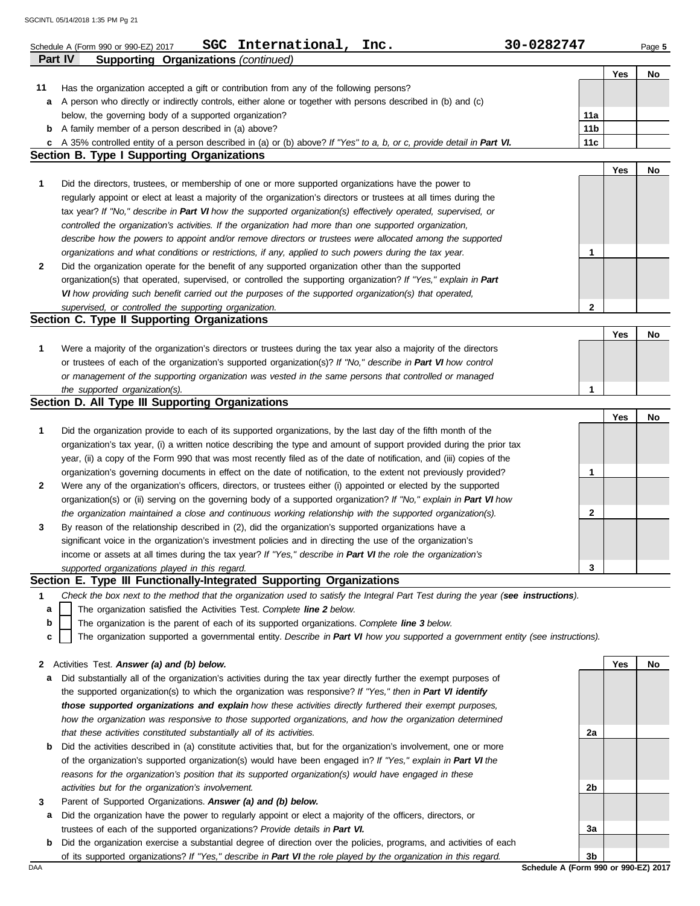|              | International,<br><b>SGC</b><br>Inc.<br>Schedule A (Form 990 or 990-EZ) 2017                                                      | 30-0282747      |     | Page 5 |
|--------------|-----------------------------------------------------------------------------------------------------------------------------------|-----------------|-----|--------|
| Part IV      | <b>Supporting Organizations (continued)</b>                                                                                       |                 |     |        |
| 11           | Has the organization accepted a gift or contribution from any of the following persons?                                           |                 | Yes | No     |
| а            | A person who directly or indirectly controls, either alone or together with persons described in (b) and (c)                      |                 |     |        |
|              | below, the governing body of a supported organization?                                                                            | 11a             |     |        |
|              | <b>b</b> A family member of a person described in (a) above?                                                                      | 11 <sub>b</sub> |     |        |
| C            | A 35% controlled entity of a person described in (a) or (b) above? If "Yes" to a, b, or c, provide detail in Part VI.             | 11c             |     |        |
|              | <b>Section B. Type I Supporting Organizations</b>                                                                                 |                 |     |        |
|              |                                                                                                                                   |                 | Yes | No     |
| 1            | Did the directors, trustees, or membership of one or more supported organizations have the power to                               |                 |     |        |
|              | regularly appoint or elect at least a majority of the organization's directors or trustees at all times during the                |                 |     |        |
|              | tax year? If "No," describe in Part VI how the supported organization(s) effectively operated, supervised, or                     |                 |     |        |
|              | controlled the organization's activities. If the organization had more than one supported organization,                           |                 |     |        |
|              | describe how the powers to appoint and/or remove directors or trustees were allocated among the supported                         |                 |     |        |
|              | organizations and what conditions or restrictions, if any, applied to such powers during the tax year.                            | 1               |     |        |
| 2            | Did the organization operate for the benefit of any supported organization other than the supported                               |                 |     |        |
|              | organization(s) that operated, supervised, or controlled the supporting organization? If "Yes," explain in Part                   |                 |     |        |
|              | VI how providing such benefit carried out the purposes of the supported organization(s) that operated,                            |                 |     |        |
|              | supervised, or controlled the supporting organization.                                                                            | 2               |     |        |
|              | Section C. Type II Supporting Organizations                                                                                       |                 |     |        |
| 1            | Were a majority of the organization's directors or trustees during the tax year also a majority of the directors                  |                 | Yes | No     |
|              | or trustees of each of the organization's supported organization(s)? If "No," describe in Part VI how control                     |                 |     |        |
|              | or management of the supporting organization was vested in the same persons that controlled or managed                            |                 |     |        |
|              | the supported organization(s).                                                                                                    | 1               |     |        |
|              | Section D. All Type III Supporting Organizations                                                                                  |                 |     |        |
|              |                                                                                                                                   |                 | Yes | No     |
| 1            | Did the organization provide to each of its supported organizations, by the last day of the fifth month of the                    |                 |     |        |
|              | organization's tax year, (i) a written notice describing the type and amount of support provided during the prior tax             |                 |     |        |
|              | year, (ii) a copy of the Form 990 that was most recently filed as of the date of notification, and (iii) copies of the            |                 |     |        |
|              | organization's governing documents in effect on the date of notification, to the extent not previously provided?                  | 1               |     |        |
| 2            | Were any of the organization's officers, directors, or trustees either (i) appointed or elected by the supported                  |                 |     |        |
|              | organization(s) or (ii) serving on the governing body of a supported organization? If "No," explain in Part VI how                |                 |     |        |
|              | the organization maintained a close and continuous working relationship with the supported organization(s).                       | 2               |     |        |
| 3            | By reason of the relationship described in (2), did the organization's supported organizations have a                             |                 |     |        |
|              | significant voice in the organization's investment policies and in directing the use of the organization's                        |                 |     |        |
|              | income or assets at all times during the tax year? If "Yes," describe in Part VI the role the organization's                      |                 |     |        |
|              | supported organizations played in this regard.                                                                                    | 3               |     |        |
|              | Section E. Type III Functionally-Integrated Supporting Organizations                                                              |                 |     |        |
| 1            | Check the box next to the method that the organization used to satisfy the Integral Part Test during the year (see instructions). |                 |     |        |
| a            | The organization satisfied the Activities Test. Complete line 2 below.                                                            |                 |     |        |
| b            | The organization is the parent of each of its supported organizations. Complete line 3 below.                                     |                 |     |        |
| c            | The organization supported a governmental entity. Describe in Part VI how you supported a government entity (see instructions).   |                 |     |        |
| $\mathbf{z}$ | Activities Test. Answer (a) and (b) below.                                                                                        |                 | Yes | No     |
| a            | Did substantially all of the organization's activities during the tax year directly further the exempt purposes of                |                 |     |        |
|              | the supported organization(s) to which the organization was responsive? If "Yes," then in Part VI identify                        |                 |     |        |
|              | those supported organizations and explain how these activities directly furthered their exempt purposes,                          |                 |     |        |
|              | how the organization was responsive to those supported organizations, and how the organization determined                         |                 |     |        |
|              | that these activities constituted substantially all of its activities.                                                            | 2a              |     |        |
| b            | Did the activities described in (a) constitute activities that, but for the organization's involvement, one or more               |                 |     |        |
|              | of the organization's supported organization(s) would have been engaged in? If "Yes," explain in Part VI the                      |                 |     |        |
|              | reasons for the organization's position that its supported organization(s) would have engaged in these                            |                 |     |        |
|              | activities but for the organization's involvement.                                                                                | 2b              |     |        |
| 3            | Parent of Supported Organizations. Answer (a) and (b) below.                                                                      |                 |     |        |
| а            | Did the organization have the power to regularly appoint or elect a majority of the officers, directors, or                       |                 |     |        |
|              | trustees of each of the supported organizations? Provide details in Part VI.                                                      | 3a              |     |        |

**b** Did the organization exercise a substantial degree of direction over the policies, programs, and activities of each of its supported organizations? *If "Yes," describe in Part VI the role played by the organization in this regard.*

DAA **Schedule A (Form 990 or 990-EZ) 2017 3b**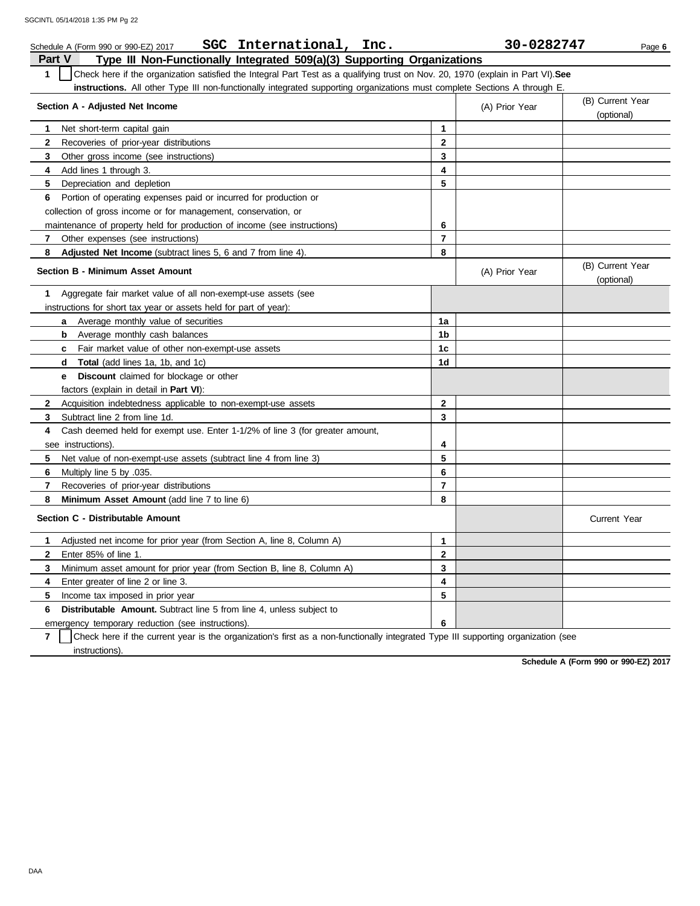| SGC International,<br>Inc.<br>Schedule A (Form 990 or 990-EZ) 2017                                                                               |                | 30-0282747     | Page 6                         |
|--------------------------------------------------------------------------------------------------------------------------------------------------|----------------|----------------|--------------------------------|
| Type III Non-Functionally Integrated 509(a)(3) Supporting Organizations<br>Part V                                                                |                |                |                                |
| $\mathbf{1}$<br>Check here if the organization satisfied the Integral Part Test as a qualifying trust on Nov. 20, 1970 (explain in Part VI). See |                |                |                                |
| instructions. All other Type III non-functionally integrated supporting organizations must complete Sections A through E.                        |                |                |                                |
| Section A - Adjusted Net Income                                                                                                                  |                | (A) Prior Year | (B) Current Year<br>(optional) |
| Net short-term capital gain<br>1                                                                                                                 | 1              |                |                                |
| $\mathbf{2}$<br>Recoveries of prior-year distributions                                                                                           | $\mathbf{2}$   |                |                                |
| Other gross income (see instructions)<br>3                                                                                                       | 3              |                |                                |
| 4<br>Add lines 1 through 3.                                                                                                                      | 4              |                |                                |
| 5<br>Depreciation and depletion                                                                                                                  | 5              |                |                                |
| Portion of operating expenses paid or incurred for production or<br>6                                                                            |                |                |                                |
| collection of gross income or for management, conservation, or                                                                                   |                |                |                                |
| maintenance of property held for production of income (see instructions)                                                                         | 6              |                |                                |
| $\mathbf{7}$<br>Other expenses (see instructions)                                                                                                | $\overline{7}$ |                |                                |
| Adjusted Net Income (subtract lines 5, 6 and 7 from line 4).<br>8                                                                                | 8              |                |                                |
| <b>Section B - Minimum Asset Amount</b>                                                                                                          |                | (A) Prior Year | (B) Current Year<br>(optional) |
| Aggregate fair market value of all non-exempt-use assets (see<br>1                                                                               |                |                |                                |
| instructions for short tax year or assets held for part of year):                                                                                |                |                |                                |
| Average monthly value of securities<br>a                                                                                                         | 1a             |                |                                |
| b<br>Average monthly cash balances                                                                                                               | 1b             |                |                                |
| <b>c</b> Fair market value of other non-exempt-use assets                                                                                        | 1 <sub>c</sub> |                |                                |
| <b>Total</b> (add lines 1a, 1b, and 1c)<br>d                                                                                                     | 1 <sub>d</sub> |                |                                |
| <b>Discount</b> claimed for blockage or other<br>e                                                                                               |                |                |                                |
| factors (explain in detail in <b>Part VI</b> ):                                                                                                  |                |                |                                |
| $\mathbf{2}$<br>Acquisition indebtedness applicable to non-exempt-use assets                                                                     | $\mathbf{2}$   |                |                                |
| 3<br>Subtract line 2 from line 1d.                                                                                                               | 3              |                |                                |
| 4<br>Cash deemed held for exempt use. Enter 1-1/2% of line 3 (for greater amount,                                                                |                |                |                                |
| see instructions).                                                                                                                               | 4              |                |                                |
| 5<br>Net value of non-exempt-use assets (subtract line 4 from line 3)                                                                            | 5              |                |                                |
| 6<br>Multiply line 5 by .035.                                                                                                                    | 6              |                |                                |
| Recoveries of prior-year distributions<br>7                                                                                                      | 7              |                |                                |
| Minimum Asset Amount (add line 7 to line 6)<br>8                                                                                                 | 8              |                |                                |
| Section C - Distributable Amount                                                                                                                 |                |                | Current Year                   |
| Adjusted net income for prior year (from Section A, line 8, Column A)<br>1                                                                       | 1              |                |                                |
| $\mathbf{2}$<br>Enter 85% of line 1.                                                                                                             | $\mathbf{2}$   |                |                                |
| 3<br>Minimum asset amount for prior year (from Section B, line 8, Column A)                                                                      | 3              |                |                                |
| 4<br>Enter greater of line 2 or line 3.                                                                                                          | 4              |                |                                |
| 5<br>Income tax imposed in prior year                                                                                                            | 5              |                |                                |
| <b>Distributable Amount.</b> Subtract line 5 from line 4, unless subject to<br>6                                                                 |                |                |                                |
| emergency temporary reduction (see instructions)                                                                                                 | 6              |                |                                |

**7** | Check here if the current year is the organization's first as a non-functionally integrated Type III supporting organization (see instructions).

**Schedule A (Form 990 or 990-EZ) 2017**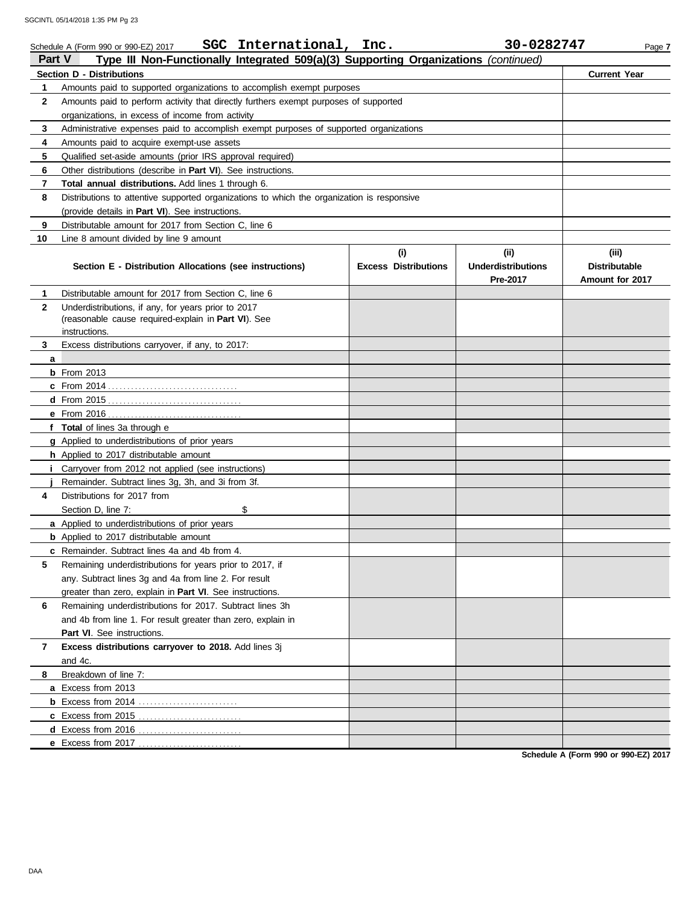| <b>Part V</b> | SGC International, Inc.<br>Schedule A (Form 990 or 990-EZ) 2017<br>Type III Non-Functionally Integrated 509(a)(3) Supporting Organizations (continued) |                             | 30-0282747                | Page 7               |
|---------------|--------------------------------------------------------------------------------------------------------------------------------------------------------|-----------------------------|---------------------------|----------------------|
|               | <b>Section D - Distributions</b>                                                                                                                       |                             |                           | <b>Current Year</b>  |
| 1             | Amounts paid to supported organizations to accomplish exempt purposes                                                                                  |                             |                           |                      |
| 2             | Amounts paid to perform activity that directly furthers exempt purposes of supported                                                                   |                             |                           |                      |
|               | organizations, in excess of income from activity                                                                                                       |                             |                           |                      |
| 3             | Administrative expenses paid to accomplish exempt purposes of supported organizations                                                                  |                             |                           |                      |
| 4             | Amounts paid to acquire exempt-use assets                                                                                                              |                             |                           |                      |
| 5             | Qualified set-aside amounts (prior IRS approval required)                                                                                              |                             |                           |                      |
| 6             | Other distributions (describe in Part VI). See instructions.                                                                                           |                             |                           |                      |
| 7             | Total annual distributions. Add lines 1 through 6.                                                                                                     |                             |                           |                      |
| 8             | Distributions to attentive supported organizations to which the organization is responsive                                                             |                             |                           |                      |
|               | (provide details in Part VI). See instructions.                                                                                                        |                             |                           |                      |
| 9             | Distributable amount for 2017 from Section C, line 6                                                                                                   |                             |                           |                      |
| 10            | Line 8 amount divided by line 9 amount                                                                                                                 |                             |                           |                      |
|               |                                                                                                                                                        | (i)                         | (ii)                      | (iii)                |
|               | Section E - Distribution Allocations (see instructions)                                                                                                | <b>Excess Distributions</b> | <b>Underdistributions</b> | <b>Distributable</b> |
|               |                                                                                                                                                        |                             | Pre-2017                  | Amount for 2017      |
| 1             | Distributable amount for 2017 from Section C, line 6                                                                                                   |                             |                           |                      |
| $\mathbf{2}$  | Underdistributions, if any, for years prior to 2017                                                                                                    |                             |                           |                      |
|               | (reasonable cause required-explain in Part VI). See                                                                                                    |                             |                           |                      |
|               | instructions.                                                                                                                                          |                             |                           |                      |
| 3             | Excess distributions carryover, if any, to 2017:                                                                                                       |                             |                           |                      |
| a             |                                                                                                                                                        |                             |                           |                      |
|               | $b$ From 2013                                                                                                                                          |                             |                           |                      |
|               |                                                                                                                                                        |                             |                           |                      |
|               |                                                                                                                                                        |                             |                           |                      |
|               | f Total of lines 3a through e                                                                                                                          |                             |                           |                      |
|               |                                                                                                                                                        |                             |                           |                      |
|               | g Applied to underdistributions of prior years<br>h Applied to 2017 distributable amount                                                               |                             |                           |                      |
|               | Carryover from 2012 not applied (see instructions)                                                                                                     |                             |                           |                      |
|               | Remainder. Subtract lines 3g, 3h, and 3i from 3f.                                                                                                      |                             |                           |                      |
| 4             | Distributions for 2017 from                                                                                                                            |                             |                           |                      |
|               | \$<br>Section D, line 7:                                                                                                                               |                             |                           |                      |
|               | a Applied to underdistributions of prior years                                                                                                         |                             |                           |                      |
|               | <b>b</b> Applied to 2017 distributable amount                                                                                                          |                             |                           |                      |
|               | c Remainder. Subtract lines 4a and 4b from 4.                                                                                                          |                             |                           |                      |
| 5             | Remaining underdistributions for years prior to 2017, if                                                                                               |                             |                           |                      |
|               | any. Subtract lines 3g and 4a from line 2. For result                                                                                                  |                             |                           |                      |
|               | greater than zero, explain in Part VI. See instructions.                                                                                               |                             |                           |                      |
| 6             | Remaining underdistributions for 2017. Subtract lines 3h                                                                                               |                             |                           |                      |
|               | and 4b from line 1. For result greater than zero, explain in                                                                                           |                             |                           |                      |
|               | <b>Part VI.</b> See instructions.                                                                                                                      |                             |                           |                      |
| 7             | Excess distributions carryover to 2018. Add lines 3j                                                                                                   |                             |                           |                      |
|               | and 4c.                                                                                                                                                |                             |                           |                      |
| 8             | Breakdown of line 7:                                                                                                                                   |                             |                           |                      |
|               | a Excess from 2013                                                                                                                                     |                             |                           |                      |
|               |                                                                                                                                                        |                             |                           |                      |
|               | c Excess from 2015                                                                                                                                     |                             |                           |                      |
|               | d Excess from 2016                                                                                                                                     |                             |                           |                      |
|               | e Excess from 2017                                                                                                                                     |                             |                           |                      |

**Schedule A (Form 990 or 990-EZ) 2017**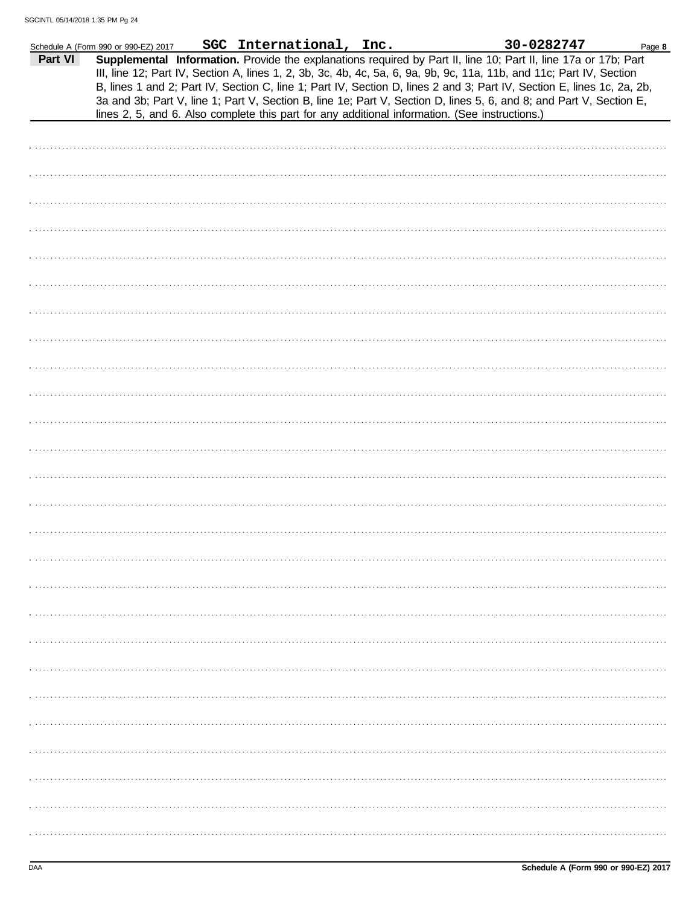|         | Schedule A (Form 990 or 990-EZ) 2017 | SGC International, Inc. |                                                                                                | 30-0282747                                                                                                                                                                                                                                                                                                                                                                                                                                                                               | Page 8 |
|---------|--------------------------------------|-------------------------|------------------------------------------------------------------------------------------------|------------------------------------------------------------------------------------------------------------------------------------------------------------------------------------------------------------------------------------------------------------------------------------------------------------------------------------------------------------------------------------------------------------------------------------------------------------------------------------------|--------|
| Part VI |                                      |                         | lines 2, 5, and 6. Also complete this part for any additional information. (See instructions.) | Supplemental Information. Provide the explanations required by Part II, line 10; Part II, line 17a or 17b; Part<br>III, line 12; Part IV, Section A, lines 1, 2, 3b, 3c, 4b, 4c, 5a, 6, 9a, 9b, 9c, 11a, 11b, and 11c; Part IV, Section<br>B, lines 1 and 2; Part IV, Section C, line 1; Part IV, Section D, lines 2 and 3; Part IV, Section E, lines 1c, 2a, 2b,<br>3a and 3b; Part V, line 1; Part V, Section B, line 1e; Part V, Section D, lines 5, 6, and 8; and Part V, Section E, |        |
|         |                                      |                         |                                                                                                |                                                                                                                                                                                                                                                                                                                                                                                                                                                                                          |        |
|         |                                      |                         |                                                                                                |                                                                                                                                                                                                                                                                                                                                                                                                                                                                                          |        |
|         |                                      |                         |                                                                                                |                                                                                                                                                                                                                                                                                                                                                                                                                                                                                          |        |
|         |                                      |                         |                                                                                                |                                                                                                                                                                                                                                                                                                                                                                                                                                                                                          |        |
|         |                                      |                         |                                                                                                |                                                                                                                                                                                                                                                                                                                                                                                                                                                                                          |        |
|         |                                      |                         |                                                                                                |                                                                                                                                                                                                                                                                                                                                                                                                                                                                                          |        |
|         |                                      |                         |                                                                                                |                                                                                                                                                                                                                                                                                                                                                                                                                                                                                          |        |
|         |                                      |                         |                                                                                                |                                                                                                                                                                                                                                                                                                                                                                                                                                                                                          |        |
|         |                                      |                         |                                                                                                |                                                                                                                                                                                                                                                                                                                                                                                                                                                                                          |        |
|         |                                      |                         |                                                                                                |                                                                                                                                                                                                                                                                                                                                                                                                                                                                                          |        |
|         |                                      |                         |                                                                                                |                                                                                                                                                                                                                                                                                                                                                                                                                                                                                          |        |
|         |                                      |                         |                                                                                                |                                                                                                                                                                                                                                                                                                                                                                                                                                                                                          |        |
|         |                                      |                         |                                                                                                |                                                                                                                                                                                                                                                                                                                                                                                                                                                                                          |        |
|         |                                      |                         |                                                                                                |                                                                                                                                                                                                                                                                                                                                                                                                                                                                                          |        |
|         |                                      |                         |                                                                                                |                                                                                                                                                                                                                                                                                                                                                                                                                                                                                          |        |
|         |                                      |                         |                                                                                                |                                                                                                                                                                                                                                                                                                                                                                                                                                                                                          |        |
|         |                                      |                         |                                                                                                |                                                                                                                                                                                                                                                                                                                                                                                                                                                                                          |        |
|         |                                      |                         |                                                                                                |                                                                                                                                                                                                                                                                                                                                                                                                                                                                                          |        |
|         |                                      |                         |                                                                                                |                                                                                                                                                                                                                                                                                                                                                                                                                                                                                          |        |
|         |                                      |                         |                                                                                                |                                                                                                                                                                                                                                                                                                                                                                                                                                                                                          |        |
|         |                                      |                         |                                                                                                |                                                                                                                                                                                                                                                                                                                                                                                                                                                                                          |        |
|         |                                      |                         |                                                                                                |                                                                                                                                                                                                                                                                                                                                                                                                                                                                                          |        |
|         |                                      |                         |                                                                                                |                                                                                                                                                                                                                                                                                                                                                                                                                                                                                          |        |
|         |                                      |                         |                                                                                                |                                                                                                                                                                                                                                                                                                                                                                                                                                                                                          |        |
|         |                                      |                         |                                                                                                |                                                                                                                                                                                                                                                                                                                                                                                                                                                                                          |        |
|         |                                      |                         |                                                                                                |                                                                                                                                                                                                                                                                                                                                                                                                                                                                                          |        |
|         |                                      |                         |                                                                                                |                                                                                                                                                                                                                                                                                                                                                                                                                                                                                          |        |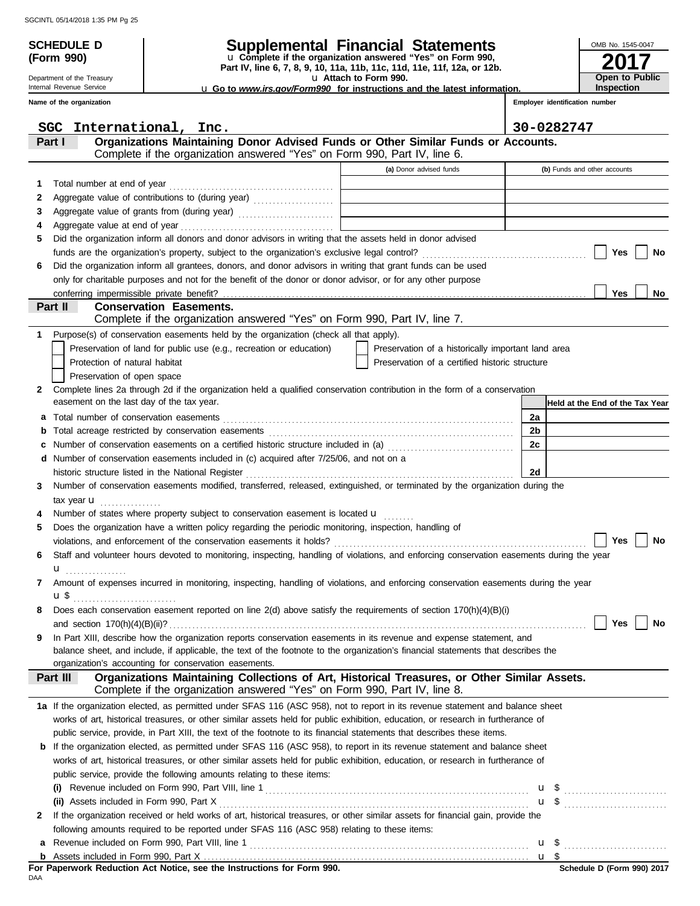**(Form 990)**

Department of the Treasury Internal Revenue Service **Name of the organization**

# **SCHEDULE D Supplemental Financial Statements**

**Part IV, line 6, 7, 8, 9, 10, 11a, 11b, 11c, 11d, 11e, 11f, 12a, or 12b.** u **Complete if the organization answered "Yes" on Form 990,**

u **Attach to Form 990.** 

u **Go to** *www.irs.gov/Form990* **for instructions and the latest information.**

**2017** OMB No. 1545-0047 **Open to Public Inspection**

**Employer identification number**

|    | International, Inc.<br>SGC                                                                                                                |                                                    | 30-0282747                      |  |  |  |  |
|----|-------------------------------------------------------------------------------------------------------------------------------------------|----------------------------------------------------|---------------------------------|--|--|--|--|
|    | Organizations Maintaining Donor Advised Funds or Other Similar Funds or Accounts.<br>Part I                                               |                                                    |                                 |  |  |  |  |
|    | Complete if the organization answered "Yes" on Form 990, Part IV, line 6.                                                                 |                                                    |                                 |  |  |  |  |
|    |                                                                                                                                           | (a) Donor advised funds                            | (b) Funds and other accounts    |  |  |  |  |
| 1. | Total number at end of year                                                                                                               |                                                    |                                 |  |  |  |  |
| 2  |                                                                                                                                           |                                                    |                                 |  |  |  |  |
| З  |                                                                                                                                           |                                                    |                                 |  |  |  |  |
| 4  | Aggregate value at end of year                                                                                                            |                                                    |                                 |  |  |  |  |
| 5  | Did the organization inform all donors and donor advisors in writing that the assets held in donor advised                                |                                                    |                                 |  |  |  |  |
|    |                                                                                                                                           |                                                    | Yes<br>No                       |  |  |  |  |
| 6  | Did the organization inform all grantees, donors, and donor advisors in writing that grant funds can be used                              |                                                    |                                 |  |  |  |  |
|    | only for charitable purposes and not for the benefit of the donor or donor advisor, or for any other purpose                              |                                                    |                                 |  |  |  |  |
|    |                                                                                                                                           |                                                    | <b>Yes</b><br>No                |  |  |  |  |
|    | <b>Conservation Easements.</b><br>Part II                                                                                                 |                                                    |                                 |  |  |  |  |
|    | Complete if the organization answered "Yes" on Form 990, Part IV, line 7.                                                                 |                                                    |                                 |  |  |  |  |
| 1  | Purpose(s) of conservation easements held by the organization (check all that apply).                                                     |                                                    |                                 |  |  |  |  |
|    | Preservation of land for public use (e.g., recreation or education)                                                                       | Preservation of a historically important land area |                                 |  |  |  |  |
|    | Protection of natural habitat                                                                                                             | Preservation of a certified historic structure     |                                 |  |  |  |  |
|    | Preservation of open space                                                                                                                |                                                    |                                 |  |  |  |  |
| 2  | Complete lines 2a through 2d if the organization held a qualified conservation contribution in the form of a conservation                 |                                                    |                                 |  |  |  |  |
|    | easement on the last day of the tax year.                                                                                                 |                                                    | Held at the End of the Tax Year |  |  |  |  |
| a  |                                                                                                                                           |                                                    | 2a                              |  |  |  |  |
| b  |                                                                                                                                           |                                                    | 2b                              |  |  |  |  |
| с  | Number of conservation easements on a certified historic structure included in (a) [[[[[[[[[[[[[[[[[[[[[[[[[]]]]]]]                       |                                                    | 2c                              |  |  |  |  |
| d  | Number of conservation easements included in (c) acquired after 7/25/06, and not on a                                                     |                                                    |                                 |  |  |  |  |
|    | historic structure listed in the National Register                                                                                        |                                                    | 2d                              |  |  |  |  |
| 3  | Number of conservation easements modified, transferred, released, extinguished, or terminated by the organization during the              |                                                    |                                 |  |  |  |  |
|    | tax year $\mathbf u$                                                                                                                      |                                                    |                                 |  |  |  |  |
|    | Number of states where property subject to conservation easement is located <b>u</b>                                                      |                                                    |                                 |  |  |  |  |
| 5  | Does the organization have a written policy regarding the periodic monitoring, inspection, handling of                                    |                                                    |                                 |  |  |  |  |
|    |                                                                                                                                           |                                                    | Yes<br>No                       |  |  |  |  |
| 6  | Staff and volunteer hours devoted to monitoring, inspecting, handling of violations, and enforcing conservation easements during the year |                                                    |                                 |  |  |  |  |
|    | u <sub></sub> .                                                                                                                           |                                                    |                                 |  |  |  |  |
| 7  | Amount of expenses incurred in monitoring, inspecting, handling of violations, and enforcing conservation easements during the year       |                                                    |                                 |  |  |  |  |
|    | u\$                                                                                                                                       |                                                    |                                 |  |  |  |  |
| 8  | Does each conservation easement reported on line $2(d)$ above satisfy the requirements of section $170(h)(4)(B)(i)$                       |                                                    |                                 |  |  |  |  |
|    | and section $170(h)(4)(B)(ii)?$                                                                                                           |                                                    | Yes<br>No                       |  |  |  |  |
| 9  | In Part XIII, describe how the organization reports conservation easements in its revenue and expense statement, and                      |                                                    |                                 |  |  |  |  |
|    | balance sheet, and include, if applicable, the text of the footnote to the organization's financial statements that describes the         |                                                    |                                 |  |  |  |  |
|    | organization's accounting for conservation easements.                                                                                     |                                                    |                                 |  |  |  |  |
|    | Organizations Maintaining Collections of Art, Historical Treasures, or Other Similar Assets.<br>Part III                                  |                                                    |                                 |  |  |  |  |
|    | Complete if the organization answered "Yes" on Form 990, Part IV, line 8.                                                                 |                                                    |                                 |  |  |  |  |
|    | 1a If the organization elected, as permitted under SFAS 116 (ASC 958), not to report in its revenue statement and balance sheet           |                                                    |                                 |  |  |  |  |
|    | works of art, historical treasures, or other similar assets held for public exhibition, education, or research in furtherance of          |                                                    |                                 |  |  |  |  |
|    | public service, provide, in Part XIII, the text of the footnote to its financial statements that describes these items.                   |                                                    |                                 |  |  |  |  |
|    | <b>b</b> If the organization elected, as permitted under SFAS 116 (ASC 958), to report in its revenue statement and balance sheet         |                                                    |                                 |  |  |  |  |
|    | works of art, historical treasures, or other similar assets held for public exhibition, education, or research in furtherance of          |                                                    |                                 |  |  |  |  |
|    | public service, provide the following amounts relating to these items:                                                                    |                                                    |                                 |  |  |  |  |
|    |                                                                                                                                           |                                                    |                                 |  |  |  |  |
|    | (ii) Assets included in Form 990, Part X                                                                                                  |                                                    |                                 |  |  |  |  |
| 2  | If the organization received or held works of art, historical treasures, or other similar assets for financial gain, provide the          |                                                    |                                 |  |  |  |  |
|    | following amounts required to be reported under SFAS 116 (ASC 958) relating to these items:                                               |                                                    |                                 |  |  |  |  |
| a  |                                                                                                                                           |                                                    |                                 |  |  |  |  |
|    |                                                                                                                                           |                                                    |                                 |  |  |  |  |

DAA **For Paperwork Reduction Act Notice, see the Instructions for Form 990.**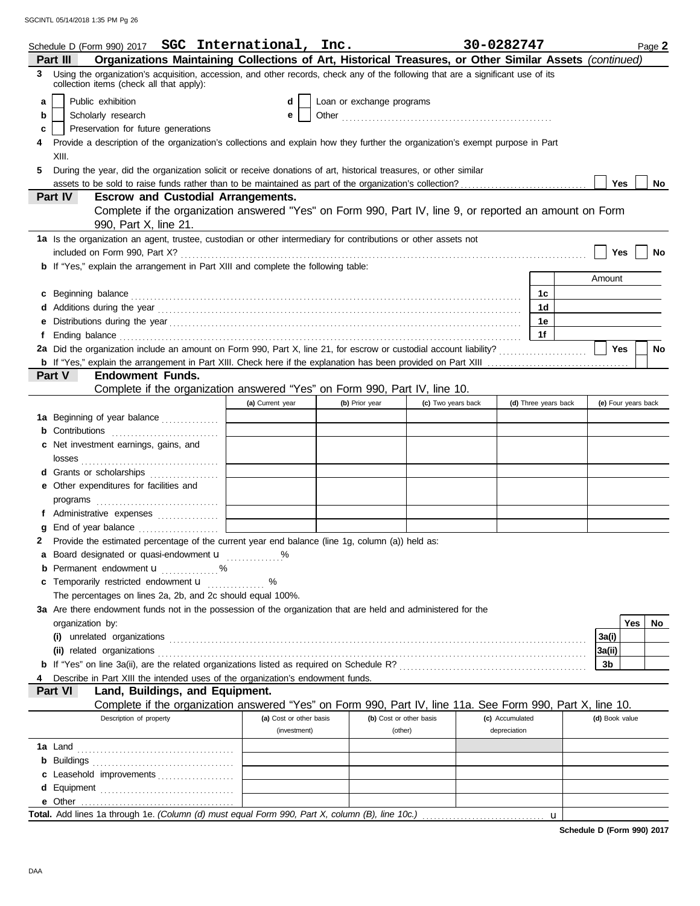|    | Schedule D (Form 990) 2017 SGC International, Inc.                                                                                                                                                                                  |                         |                           |                    | 30-0282747      |                      |                |                     | Page 2    |
|----|-------------------------------------------------------------------------------------------------------------------------------------------------------------------------------------------------------------------------------------|-------------------------|---------------------------|--------------------|-----------------|----------------------|----------------|---------------------|-----------|
|    | Organizations Maintaining Collections of Art, Historical Treasures, or Other Similar Assets (continued)<br>Part III                                                                                                                 |                         |                           |                    |                 |                      |                |                     |           |
|    | Using the organization's acquisition, accession, and other records, check any of the following that are a significant use of its<br>3<br>collection items (check all that apply):                                                   |                         |                           |                    |                 |                      |                |                     |           |
| a  | Public exhibition                                                                                                                                                                                                                   | d                       | Loan or exchange programs |                    |                 |                      |                |                     |           |
| b  | Scholarly research                                                                                                                                                                                                                  | е                       |                           |                    |                 |                      |                |                     |           |
| c  | Preservation for future generations                                                                                                                                                                                                 |                         |                           |                    |                 |                      |                |                     |           |
|    | Provide a description of the organization's collections and explain how they further the organization's exempt purpose in Part                                                                                                      |                         |                           |                    |                 |                      |                |                     |           |
|    | XIII.                                                                                                                                                                                                                               |                         |                           |                    |                 |                      |                |                     |           |
| 5. | During the year, did the organization solicit or receive donations of art, historical treasures, or other similar                                                                                                                   |                         |                           |                    |                 |                      |                |                     |           |
|    |                                                                                                                                                                                                                                     |                         |                           |                    |                 |                      | Yes            |                     | No        |
|    | Part IV<br><b>Escrow and Custodial Arrangements.</b>                                                                                                                                                                                |                         |                           |                    |                 |                      |                |                     |           |
|    | Complete if the organization answered "Yes" on Form 990, Part IV, line 9, or reported an amount on Form                                                                                                                             |                         |                           |                    |                 |                      |                |                     |           |
|    | 990, Part X, line 21.                                                                                                                                                                                                               |                         |                           |                    |                 |                      |                |                     |           |
|    | 1a Is the organization an agent, trustee, custodian or other intermediary for contributions or other assets not                                                                                                                     |                         |                           |                    |                 |                      |                |                     |           |
|    |                                                                                                                                                                                                                                     |                         |                           |                    |                 |                      |                | Yes                 | No        |
|    | b If "Yes," explain the arrangement in Part XIII and complete the following table:                                                                                                                                                  |                         |                           |                    |                 |                      |                |                     |           |
|    |                                                                                                                                                                                                                                     |                         |                           |                    |                 |                      | Amount         |                     |           |
| c  |                                                                                                                                                                                                                                     |                         |                           |                    |                 | 1c                   |                |                     |           |
| d  | Additions during the year contains and all the year contained and all the year contains a set of the year contains and all the year contains a set of the year contains a set of the year of the year of the year of the year       |                         |                           |                    |                 | 1 <sub>d</sub>       |                |                     |           |
| е  |                                                                                                                                                                                                                                     |                         |                           |                    |                 | 1е                   |                |                     |           |
| f  | Ending balance <b>construction and the construction of the construction</b> of the construction of the construction of the construction of the construction of the construction of the construction of the construction of the cons |                         |                           |                    |                 | 1f                   |                |                     |           |
|    | 2a Did the organization include an amount on Form 990, Part X, line 21, for escrow or custodial account liability?                                                                                                                  |                         |                           |                    |                 |                      | Yes            |                     | <b>No</b> |
|    |                                                                                                                                                                                                                                     |                         |                           |                    |                 |                      |                |                     |           |
|    | <b>Endowment Funds.</b><br>Part V                                                                                                                                                                                                   |                         |                           |                    |                 |                      |                |                     |           |
|    | Complete if the organization answered "Yes" on Form 990, Part IV, line 10.                                                                                                                                                          |                         |                           |                    |                 |                      |                |                     |           |
|    |                                                                                                                                                                                                                                     | (a) Current year        | (b) Prior year            | (c) Two years back |                 | (d) Three years back |                | (e) Four years back |           |
|    | 1a Beginning of year balance                                                                                                                                                                                                        |                         |                           |                    |                 |                      |                |                     |           |
| b  |                                                                                                                                                                                                                                     |                         |                           |                    |                 |                      |                |                     |           |
| c  | Net investment earnings, gains, and                                                                                                                                                                                                 |                         |                           |                    |                 |                      |                |                     |           |
|    |                                                                                                                                                                                                                                     |                         |                           |                    |                 |                      |                |                     |           |
|    | d Grants or scholarships                                                                                                                                                                                                            |                         |                           |                    |                 |                      |                |                     |           |
|    | e Other expenditures for facilities and                                                                                                                                                                                             |                         |                           |                    |                 |                      |                |                     |           |
|    |                                                                                                                                                                                                                                     |                         |                           |                    |                 |                      |                |                     |           |
|    | f Administrative expenses                                                                                                                                                                                                           |                         |                           |                    |                 |                      |                |                     |           |
| g  |                                                                                                                                                                                                                                     |                         |                           |                    |                 |                      |                |                     |           |
| 2  | Provide the estimated percentage of the current year end balance (line 1g, column (a)) held as:                                                                                                                                     |                         |                           |                    |                 |                      |                |                     |           |
| a  | Board designated or quasi-endowment <b>u</b>                                                                                                                                                                                        | %                       |                           |                    |                 |                      |                |                     |           |
|    | Permanent endowment <b>u</b>                                                                                                                                                                                                        |                         |                           |                    |                 |                      |                |                     |           |
| С  | Temporarily restricted endowment <b>u</b>                                                                                                                                                                                           | %                       |                           |                    |                 |                      |                |                     |           |
|    | The percentages on lines 2a, 2b, and 2c should equal 100%.                                                                                                                                                                          |                         |                           |                    |                 |                      |                |                     |           |
|    | 3a Are there endowment funds not in the possession of the organization that are held and administered for the                                                                                                                       |                         |                           |                    |                 |                      |                |                     |           |
|    | organization by:                                                                                                                                                                                                                    |                         |                           |                    |                 |                      |                | Yes                 | No        |
|    |                                                                                                                                                                                                                                     |                         |                           |                    |                 |                      | 3a(i)          |                     |           |
|    |                                                                                                                                                                                                                                     |                         |                           |                    |                 |                      | 3a(ii)         |                     |           |
|    |                                                                                                                                                                                                                                     |                         |                           |                    |                 |                      | 3b             |                     |           |
|    | Describe in Part XIII the intended uses of the organization's endowment funds.                                                                                                                                                      |                         |                           |                    |                 |                      |                |                     |           |
|    | Land, Buildings, and Equipment.<br>Part VI                                                                                                                                                                                          |                         |                           |                    |                 |                      |                |                     |           |
|    | Complete if the organization answered "Yes" on Form 990, Part IV, line 11a. See Form 990, Part X, line 10.                                                                                                                          |                         |                           |                    |                 |                      |                |                     |           |
|    | Description of property                                                                                                                                                                                                             | (a) Cost or other basis | (b) Cost or other basis   |                    | (c) Accumulated |                      | (d) Book value |                     |           |
|    |                                                                                                                                                                                                                                     | (investment)            | (other)                   |                    | depreciation    |                      |                |                     |           |
|    |                                                                                                                                                                                                                                     |                         |                           |                    |                 |                      |                |                     |           |
| b  |                                                                                                                                                                                                                                     |                         |                           |                    |                 |                      |                |                     |           |
| С  | Leasehold improvements                                                                                                                                                                                                              |                         |                           |                    |                 |                      |                |                     |           |
| d  |                                                                                                                                                                                                                                     |                         |                           |                    |                 |                      |                |                     |           |
|    |                                                                                                                                                                                                                                     |                         |                           |                    |                 |                      |                |                     |           |
|    |                                                                                                                                                                                                                                     |                         |                           |                    |                 | $\mathbf{u}$         |                |                     |           |

**Schedule D (Form 990) 2017**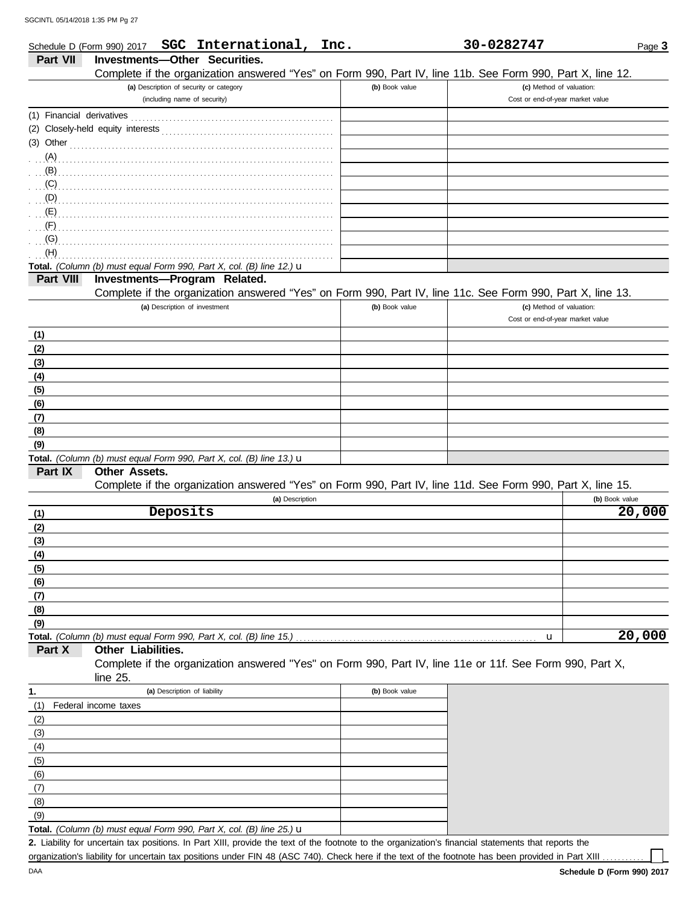|                           | SGC International, Inc.<br>Schedule D (Form 990) 2017                                                      |                | 30-0282747                       | Page 3         |
|---------------------------|------------------------------------------------------------------------------------------------------------|----------------|----------------------------------|----------------|
| <b>Part VII</b>           | Investments-Other Securities.                                                                              |                |                                  |                |
|                           | Complete if the organization answered "Yes" on Form 990, Part IV, line 11b. See Form 990, Part X, line 12. |                |                                  |                |
|                           | (a) Description of security or category                                                                    | (b) Book value | (c) Method of valuation:         |                |
|                           | (including name of security)                                                                               |                | Cost or end-of-year market value |                |
| (1) Financial derivatives |                                                                                                            |                |                                  |                |
|                           | (2) Closely-held equity interests                                                                          |                |                                  |                |
| (3) Other                 |                                                                                                            |                |                                  |                |
| (A)                       |                                                                                                            |                |                                  |                |
| (B)                       |                                                                                                            |                |                                  |                |
| (C)                       |                                                                                                            |                |                                  |                |
| (D)                       |                                                                                                            |                |                                  |                |
| (E)                       |                                                                                                            |                |                                  |                |
| (F)                       |                                                                                                            |                |                                  |                |
| (G)                       |                                                                                                            |                |                                  |                |
| (H)                       |                                                                                                            |                |                                  |                |
|                           | Total. (Column (b) must equal Form 990, Part X, col. (B) line 12.) u                                       |                |                                  |                |
| Part VIII                 | Investments-Program Related.                                                                               |                |                                  |                |
|                           | Complete if the organization answered "Yes" on Form 990, Part IV, line 11c. See Form 990, Part X, line 13. |                |                                  |                |
|                           | (a) Description of investment                                                                              | (b) Book value | (c) Method of valuation:         |                |
|                           |                                                                                                            |                | Cost or end-of-year market value |                |
| (1)                       |                                                                                                            |                |                                  |                |
| (2)                       |                                                                                                            |                |                                  |                |
| (3)                       |                                                                                                            |                |                                  |                |
| (4)                       |                                                                                                            |                |                                  |                |
| (5)                       |                                                                                                            |                |                                  |                |
| (6)                       |                                                                                                            |                |                                  |                |
| (7)                       |                                                                                                            |                |                                  |                |
| (8)                       |                                                                                                            |                |                                  |                |
| (9)                       |                                                                                                            |                |                                  |                |
|                           | Total. (Column (b) must equal Form 990, Part X, col. (B) line 13.) u                                       |                |                                  |                |
| Part IX                   | Other Assets.                                                                                              |                |                                  |                |
|                           | Complete if the organization answered "Yes" on Form 990, Part IV, line 11d. See Form 990, Part X, line 15. |                |                                  |                |
|                           | (a) Description                                                                                            |                |                                  | (b) Book value |
| (1)                       | Deposits                                                                                                   |                |                                  | 20,000         |
| (2)                       |                                                                                                            |                |                                  |                |
| (3)                       |                                                                                                            |                |                                  |                |
| (4)                       |                                                                                                            |                |                                  |                |
| (5)                       |                                                                                                            |                |                                  |                |
| (6)                       |                                                                                                            |                |                                  |                |
| (7)                       |                                                                                                            |                |                                  |                |
| (8)                       |                                                                                                            |                |                                  |                |
| (9)                       |                                                                                                            |                |                                  |                |
|                           | Total. (Column (b) must equal Form 990, Part X, col. (B) line 15.)                                         |                | u                                | 20,000         |
| Part X                    | Other Liabilities.                                                                                         |                |                                  |                |
|                           | Complete if the organization answered "Yes" on Form 990, Part IV, line 11e or 11f. See Form 990, Part X,   |                |                                  |                |
|                           | line 25.                                                                                                   |                |                                  |                |
| 1.                        | (a) Description of liability                                                                               | (b) Book value |                                  |                |
| (1)                       | Federal income taxes                                                                                       |                |                                  |                |
| (2)                       |                                                                                                            |                |                                  |                |
| (3)                       |                                                                                                            |                |                                  |                |
| (4)                       |                                                                                                            |                |                                  |                |
| (5)                       |                                                                                                            |                |                                  |                |

| (6)                                                                            |  |
|--------------------------------------------------------------------------------|--|
|                                                                                |  |
| (8)                                                                            |  |
| (9)                                                                            |  |
| Total. (Column (b) must equal Form 990, Part X, col. (B) line 25.) $\mathbf u$ |  |

Liability for uncertain tax positions. In Part XIII, provide the text of the footnote to the organization's financial statements that reports the **2.** organization's liability for uncertain tax positions under FIN 48 (ASC 740). Check here if the text of the footnote has been provided in Part XIII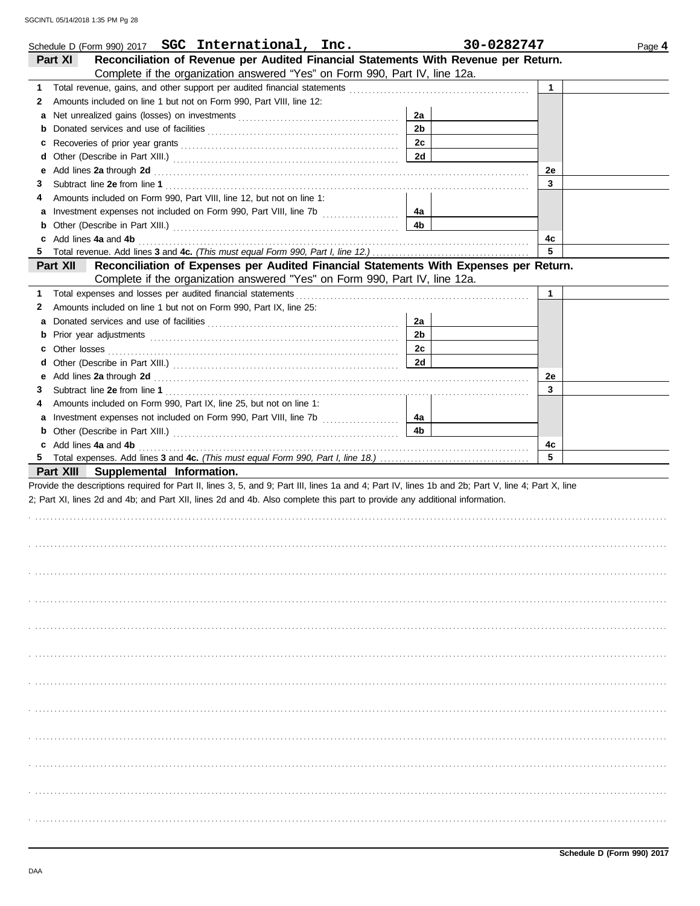|    | Schedule D (Form 990) 2017 SGC International, Inc.                                                                                                                                                                            |                | 30-0282747 | Page 4 |
|----|-------------------------------------------------------------------------------------------------------------------------------------------------------------------------------------------------------------------------------|----------------|------------|--------|
|    | Reconciliation of Revenue per Audited Financial Statements With Revenue per Return.<br>Part XI                                                                                                                                |                |            |        |
|    | Complete if the organization answered "Yes" on Form 990, Part IV, line 12a.                                                                                                                                                   |                |            |        |
| 1  |                                                                                                                                                                                                                               |                | 1          |        |
| 2  | Amounts included on line 1 but not on Form 990, Part VIII, line 12:                                                                                                                                                           |                |            |        |
| a  |                                                                                                                                                                                                                               | 2a             |            |        |
| b  |                                                                                                                                                                                                                               | 2 <sub>b</sub> |            |        |
| c  |                                                                                                                                                                                                                               | 2c             |            |        |
| d  |                                                                                                                                                                                                                               | 2d             |            |        |
| е  | Add lines 2a through 2d [11] Additional Property and Property and Property and Property and Property and Property and Property and Property and Property and Property and Property and Property and Property and Property and |                | 2e         |        |
| З  |                                                                                                                                                                                                                               |                | 3          |        |
| 4  | Amounts included on Form 990, Part VIII, line 12, but not on line 1:                                                                                                                                                          |                |            |        |
| a  |                                                                                                                                                                                                                               | 4a             |            |        |
| b  |                                                                                                                                                                                                                               | 4b             |            |        |
| c  | Add lines 4a and 4b                                                                                                                                                                                                           |                | 4c         |        |
| 5  |                                                                                                                                                                                                                               |                | 5          |        |
|    | Reconciliation of Expenses per Audited Financial Statements With Expenses per Return.<br><b>Part XII</b>                                                                                                                      |                |            |        |
|    | Complete if the organization answered "Yes" on Form 990, Part IV, line 12a.                                                                                                                                                   |                |            |        |
|    |                                                                                                                                                                                                                               |                |            |        |
| 1  | Total expenses and losses per audited financial statements                                                                                                                                                                    |                | 1          |        |
| 2  | Amounts included on line 1 but not on Form 990, Part IX, line 25:                                                                                                                                                             |                |            |        |
| a  |                                                                                                                                                                                                                               | 2a             |            |        |
| b  |                                                                                                                                                                                                                               | 2 <sub>b</sub> |            |        |
| c  |                                                                                                                                                                                                                               | 2c             |            |        |
| d  |                                                                                                                                                                                                                               | 2d             |            |        |
| е  | Add lines 2a through 2d [11] Additional Property and Property and Property and Property and Property and Property and Property and Property and Property and Property and Property and Property and Property and Property and |                | 2e         |        |
| З  |                                                                                                                                                                                                                               |                | 3          |        |
| 4  | Amounts included on Form 990, Part IX, line 25, but not on line 1:                                                                                                                                                            |                |            |        |
| a  |                                                                                                                                                                                                                               | 4a             |            |        |
|    |                                                                                                                                                                                                                               | 4b             |            |        |
|    | c Add lines 4a and 4b                                                                                                                                                                                                         |                | 4с         |        |
| 5. |                                                                                                                                                                                                                               |                | 5          |        |
|    | Part XIII Supplemental Information.                                                                                                                                                                                           |                |            |        |
|    | Provide the descriptions required for Part II, lines 3, 5, and 9; Part III, lines 1a and 4; Part IV, lines 1b and 2b; Part V, line 4; Part X, line                                                                            |                |            |        |
|    | 2; Part XI, lines 2d and 4b; and Part XII, lines 2d and 4b. Also complete this part to provide any additional information.                                                                                                    |                |            |        |
|    |                                                                                                                                                                                                                               |                |            |        |
|    |                                                                                                                                                                                                                               |                |            |        |
|    |                                                                                                                                                                                                                               |                |            |        |
|    |                                                                                                                                                                                                                               |                |            |        |
|    |                                                                                                                                                                                                                               |                |            |        |
|    |                                                                                                                                                                                                                               |                |            |        |
|    |                                                                                                                                                                                                                               |                |            |        |
|    |                                                                                                                                                                                                                               |                |            |        |
|    |                                                                                                                                                                                                                               |                |            |        |
|    |                                                                                                                                                                                                                               |                |            |        |
|    |                                                                                                                                                                                                                               |                |            |        |
|    |                                                                                                                                                                                                                               |                |            |        |
|    |                                                                                                                                                                                                                               |                |            |        |
|    |                                                                                                                                                                                                                               |                |            |        |
|    |                                                                                                                                                                                                                               |                |            |        |
|    |                                                                                                                                                                                                                               |                |            |        |
|    |                                                                                                                                                                                                                               |                |            |        |
|    |                                                                                                                                                                                                                               |                |            |        |
|    |                                                                                                                                                                                                                               |                |            |        |
|    |                                                                                                                                                                                                                               |                |            |        |
|    |                                                                                                                                                                                                                               |                |            |        |
|    |                                                                                                                                                                                                                               |                |            |        |
|    |                                                                                                                                                                                                                               |                |            |        |
|    |                                                                                                                                                                                                                               |                |            |        |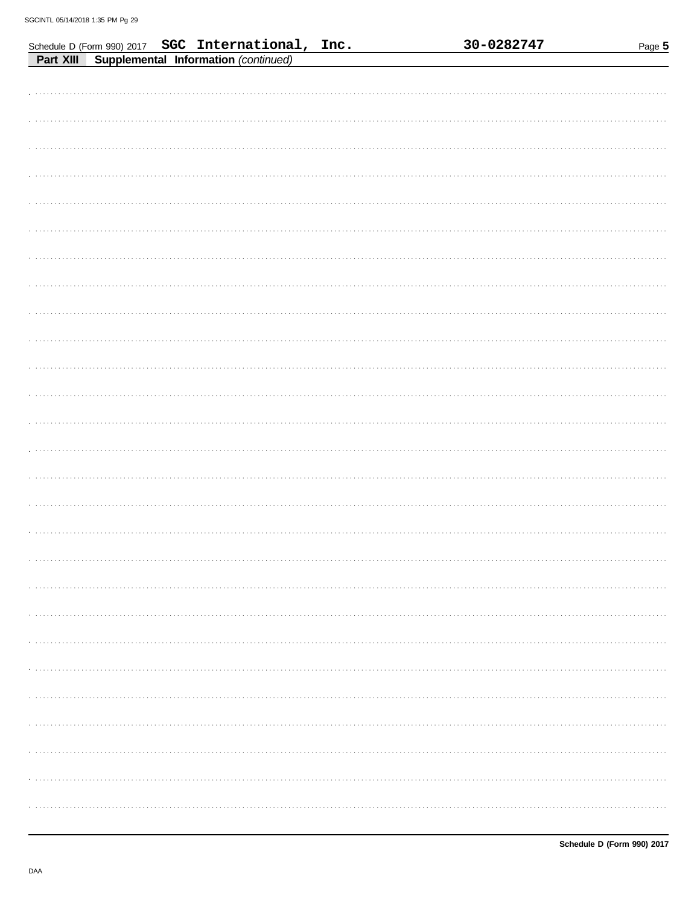| Schedule D (Form 990) 2017 SGC International, Inc. | 30-0282747 | Page 5 |
|----------------------------------------------------|------------|--------|
| Supplemental Information (continued)<br>Part XIII  |            |        |
|                                                    |            |        |
|                                                    |            |        |
|                                                    |            |        |
|                                                    |            |        |
|                                                    |            |        |
|                                                    |            |        |
|                                                    |            |        |
|                                                    |            |        |
|                                                    |            |        |
|                                                    |            |        |
|                                                    |            |        |
|                                                    |            |        |
|                                                    |            |        |
|                                                    |            |        |
|                                                    |            |        |
|                                                    |            |        |
|                                                    |            |        |
|                                                    |            |        |
|                                                    |            |        |
|                                                    |            |        |
|                                                    |            |        |
|                                                    |            |        |
|                                                    |            |        |
|                                                    |            |        |
|                                                    |            |        |
|                                                    |            |        |
|                                                    |            |        |
|                                                    |            |        |
|                                                    |            |        |
|                                                    |            |        |
|                                                    |            |        |
|                                                    |            |        |
|                                                    |            |        |
|                                                    |            |        |
|                                                    |            |        |
|                                                    |            |        |
|                                                    |            |        |
|                                                    |            |        |
|                                                    |            |        |